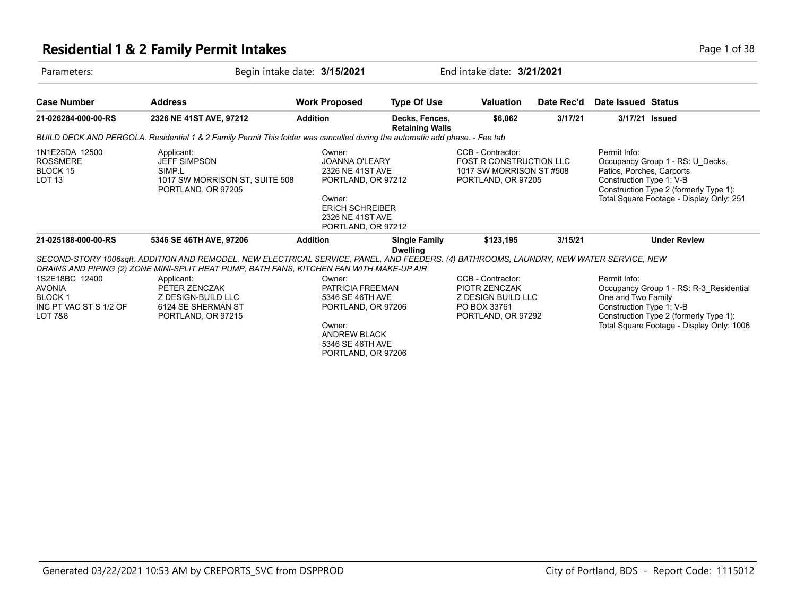#### **Residential 1 & 2 Family Permit Intakes Page 1 of 38**

| Parameters:                                                                           |                                                                                                                                                                                                                                     | Begin intake date: 3/15/2021                                                                                                                            |                                          | End intake date: 3/21/2021                                                                            |            |                                                                                                                                                                                                  |  |
|---------------------------------------------------------------------------------------|-------------------------------------------------------------------------------------------------------------------------------------------------------------------------------------------------------------------------------------|---------------------------------------------------------------------------------------------------------------------------------------------------------|------------------------------------------|-------------------------------------------------------------------------------------------------------|------------|--------------------------------------------------------------------------------------------------------------------------------------------------------------------------------------------------|--|
| <b>Case Number</b>                                                                    | <b>Address</b>                                                                                                                                                                                                                      | <b>Work Proposed</b>                                                                                                                                    | <b>Type Of Use</b>                       | <b>Valuation</b>                                                                                      | Date Rec'd | Date Issued Status                                                                                                                                                                               |  |
| 21-026284-000-00-RS                                                                   | 2326 NE 41ST AVE, 97212                                                                                                                                                                                                             | <b>Addition</b>                                                                                                                                         | Decks, Fences,<br><b>Retaining Walls</b> | \$6,062                                                                                               | 3/17/21    | 3/17/21 Issued                                                                                                                                                                                   |  |
|                                                                                       | BUILD DECK AND PERGOLA. Residential 1 & 2 Family Permit This folder was cancelled during the automatic add phase. - Fee tab                                                                                                         |                                                                                                                                                         |                                          |                                                                                                       |            |                                                                                                                                                                                                  |  |
| 1N1E25DA 12500<br><b>ROSSMERE</b><br><b>BLOCK 15</b><br>LOT 13                        | Applicant:<br><b>JEFF SIMPSON</b><br>SIMP.L<br>1017 SW MORRISON ST, SUITE 508<br>PORTLAND, OR 97205                                                                                                                                 | Owner:<br><b>JOANNA O'LEARY</b><br>2326 NE 41ST AVE<br>PORTLAND, OR 97212<br>Owner:<br><b>ERICH SCHREIBER</b><br>2326 NE 41ST AVE<br>PORTLAND, OR 97212 |                                          | CCB - Contractor:<br><b>FOST R CONSTRUCTION LLC</b><br>1017 SW MORRISON ST #508<br>PORTLAND, OR 97205 |            | Permit Info:<br>Occupancy Group 1 - RS: U Decks,<br>Patios, Porches, Carports<br>Construction Type 1: V-B<br>Construction Type 2 (formerly Type 1):<br>Total Square Footage - Display Only: 251  |  |
| 21-025188-000-00-RS                                                                   | 5346 SE 46TH AVE, 97206                                                                                                                                                                                                             | <b>Addition</b>                                                                                                                                         | <b>Single Family</b><br><b>Dwelling</b>  | \$123,195                                                                                             | 3/15/21    | <b>Under Review</b>                                                                                                                                                                              |  |
|                                                                                       | SECOND-STORY 1006sqft. ADDITION AND REMODEL. NEW ELECTRICAL SERVICE, PANEL, AND FEEDERS. (4) BATHROOMS, LAUNDRY, NEW WATER SERVICE, NEW<br>DRAINS AND PIPING (2) ZONE MINI-SPLIT HEAT PUMP, BATH FANS, KITCHEN FAN WITH MAKE-UP AIR |                                                                                                                                                         |                                          |                                                                                                       |            |                                                                                                                                                                                                  |  |
| 1S2E18BC 12400<br><b>AVONIA</b><br><b>BLOCK1</b><br>INC PT VAC ST S 1/2 OF<br>LOT 7&8 | Applicant:<br>PETER ZENCZAK<br>Z DESIGN-BUILD LLC<br>6124 SE SHERMAN ST<br>PORTLAND, OR 97215                                                                                                                                       | Owner:<br>PATRICIA FREEMAN<br>5346 SE 46TH AVE<br>PORTLAND, OR 97206<br>Owner:<br><b>ANDREW BLACK</b><br>5346 SE 46TH AVE                               |                                          | CCB - Contractor:<br>PIOTR ZENCZAK<br>Z DESIGN BUILD LLC<br>PO BOX 33761<br>PORTLAND, OR 97292        |            | Permit Info:<br>Occupancy Group 1 - RS: R-3 Residential<br>One and Two Family<br>Construction Type 1: V-B<br>Construction Type 2 (formerly Type 1):<br>Total Square Footage - Display Only: 1006 |  |

PORTLAND, OR 97206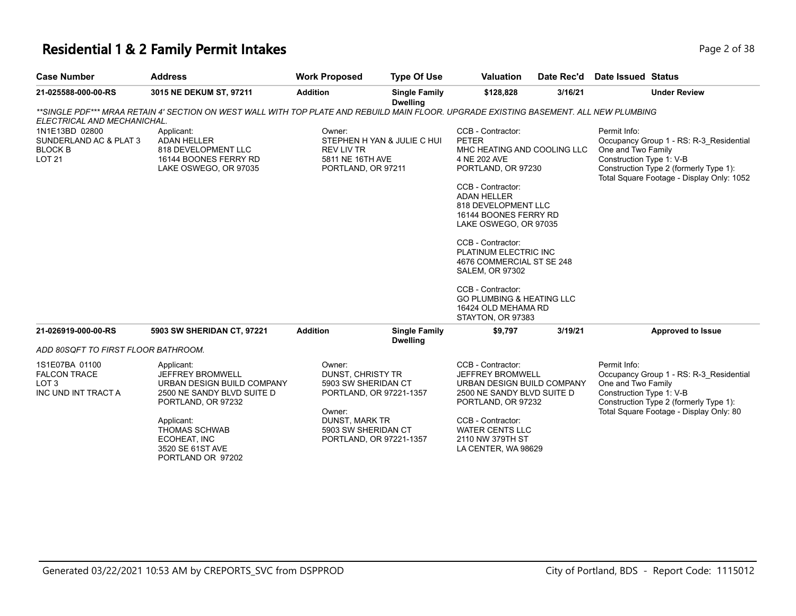#### **Residential 1 & 2 Family Permit Intakes Page 1 0 AM 2 Family Permit Intakes Page 2 of 38**

| <b>INSTRUCTION LOCK FOR IMAGE LOCKEY</b> |                         |                      |                                  |                  |            |                           |  |
|------------------------------------------|-------------------------|----------------------|----------------------------------|------------------|------------|---------------------------|--|
| <b>Case Number</b>                       | <b>Address</b>          | <b>Work Proposed</b> | <b>Type Of Use</b>               | <b>Valuation</b> | Date Rec'd | <b>Date Issued Status</b> |  |
| 21-025588-000-00-RS                      | 3015 NE DEKUM ST. 97211 | Addition             | <b>Single Family</b><br>Dwellinn | \$128.828        | 3/16/21    | <b>Under Review</b>       |  |

**Dwelling** *\*\*SINGLE PDF\*\*\* MRAA RETAIN 4' SECTION ON WEST WALL WITH TOP PLATE AND REBUILD MAIN FLOOR. UPGRADE EXISTING BASEMENT. ALL NEW PLUMBING* 

| ELECTRICAL AND MECHANICHAL.                                                      |                                                                                                                                                                                                   |                                                                                                      |                                                                           |                                                                                                                                                                                                                          |                                                                                                                                                                                                  |
|----------------------------------------------------------------------------------|---------------------------------------------------------------------------------------------------------------------------------------------------------------------------------------------------|------------------------------------------------------------------------------------------------------|---------------------------------------------------------------------------|--------------------------------------------------------------------------------------------------------------------------------------------------------------------------------------------------------------------------|--------------------------------------------------------------------------------------------------------------------------------------------------------------------------------------------------|
| 1N1E13BD 02800<br>SUNDERLAND AC & PLAT 3<br><b>BLOCK B</b><br><b>LOT 21</b>      | Applicant:<br><b>ADAN HELLER</b><br>818 DEVELOPMENT LLC<br>16144 BOONES FERRY RD<br>LAKE OSWEGO, OR 97035                                                                                         | Owner:<br>STEPHEN H YAN & JULIE C HUI<br><b>REV LIV TR</b><br>5811 NE 16TH AVE<br>PORTLAND, OR 97211 |                                                                           | CCB - Contractor:<br><b>PETER</b><br>MHC HEATING AND COOLING LLC<br>4 NE 202 AVE<br>PORTLAND, OR 97230                                                                                                                   | Permit Info:<br>Occupancy Group 1 - RS: R-3 Residential<br>One and Two Family<br>Construction Type 1: V-B<br>Construction Type 2 (formerly Type 1):<br>Total Square Footage - Display Only: 1052 |
|                                                                                  |                                                                                                                                                                                                   |                                                                                                      |                                                                           | CCB - Contractor:<br><b>ADAN HELLER</b><br>818 DEVELOPMENT LLC<br>16144 BOONES FERRY RD<br>LAKE OSWEGO, OR 97035                                                                                                         |                                                                                                                                                                                                  |
|                                                                                  |                                                                                                                                                                                                   |                                                                                                      |                                                                           | CCB - Contractor:<br>PLATINUM ELECTRIC INC<br>4676 COMMERCIAL ST SE 248<br><b>SALEM, OR 97302</b>                                                                                                                        |                                                                                                                                                                                                  |
|                                                                                  |                                                                                                                                                                                                   |                                                                                                      |                                                                           | CCB - Contractor:<br><b>GO PLUMBING &amp; HEATING LLC</b><br>16424 OLD MEHAMA RD<br>STAYTON, OR 97383                                                                                                                    |                                                                                                                                                                                                  |
| 21-026919-000-00-RS                                                              | 5903 SW SHERIDAN CT, 97221                                                                                                                                                                        | <b>Addition</b>                                                                                      | <b>Single Family</b><br><b>Dwelling</b>                                   | 3/19/21<br>\$9,797                                                                                                                                                                                                       | <b>Approved to Issue</b>                                                                                                                                                                         |
| ADD 80SQFT TO FIRST FLOOR BATHROOM.                                              |                                                                                                                                                                                                   |                                                                                                      |                                                                           |                                                                                                                                                                                                                          |                                                                                                                                                                                                  |
| 1S1E07BA 01100<br><b>FALCON TRACE</b><br>LOT <sub>3</sub><br>INC UND INT TRACT A | Applicant:<br><b>JEFFREY BROMWELL</b><br>URBAN DESIGN BUILD COMPANY<br>2500 NE SANDY BLVD SUITE D<br>PORTLAND, OR 97232<br>Applicant:<br><b>THOMAS SCHWAB</b><br>ECOHEAT, INC<br>3520 SE 61ST AVE | Owner:<br>DUNST, CHRISTY TR<br>Owner:<br>DUNST, MARK TR<br>5903 SW SHERIDAN CT                       | 5903 SW SHERIDAN CT<br>PORTLAND, OR 97221-1357<br>PORTLAND, OR 97221-1357 | CCB - Contractor:<br><b>JEFFREY BROMWELL</b><br>URBAN DESIGN BUILD COMPANY<br>2500 NE SANDY BLVD SUITE D<br>PORTLAND, OR 97232<br>CCB - Contractor:<br><b>WATER CENTS LLC</b><br>2110 NW 379TH ST<br>LA CENTER, WA 98629 | Permit Info:<br>Occupancy Group 1 - RS: R-3 Residential<br>One and Two Family<br>Construction Type 1: V-B<br>Construction Type 2 (formerly Type 1):<br>Total Square Footage - Display Only: 80   |

PORTLAND OR 97202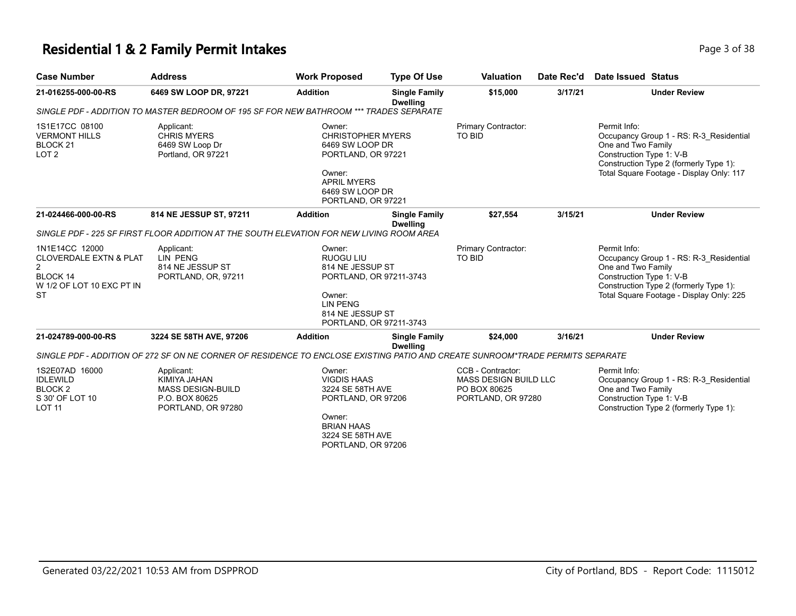### **Residential 1 & 2 Family Permit Intakes Page 1 0 and 2 and 2 and 2 and 2 and 2 and 2 and 2 and 2 and 2 and 2 and 2 and 2 and 2 and 2 and 2 and 2 and 2 and 2 and 2 and 2 and 2 and 2 and 2 and 2 and 2 and 2 and 2 and 2 an**

| <b>Case Number</b>                                                                                                          | <b>Address</b>                                                                                                                | <b>Work Proposed</b>                                                                                                                                  | <b>Type Of Use</b>                      | <b>Valuation</b>                                                                 | Date Rec'd | Date Issued Status                                                                                                                                                                              |
|-----------------------------------------------------------------------------------------------------------------------------|-------------------------------------------------------------------------------------------------------------------------------|-------------------------------------------------------------------------------------------------------------------------------------------------------|-----------------------------------------|----------------------------------------------------------------------------------|------------|-------------------------------------------------------------------------------------------------------------------------------------------------------------------------------------------------|
| 21-016255-000-00-RS                                                                                                         | 6469 SW LOOP DR, 97221                                                                                                        | <b>Addition</b>                                                                                                                                       | <b>Single Family</b><br><b>Dwelling</b> | \$15,000                                                                         | 3/17/21    | <b>Under Review</b>                                                                                                                                                                             |
|                                                                                                                             | SINGLE PDF - ADDITION TO MASTER BEDROOM OF 195 SF FOR NEW BATHROOM *** TRADES SEPARATE                                        |                                                                                                                                                       |                                         |                                                                                  |            |                                                                                                                                                                                                 |
| 1S1E17CC 08100<br><b>VERMONT HILLS</b><br>BLOCK <sub>21</sub><br>LOT <sub>2</sub>                                           | Applicant:<br><b>CHRIS MYERS</b><br>6469 SW Loop Dr<br>Portland, OR 97221                                                     | Owner:<br><b>CHRISTOPHER MYERS</b><br>6469 SW LOOP DR<br>PORTLAND, OR 97221<br>Owner:<br><b>APRIL MYERS</b><br>6469 SW LOOP DR<br>PORTLAND, OR 97221  |                                         | Primary Contractor:<br>TO BID                                                    |            | Permit Info:<br>Occupancy Group 1 - RS: R-3 Residential<br>One and Two Family<br>Construction Type 1: V-B<br>Construction Type 2 (formerly Type 1):<br>Total Square Footage - Display Only: 117 |
| 21-024466-000-00-RS                                                                                                         | 814 NE JESSUP ST, 97211                                                                                                       | <b>Addition</b>                                                                                                                                       | <b>Single Family</b><br><b>Dwelling</b> | \$27,554                                                                         | 3/15/21    | <b>Under Review</b>                                                                                                                                                                             |
|                                                                                                                             | SINGLE PDF - 225 SF FIRST FLOOR ADDITION AT THE SOUTH ELEVATION FOR NEW LIVING ROOM AREA                                      |                                                                                                                                                       |                                         |                                                                                  |            |                                                                                                                                                                                                 |
| 1N1E14CC 12000<br><b>CLOVERDALE EXTN &amp; PLAT</b><br>$\overline{2}$<br>BLOCK 14<br>W 1/2 OF LOT 10 EXC PT IN<br><b>ST</b> | Applicant:<br>LIN PENG<br>814 NE JESSUP ST<br>PORTLAND, OR, 97211                                                             | Owner:<br><b>RUOGU LIU</b><br>814 NE JESSUP ST<br>PORTLAND, OR 97211-3743<br>Owner:<br><b>LIN PENG</b><br>814 NE JESSUP ST<br>PORTLAND, OR 97211-3743 |                                         | Primary Contractor:<br>TO BID                                                    |            | Permit Info:<br>Occupancy Group 1 - RS: R-3_Residential<br>One and Two Family<br>Construction Type 1: V-B<br>Construction Type 2 (formerly Type 1):<br>Total Square Footage - Display Only: 225 |
| 21-024789-000-00-RS                                                                                                         | 3224 SE 58TH AVE, 97206                                                                                                       | <b>Addition</b>                                                                                                                                       | <b>Single Family</b><br><b>Dwelling</b> | \$24,000                                                                         | 3/16/21    | <b>Under Review</b>                                                                                                                                                                             |
|                                                                                                                             | SINGLE PDF - ADDITION OF 272 SF ON NE CORNER OF RESIDENCE TO ENCLOSE EXISTING PATIO AND CREATE SUNROOM*TRADE PERMITS SEPARATE |                                                                                                                                                       |                                         |                                                                                  |            |                                                                                                                                                                                                 |
| 1S2E07AD 16000<br><b>IDLEWILD</b><br>BLOCK <sub>2</sub><br>S 30' OF LOT 10<br><b>LOT 11</b>                                 | Applicant:<br>KIMIYA JAHAN<br><b>MASS DESIGN-BUILD</b><br>P.O. BOX 80625<br>PORTLAND, OR 97280                                | Owner:<br><b>VIGDIS HAAS</b><br>3224 SE 58TH AVE<br>PORTLAND, OR 97206<br>Owner:<br><b>BRIAN HAAS</b><br>3224 SE 58TH AVE<br>PORTLAND, OR 97206       |                                         | CCB - Contractor:<br>MASS DESIGN BUILD LLC<br>PO BOX 80625<br>PORTLAND, OR 97280 |            | Permit Info:<br>Occupancy Group 1 - RS: R-3 Residential<br>One and Two Family<br>Construction Type 1: V-B<br>Construction Type 2 (formerly Type 1):                                             |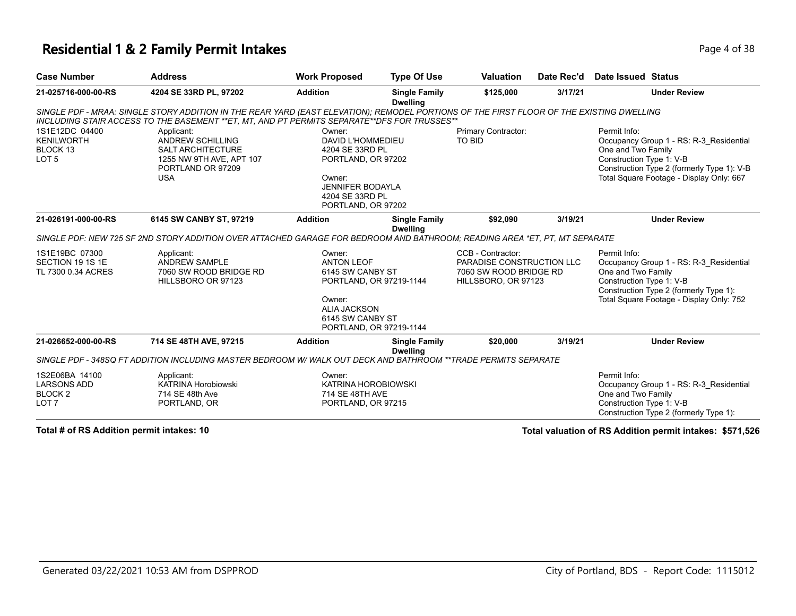#### **Residential 1 & 2 Family Permit Intakes Page 1 of 38** Page 4 of 38

| <b>Case Number</b>                                                             | <b>Address</b>                                                                                                                                                                                                                            | <b>Work Proposed</b>                                                                                                                                       | <b>Type Of Use</b>                      | <b>Valuation</b>                                                                                | Date Rec'd | Date Issued Status                                                                                                                                                                                  |
|--------------------------------------------------------------------------------|-------------------------------------------------------------------------------------------------------------------------------------------------------------------------------------------------------------------------------------------|------------------------------------------------------------------------------------------------------------------------------------------------------------|-----------------------------------------|-------------------------------------------------------------------------------------------------|------------|-----------------------------------------------------------------------------------------------------------------------------------------------------------------------------------------------------|
| 21-025716-000-00-RS                                                            | 4204 SE 33RD PL, 97202                                                                                                                                                                                                                    | <b>Addition</b>                                                                                                                                            | <b>Single Family</b><br><b>Dwelling</b> | \$125,000                                                                                       | 3/17/21    | <b>Under Review</b>                                                                                                                                                                                 |
|                                                                                | SINGLE PDF - MRAA: SINGLE STORY ADDITION IN THE REAR YARD (EAST ELEVATION); REMODEL PORTIONS OF THE FIRST FLOOR OF THE EXISTING DWELLING<br>INCLUDING STAIR ACCESS TO THE BASEMENT ** ET, MT, AND PT PERMITS SEPARATE** DFS FOR TRUSSES** |                                                                                                                                                            |                                         |                                                                                                 |            |                                                                                                                                                                                                     |
| 1S1E12DC 04400<br><b>KENILWORTH</b><br>BLOCK 13<br>LOT <sub>5</sub>            | Applicant:<br><b>ANDREW SCHILLING</b><br><b>SALT ARCHITECTURE</b><br>1255 NW 9TH AVE, APT 107<br>PORTLAND OR 97209<br><b>USA</b>                                                                                                          | Owner:<br>DAVID L'HOMMEDIEU<br>4204 SE 33RD PL<br>PORTLAND, OR 97202<br>Owner:<br><b>JENNIFER BODAYLA</b><br>4204 SE 33RD PL<br>PORTLAND, OR 97202         |                                         | Primary Contractor:<br>TO BID                                                                   |            | Permit Info:<br>Occupancy Group 1 - RS: R-3_Residential<br>One and Two Family<br>Construction Type 1: V-B<br>Construction Type 2 (formerly Type 1): V-B<br>Total Square Footage - Display Only: 667 |
| 21-026191-000-00-RS                                                            | 6145 SW CANBY ST, 97219                                                                                                                                                                                                                   | <b>Addition</b>                                                                                                                                            | <b>Single Family</b><br><b>Dwelling</b> | \$92,090                                                                                        | 3/19/21    | <b>Under Review</b>                                                                                                                                                                                 |
|                                                                                | SINGLE PDF: NEW 725 SF 2ND STORY ADDITION OVER ATTACHED GARAGE FOR BEDROOM AND BATHROOM; READING AREA *ET, PT, MT SEPARATE                                                                                                                |                                                                                                                                                            |                                         |                                                                                                 |            |                                                                                                                                                                                                     |
| 1S1E19BC 07300<br>SECTION 19 1S 1E<br>TL 7300 0.34 ACRES                       | Applicant:<br><b>ANDREW SAMPLE</b><br>7060 SW ROOD BRIDGE RD<br>HILLSBORO OR 97123                                                                                                                                                        | Owner:<br><b>ANTON LEOF</b><br>6145 SW CANBY ST<br>PORTLAND, OR 97219-1144<br>Owner:<br><b>ALIA JACKSON</b><br>6145 SW CANBY ST<br>PORTLAND, OR 97219-1144 |                                         | CCB - Contractor:<br>PARADISE CONSTRUCTION LLC<br>7060 SW ROOD BRIDGE RD<br>HILLSBORO, OR 97123 |            | Permit Info:<br>Occupancy Group 1 - RS: R-3 Residential<br>One and Two Family<br>Construction Type 1: V-B<br>Construction Type 2 (formerly Type 1):<br>Total Square Footage - Display Only: 752     |
| 21-026652-000-00-RS                                                            | 714 SE 48TH AVE, 97215                                                                                                                                                                                                                    | <b>Addition</b>                                                                                                                                            | <b>Single Family</b><br><b>Dwelling</b> | \$20,000                                                                                        | 3/19/21    | <b>Under Review</b>                                                                                                                                                                                 |
|                                                                                | SINGLE PDF - 348SQ FT ADDITION INCLUDING MASTER BEDROOM W/ WALK OUT DECK AND BATHROOM **TRADE PERMITS SEPARATE                                                                                                                            |                                                                                                                                                            |                                         |                                                                                                 |            |                                                                                                                                                                                                     |
| 1S2E06BA 14100<br><b>LARSONS ADD</b><br>BLOCK <sub>2</sub><br>LOT <sub>7</sub> | Applicant:<br><b>KATRINA Horobiowski</b><br>714 SE 48th Ave<br>PORTLAND, OR                                                                                                                                                               | Owner:<br>KATRINA HOROBIOWSKI<br>714 SE 48TH AVE<br>PORTLAND, OR 97215                                                                                     |                                         |                                                                                                 |            | Permit Info:<br>Occupancy Group 1 - RS: R-3 Residential<br>One and Two Family<br>Construction Type 1: V-B<br>Construction Type 2 (formerly Type 1):                                                 |

**Total # of RS Addition permit intakes: 10 Total valuation of RS Addition permit intakes: \$571,526**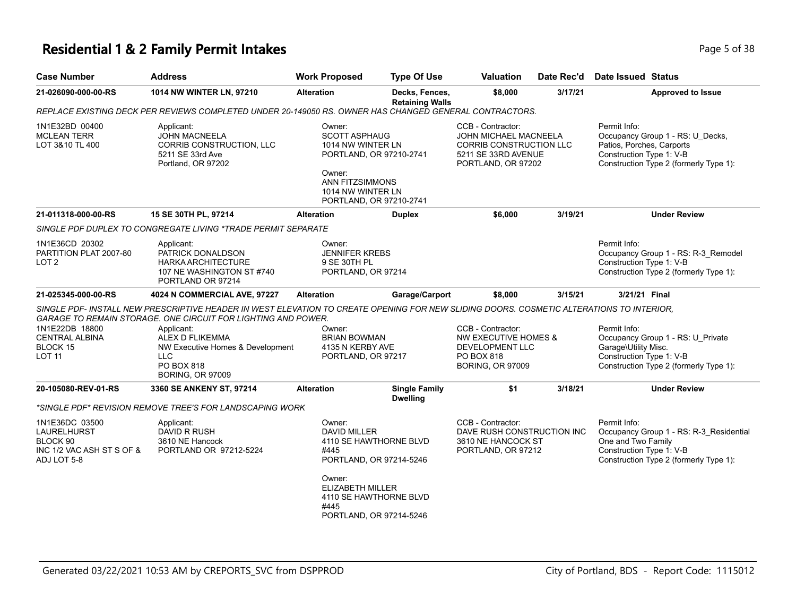### **Residential 1 & 2 Family Permit Intakes Page 1 and 2 and 2 and 2 and 2 and 2 and 2 and 2 and 2 and 2 and 2 and 2 and 2 and 2 and 2 and 2 and 2 and 2 and 2 and 2 and 2 and 2 and 2 and 2 and 2 and 2 and 2 and 2 and 2 and**

| <b>Case Number</b>                                                                           | <b>Address</b>                                                                                                                                                                                            | <b>Work Proposed</b>                                                                           | <b>Type Of Use</b>                       | <b>Valuation</b>                                                                                                          | Date Rec'd | Date Issued Status                                                                                                                                  |
|----------------------------------------------------------------------------------------------|-----------------------------------------------------------------------------------------------------------------------------------------------------------------------------------------------------------|------------------------------------------------------------------------------------------------|------------------------------------------|---------------------------------------------------------------------------------------------------------------------------|------------|-----------------------------------------------------------------------------------------------------------------------------------------------------|
| 21-026090-000-00-RS                                                                          | 1014 NW WINTER LN, 97210                                                                                                                                                                                  | <b>Alteration</b>                                                                              | Decks, Fences,<br><b>Retaining Walls</b> | \$8,000                                                                                                                   | 3/17/21    | <b>Approved to Issue</b>                                                                                                                            |
|                                                                                              | REPLACE EXISTING DECK PER REVIEWS COMPLETED UNDER 20-149050 RS. OWNER HAS CHANGED GENERAL CONTRACTORS.                                                                                                    |                                                                                                |                                          |                                                                                                                           |            |                                                                                                                                                     |
| 1N1E32BD 00400<br><b>MCLEAN TERR</b><br>LOT 3&10 TL 400                                      | Applicant:<br><b>JOHN MACNEELA</b><br>CORRIB CONSTRUCTION, LLC<br>5211 SE 33rd Ave<br>Portland, OR 97202                                                                                                  | Owner:<br><b>SCOTT ASPHAUG</b><br>1014 NW WINTER LN<br>PORTLAND, OR 97210-2741<br>Owner:       |                                          | CCB - Contractor:<br><b>JOHN MICHAEL MACNEELA</b><br>CORRIB CONSTRUCTION LLC<br>5211 SE 33RD AVENUE<br>PORTLAND, OR 97202 |            | Permit Info:<br>Occupancy Group 1 - RS: U_Decks,<br>Patios, Porches, Carports<br>Construction Type 1: V-B<br>Construction Type 2 (formerly Type 1): |
|                                                                                              |                                                                                                                                                                                                           | ANN FITZSIMMONS<br>1014 NW WINTER LN<br>PORTLAND, OR 97210-2741                                |                                          |                                                                                                                           |            |                                                                                                                                                     |
| 21-011318-000-00-RS                                                                          | 15 SE 30TH PL, 97214                                                                                                                                                                                      | <b>Alteration</b>                                                                              | <b>Duplex</b>                            | \$6,000                                                                                                                   | 3/19/21    | <b>Under Review</b>                                                                                                                                 |
|                                                                                              | SINGLE PDF DUPLEX TO CONGREGATE LIVING *TRADE PERMIT SEPARATE                                                                                                                                             |                                                                                                |                                          |                                                                                                                           |            |                                                                                                                                                     |
| 1N1E36CD 20302<br>PARTITION PLAT 2007-80<br>LOT <sub>2</sub>                                 | Applicant:<br>PATRICK DONALDSON<br><b>HARKA ARCHITECTURE</b><br>107 NE WASHINGTON ST #740<br>PORTLAND OR 97214                                                                                            | Owner:<br><b>JENNIFER KREBS</b><br>9 SE 30TH PL<br>PORTLAND, OR 97214                          |                                          |                                                                                                                           |            | Permit Info:<br>Occupancy Group 1 - RS: R-3_Remodel<br>Construction Type 1: V-B<br>Construction Type 2 (formerly Type 1):                           |
| 21-025345-000-00-RS                                                                          | 4024 N COMMERCIAL AVE, 97227                                                                                                                                                                              | <b>Alteration</b>                                                                              | Garage/Carport                           | \$8,000                                                                                                                   | 3/15/21    | 3/21/21 Final                                                                                                                                       |
|                                                                                              | SINGLE PDF- INSTALL NEW PRESCRIPTIVE HEADER IN WEST ELEVATION TO CREATE OPENING FOR NEW SLIDING DOORS. COSMETIC ALTERATIONS TO INTERIOR.<br>GARAGE TO REMAIN STORAGE. ONE CIRCUIT FOR LIGHTING AND POWER. |                                                                                                |                                          |                                                                                                                           |            |                                                                                                                                                     |
| 1N1E22DB 18800<br><b>CENTRAL ALBINA</b><br>BLOCK 15<br><b>LOT 11</b>                         | Applicant:<br>ALEX D FLIKEMMA<br>NW Executive Homes & Development<br><b>LLC</b><br>PO BOX 818<br><b>BORING, OR 97009</b>                                                                                  | Owner:<br><b>BRIAN BOWMAN</b><br>4135 N KERBY AVE<br>PORTLAND, OR 97217                        |                                          | CCB - Contractor:<br><b>NW EXECUTIVE HOMES &amp;</b><br><b>DEVELOPMENT LLC</b><br>PO BOX 818<br><b>BORING, OR 97009</b>   |            | Permit Info:<br>Occupancy Group 1 - RS: U_Private<br>Garage\Utility Misc.<br>Construction Type 1: V-B<br>Construction Type 2 (formerly Type 1):     |
| 20-105080-REV-01-RS                                                                          | 3360 SE ANKENY ST, 97214                                                                                                                                                                                  | <b>Alteration</b>                                                                              | <b>Single Family</b><br><b>Dwelling</b>  | \$1                                                                                                                       | 3/18/21    | <b>Under Review</b>                                                                                                                                 |
|                                                                                              | *SINGLE PDF* REVISION REMOVE TREE'S FOR LANDSCAPING WORK                                                                                                                                                  |                                                                                                |                                          |                                                                                                                           |            |                                                                                                                                                     |
| 1N1E36DC 03500<br><b>LAURELHURST</b><br>BLOCK 90<br>INC 1/2 VAC ASH ST S OF &<br>ADJ LOT 5-8 | Applicant:<br>DAVID R RUSH<br>3610 NE Hancock<br>PORTLAND OR 97212-5224                                                                                                                                   | Owner:<br><b>DAVID MILLER</b><br>4110 SE HAWTHORNE BLVD<br>#445<br>PORTLAND, OR 97214-5246     |                                          | CCB - Contractor:<br>DAVE RUSH CONSTRUCTION INC<br>3610 NE HANCOCK ST<br>PORTLAND, OR 97212                               |            | Permit Info:<br>Occupancy Group 1 - RS: R-3_Residential<br>One and Two Family<br>Construction Type 1: V-B<br>Construction Type 2 (formerly Type 1): |
|                                                                                              |                                                                                                                                                                                                           | Owner:<br><b>ELIZABETH MILLER</b><br>4110 SE HAWTHORNE BLVD<br>#445<br>PORTLAND, OR 97214-5246 |                                          |                                                                                                                           |            |                                                                                                                                                     |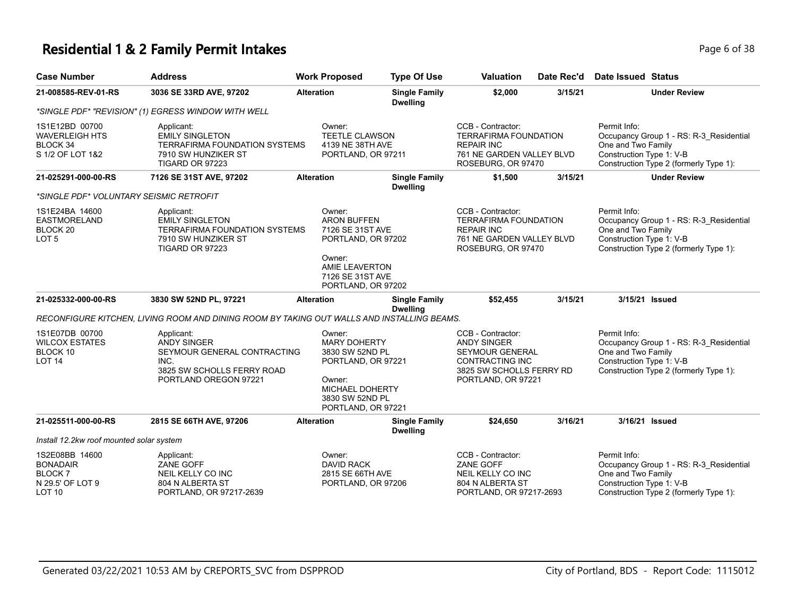### **Residential 1 & 2 Family Permit Intakes Page 1 and 2 Family Permit Intakes Page 6 of 38**

| <b>Case Number</b>                                                               | <b>Address</b>                                                                                                                 | <b>Work Proposed</b>                                                                                                                         | <b>Type Of Use</b>                      | <b>Valuation</b>                                                                                                                       | Date Rec'd | Date Issued Status                                                                                                                                  |
|----------------------------------------------------------------------------------|--------------------------------------------------------------------------------------------------------------------------------|----------------------------------------------------------------------------------------------------------------------------------------------|-----------------------------------------|----------------------------------------------------------------------------------------------------------------------------------------|------------|-----------------------------------------------------------------------------------------------------------------------------------------------------|
| 21-008585-REV-01-RS                                                              | 3036 SE 33RD AVE, 97202                                                                                                        | <b>Alteration</b>                                                                                                                            | <b>Single Family</b><br><b>Dwelling</b> | \$2,000                                                                                                                                | 3/15/21    | <b>Under Review</b>                                                                                                                                 |
|                                                                                  | *SINGLE PDF* "REVISION" (1) EGRESS WINDOW WITH WELL                                                                            |                                                                                                                                              |                                         |                                                                                                                                        |            |                                                                                                                                                     |
| 1S1E12BD 00700<br>WAVERLEIGH HTS<br>BLOCK 34<br>S 1/2 OF LOT 1&2                 | Applicant:<br><b>EMILY SINGLETON</b><br><b>TERRAFIRMA FOUNDATION SYSTEMS</b><br>7910 SW HUNZIKER ST<br>TIGARD OR 97223         | Owner:<br><b>TEETLE CLAWSON</b><br>4139 NE 38TH AVE<br>PORTLAND, OR 97211                                                                    |                                         | CCB - Contractor:<br><b>TERRAFIRMA FOUNDATION</b><br><b>REPAIR INC</b><br>761 NE GARDEN VALLEY BLVD<br>ROSEBURG, OR 97470              |            | Permit Info:<br>Occupancy Group 1 - RS: R-3_Residential<br>One and Two Family<br>Construction Type 1: V-B<br>Construction Type 2 (formerly Type 1): |
| 21-025291-000-00-RS                                                              | 7126 SE 31ST AVE, 97202                                                                                                        | <b>Alteration</b>                                                                                                                            | <b>Single Family</b><br><b>Dwelling</b> | \$1,500                                                                                                                                | 3/15/21    | <b>Under Review</b>                                                                                                                                 |
| *SINGLE PDF* VOLUNTARY SEISMIC RETROFIT                                          |                                                                                                                                |                                                                                                                                              |                                         |                                                                                                                                        |            |                                                                                                                                                     |
| 1S1E24BA 14600<br><b>EASTMORELAND</b><br>BLOCK <sub>20</sub><br>LOT <sub>5</sub> | Applicant:<br><b>EMILY SINGLETON</b><br>TERRAFIRMA FOUNDATION SYSTEMS<br>7910 SW HUNZIKER ST<br>TIGARD OR 97223                | Owner:<br><b>ARON BUFFEN</b><br>7126 SE 31ST AVE<br>PORTLAND, OR 97202                                                                       |                                         | CCB - Contractor:<br>TERRAFIRMA FOUNDATION<br><b>REPAIR INC</b><br>761 NE GARDEN VALLEY BLVD<br>ROSEBURG, OR 97470                     |            | Permit Info:<br>Occupancy Group 1 - RS: R-3_Residential<br>One and Two Family<br>Construction Type 1: V-B<br>Construction Type 2 (formerly Type 1): |
|                                                                                  |                                                                                                                                | Owner:<br>AMIE LEAVERTON<br>7126 SE 31ST AVE<br>PORTLAND, OR 97202                                                                           |                                         |                                                                                                                                        |            |                                                                                                                                                     |
| 21-025332-000-00-RS                                                              | 3830 SW 52ND PL, 97221                                                                                                         | <b>Alteration</b>                                                                                                                            | <b>Single Family</b><br><b>Dwelling</b> | \$52,455                                                                                                                               | 3/15/21    | 3/15/21 Issued                                                                                                                                      |
|                                                                                  | RECONFIGURE KITCHEN, LIVING ROOM AND DINING ROOM BY TAKING OUT WALLS AND INSTALLING BEAMS.                                     |                                                                                                                                              |                                         |                                                                                                                                        |            |                                                                                                                                                     |
| 1S1E07DB 00700<br><b>WILCOX ESTATES</b><br>BLOCK 10<br><b>LOT 14</b>             | Applicant:<br><b>ANDY SINGER</b><br>SEYMOUR GENERAL CONTRACTING<br>INC.<br>3825 SW SCHOLLS FERRY ROAD<br>PORTLAND OREGON 97221 | Owner:<br><b>MARY DOHERTY</b><br>3830 SW 52ND PL<br>PORTLAND, OR 97221<br>Owner:<br>MICHAEL DOHERTY<br>3830 SW 52ND PL<br>PORTLAND, OR 97221 |                                         | CCB - Contractor:<br><b>ANDY SINGER</b><br><b>SEYMOUR GENERAL</b><br>CONTRACTING INC<br>3825 SW SCHOLLS FERRY RD<br>PORTLAND, OR 97221 |            | Permit Info:<br>Occupancy Group 1 - RS: R-3 Residential<br>One and Two Family<br>Construction Type 1: V-B<br>Construction Type 2 (formerly Type 1): |
| 21-025511-000-00-RS                                                              | 2815 SE 66TH AVE, 97206                                                                                                        | <b>Alteration</b>                                                                                                                            | <b>Single Family</b><br><b>Dwelling</b> | \$24,650                                                                                                                               | 3/16/21    | 3/16/21 Issued                                                                                                                                      |
| Install 12.2kw roof mounted solar system                                         |                                                                                                                                |                                                                                                                                              |                                         |                                                                                                                                        |            |                                                                                                                                                     |
| 1S2E08BB 14600<br><b>BONADAIR</b><br><b>BLOCK7</b><br>N 29.5' OF LOT 9<br>LOT 10 | Applicant:<br>ZANE GOFF<br>NEIL KELLY CO INC<br>804 N ALBERTA ST<br>PORTLAND, OR 97217-2639                                    | Owner:<br><b>DAVID RACK</b><br>2815 SE 66TH AVE<br>PORTLAND, OR 97206                                                                        |                                         | CCB - Contractor:<br><b>ZANE GOFF</b><br>NEIL KELLY CO INC<br>804 N ALBERTA ST<br>PORTLAND, OR 97217-2693                              |            | Permit Info:<br>Occupancy Group 1 - RS: R-3_Residential<br>One and Two Family<br>Construction Type 1: V-B<br>Construction Type 2 (formerly Type 1): |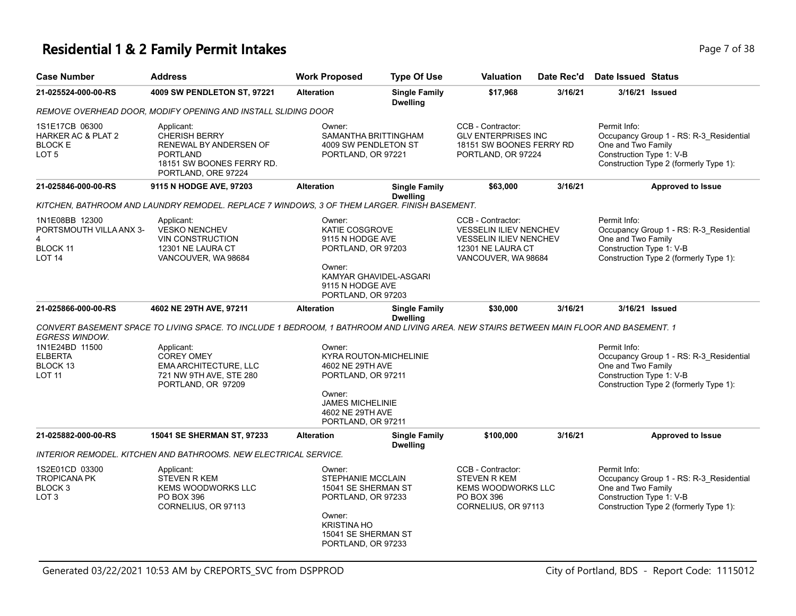### **Residential 1 & 2 Family Permit Intakes Page 7 of 38**

| <b>Case Number</b>                                                                    | <b>Address</b>                                                                                                                          | <b>Work Proposed</b>                                                                                                                             | <b>Type Of Use</b>                      | <b>Valuation</b>                                                                                                                | Date Rec'd | <b>Date Issued Status</b>                                                                                                                           |
|---------------------------------------------------------------------------------------|-----------------------------------------------------------------------------------------------------------------------------------------|--------------------------------------------------------------------------------------------------------------------------------------------------|-----------------------------------------|---------------------------------------------------------------------------------------------------------------------------------|------------|-----------------------------------------------------------------------------------------------------------------------------------------------------|
| 21-025524-000-00-RS                                                                   | 4009 SW PENDLETON ST, 97221                                                                                                             | <b>Alteration</b>                                                                                                                                | <b>Single Family</b><br><b>Dwelling</b> | \$17,968                                                                                                                        | 3/16/21    | 3/16/21 Issued                                                                                                                                      |
|                                                                                       | REMOVE OVERHEAD DOOR, MODIFY OPENING AND INSTALL SLIDING DOOR                                                                           |                                                                                                                                                  |                                         |                                                                                                                                 |            |                                                                                                                                                     |
| 1S1E17CB 06300<br><b>HARKER AC &amp; PLAT 2</b><br><b>BLOCK E</b><br>LOT <sub>5</sub> | Applicant:<br>CHERISH BERRY<br>RENEWAL BY ANDERSEN OF<br><b>PORTLAND</b><br>18151 SW BOONES FERRY RD.<br>PORTLAND, ORE 97224            | Owner:<br>SAMANTHA BRITTINGHAM<br>4009 SW PENDLETON ST<br>PORTLAND, OR 97221                                                                     |                                         | CCB - Contractor:<br><b>GLV ENTERPRISES INC</b><br>18151 SW BOONES FERRY RD<br>PORTLAND, OR 97224                               |            | Permit Info:<br>Occupancy Group 1 - RS: R-3_Residential<br>One and Two Family<br>Construction Type 1: V-B<br>Construction Type 2 (formerly Type 1): |
| 21-025846-000-00-RS                                                                   | 9115 N HODGE AVE, 97203                                                                                                                 | <b>Alteration</b>                                                                                                                                | <b>Single Family</b><br><b>Dwelling</b> | \$63,000                                                                                                                        | 3/16/21    | <b>Approved to Issue</b>                                                                                                                            |
|                                                                                       | KITCHEN, BATHROOM AND LAUNDRY REMODEL. REPLACE 7 WINDOWS, 3 OF THEM LARGER. FINISH BASEMENT.                                            |                                                                                                                                                  |                                         |                                                                                                                                 |            |                                                                                                                                                     |
| 1N1E08BB 12300<br>PORTSMOUTH VILLA ANX 3-<br>4<br>BLOCK 11<br>LOT <sub>14</sub>       | Applicant:<br><b>VESKO NENCHEV</b><br><b>VIN CONSTRUCTION</b><br>12301 NE LAURA CT<br>VANCOUVER, WA 98684                               | Owner:<br>KATIE COSGROVE<br>9115 N HODGE AVE<br>PORTLAND, OR 97203<br>Owner:<br>KAMYAR GHAVIDEL-ASGARI<br>9115 N HODGE AVE<br>PORTLAND, OR 97203 |                                         | CCB - Contractor:<br><b>VESSELIN ILIEV NENCHEV</b><br><b>VESSELIN ILIEV NENCHEV</b><br>12301 NE LAURA CT<br>VANCOUVER, WA 98684 |            | Permit Info:<br>Occupancy Group 1 - RS: R-3_Residential<br>One and Two Family<br>Construction Type 1: V-B<br>Construction Type 2 (formerly Type 1): |
| 21-025866-000-00-RS                                                                   | 4602 NE 29TH AVE, 97211                                                                                                                 | <b>Alteration</b>                                                                                                                                | <b>Single Family</b><br><b>Dwelling</b> | \$30,000                                                                                                                        | 3/16/21    | 3/16/21 Issued                                                                                                                                      |
| <b>EGRESS WINDOW.</b>                                                                 | CONVERT BASEMENT SPACE TO LIVING SPACE. TO INCLUDE 1 BEDROOM, 1 BATHROOM AND LIVING AREA. NEW STAIRS BETWEEN MAIN FLOOR AND BASEMENT. 1 |                                                                                                                                                  |                                         |                                                                                                                                 |            |                                                                                                                                                     |
| 1N1E24BD 11500                                                                        | Applicant:                                                                                                                              | Owner:                                                                                                                                           |                                         |                                                                                                                                 |            | Permit Info:                                                                                                                                        |
| <b>ELBERTA</b><br>BLOCK 13                                                            | <b>COREY OMEY</b><br>EMA ARCHITECTURE, LLC                                                                                              | <b>KYRA ROUTON-MICHELINIE</b><br>4602 NE 29TH AVE                                                                                                |                                         |                                                                                                                                 |            | Occupancy Group 1 - RS: R-3_Residential<br>One and Two Family                                                                                       |
| <b>LOT 11</b>                                                                         | 721 NW 9TH AVE, STE 280<br>PORTLAND, OR 97209                                                                                           | PORTLAND, OR 97211<br>Owner:<br><b>JAMES MICHELINIE</b><br>4602 NE 29TH AVE<br>PORTLAND, OR 97211                                                |                                         |                                                                                                                                 |            | Construction Type 1: V-B<br>Construction Type 2 (formerly Type 1):                                                                                  |
| 21-025882-000-00-RS                                                                   | 15041 SE SHERMAN ST, 97233                                                                                                              | <b>Alteration</b>                                                                                                                                | <b>Single Family</b><br><b>Dwelling</b> | \$100,000                                                                                                                       | 3/16/21    | <b>Approved to Issue</b>                                                                                                                            |
|                                                                                       | <b>INTERIOR REMODEL. KITCHEN AND BATHROOMS. NEW ELECTRICAL SERVICE.</b>                                                                 |                                                                                                                                                  |                                         |                                                                                                                                 |            |                                                                                                                                                     |
| 1S2E01CD 03300<br><b>TROPICANA PK</b><br>BLOCK <sub>3</sub><br>LOT <sub>3</sub>       | Applicant:<br><b>STEVEN R KEM</b><br><b>KEMS WOODWORKS LLC</b><br><b>PO BOX 396</b><br>CORNELIUS, OR 97113                              | Owner:<br>STEPHANIE MCCLAIN<br>15041 SE SHERMAN ST<br>PORTLAND, OR 97233<br>Owner:<br>KRISTINA HO<br>15041 SE SHERMAN ST<br>PORTLAND, OR 97233   |                                         | CCB - Contractor:<br><b>STEVEN R KEM</b><br><b>KEMS WOODWORKS LLC</b><br>PO BOX 396<br>CORNELIUS, OR 97113                      |            | Permit Info:<br>Occupancy Group 1 - RS: R-3_Residential<br>One and Two Family<br>Construction Type 1: V-B<br>Construction Type 2 (formerly Type 1): |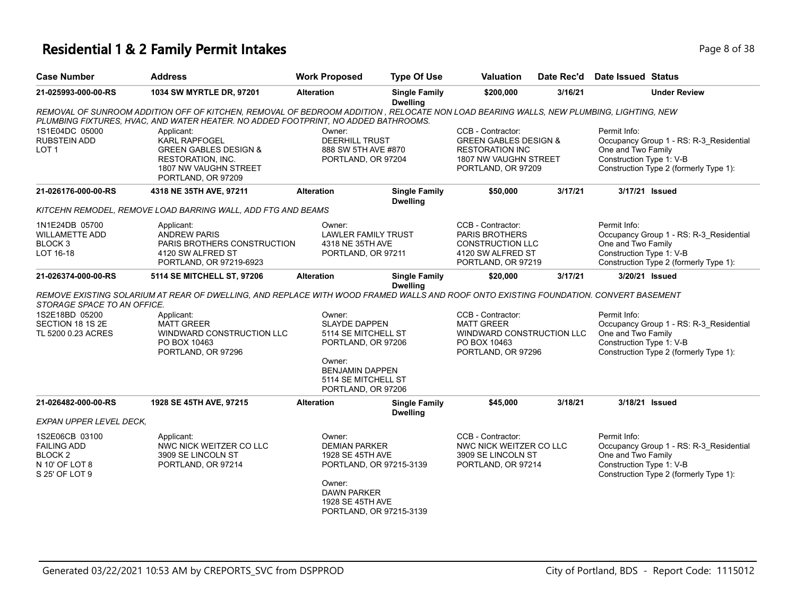### **Residential 1 & 2 Family Permit Intakes Page 1 and 2 and 2 and 2 and 2 and 2 and 2 and 2 and 2 and 2 and 2 and 2 and 2 and 2 and 2 and 2 and 2 and 2 and 2 and 2 and 2 and 2 and 2 and 2 and 2 and 2 and 2 and 2 and 2 and**

| <b>Case Number</b>                                                                             | <b>Address</b>                                                                                                                                                                                                               | <b>Work Proposed</b>                                                                                                                                         | <b>Type Of Use</b>                      | <b>Valuation</b>                                                                                                               | Date Rec'd | Date Issued Status                                                                                                                                  |  |
|------------------------------------------------------------------------------------------------|------------------------------------------------------------------------------------------------------------------------------------------------------------------------------------------------------------------------------|--------------------------------------------------------------------------------------------------------------------------------------------------------------|-----------------------------------------|--------------------------------------------------------------------------------------------------------------------------------|------------|-----------------------------------------------------------------------------------------------------------------------------------------------------|--|
| 21-025993-000-00-RS                                                                            | 1034 SW MYRTLE DR, 97201                                                                                                                                                                                                     | <b>Alteration</b>                                                                                                                                            | <b>Single Family</b><br><b>Dwelling</b> | \$200,000                                                                                                                      | 3/16/21    | <b>Under Review</b>                                                                                                                                 |  |
|                                                                                                | REMOVAL OF SUNROOM ADDITION OFF OF KITCHEN, REMOVAL OF BEDROOM ADDITION , RELOCATE NON LOAD BEARING WALLS, NEW PLUMBING, LIGHTING, NEW<br>PLUMBING FIXTURES, HVAC, AND WATER HEATER. NO ADDED FOOTPRINT, NO ADDED BATHROOMS. |                                                                                                                                                              |                                         |                                                                                                                                |            |                                                                                                                                                     |  |
| 1S1E04DC 05000<br><b>RUBSTEIN ADD</b><br>LOT <sub>1</sub>                                      | Applicant:<br>KARL RAPFOGEL<br><b>GREEN GABLES DESIGN &amp;</b><br><b>RESTORATION, INC.</b><br>1807 NW VAUGHN STREET<br>PORTLAND, OR 97209                                                                                   | Owner:<br><b>DEERHILL TRUST</b><br>888 SW 5TH AVE #870<br>PORTLAND, OR 97204                                                                                 |                                         | CCB - Contractor:<br><b>GREEN GABLES DESIGN &amp;</b><br><b>RESTORATION INC</b><br>1807 NW VAUGHN STREET<br>PORTLAND, OR 97209 |            | Permit Info:<br>Occupancy Group 1 - RS: R-3_Residential<br>One and Two Family<br>Construction Type 1: V-B<br>Construction Type 2 (formerly Type 1): |  |
| 21-026176-000-00-RS                                                                            | 4318 NE 35TH AVE, 97211                                                                                                                                                                                                      | <b>Alteration</b>                                                                                                                                            | <b>Single Family</b><br><b>Dwelling</b> | \$50,000                                                                                                                       | 3/17/21    | 3/17/21 Issued                                                                                                                                      |  |
|                                                                                                | KITCEHN REMODEL, REMOVE LOAD BARRING WALL, ADD FTG AND BEAMS                                                                                                                                                                 |                                                                                                                                                              |                                         |                                                                                                                                |            |                                                                                                                                                     |  |
| 1N1E24DB 05700<br><b>WILLAMETTE ADD</b><br>BLOCK 3<br>LOT 16-18                                | Applicant:<br><b>ANDREW PARIS</b><br>PARIS BROTHERS CONSTRUCTION<br>4120 SW ALFRED ST<br>PORTLAND, OR 97219-6923                                                                                                             | Owner:<br><b>LAWLER FAMILY TRUST</b><br>4318 NE 35TH AVE<br>PORTLAND, OR 97211                                                                               |                                         | CCB - Contractor:<br><b>PARIS BROTHERS</b><br><b>CONSTRUCTION LLC</b><br>4120 SW ALFRED ST<br>PORTLAND, OR 97219               |            | Permit Info:<br>Occupancy Group 1 - RS: R-3_Residential<br>One and Two Family<br>Construction Type 1: V-B<br>Construction Type 2 (formerly Type 1): |  |
| 21-026374-000-00-RS                                                                            | 5114 SE MITCHELL ST, 97206                                                                                                                                                                                                   | <b>Alteration</b>                                                                                                                                            | <b>Single Family</b><br><b>Dwelling</b> | \$20,000                                                                                                                       | 3/17/21    | 3/20/21 Issued                                                                                                                                      |  |
| STORAGE SPACE TO AN OFFICE.                                                                    | REMOVE EXISTING SOLARIUM AT REAR OF DWELLING, AND REPLACE WITH WOOD FRAMED WALLS AND ROOF ONTO EXISTING FOUNDATION. CONVERT BASEMENT                                                                                         |                                                                                                                                                              |                                         |                                                                                                                                |            |                                                                                                                                                     |  |
| 1S2E18BD 05200<br>SECTION 18 1S 2E<br>TL 5200 0.23 ACRES                                       | Applicant:<br><b>MATT GREER</b><br>WINDWARD CONSTRUCTION LLC<br>PO BOX 10463<br>PORTLAND, OR 97296                                                                                                                           | Owner:<br><b>SLAYDE DAPPEN</b><br>5114 SE MITCHELL ST<br>PORTLAND, OR 97206<br>Owner:<br><b>BENJAMIN DAPPEN</b><br>5114 SE MITCHELL ST<br>PORTLAND, OR 97206 |                                         | CCB - Contractor:<br><b>MATT GREER</b><br>WINDWARD CONSTRUCTION LLC<br>PO BOX 10463<br>PORTLAND, OR 97296                      |            | Permit Info:<br>Occupancy Group 1 - RS: R-3_Residential<br>One and Two Family<br>Construction Type 1: V-B<br>Construction Type 2 (formerly Type 1): |  |
| 21-026482-000-00-RS                                                                            | 1928 SE 45TH AVE, 97215                                                                                                                                                                                                      | <b>Alteration</b>                                                                                                                                            | <b>Single Family</b>                    | \$45,000                                                                                                                       | 3/18/21    | 3/18/21 Issued                                                                                                                                      |  |
| EXPAN UPPER LEVEL DECK,                                                                        |                                                                                                                                                                                                                              |                                                                                                                                                              | <b>Dwelling</b>                         |                                                                                                                                |            |                                                                                                                                                     |  |
| 1S2E06CB 03100<br><b>FAILING ADD</b><br>BLOCK <sub>2</sub><br>N 10' OF LOT 8<br>S 25' OF LOT 9 | Applicant:<br>NWC NICK WEITZER CO LLC<br>3909 SE LINCOLN ST<br>PORTLAND, OR 97214                                                                                                                                            | Owner:<br><b>DEMIAN PARKER</b><br>1928 SE 45TH AVE<br>PORTLAND, OR 97215-3139<br>Owner:<br><b>DAWN PARKER</b><br>1928 SE 45TH AVE<br>PORTLAND, OR 97215-3139 |                                         | CCB - Contractor:<br>NWC NICK WEITZER CO LLC<br>3909 SE LINCOLN ST<br>PORTLAND, OR 97214                                       |            | Permit Info:<br>Occupancy Group 1 - RS: R-3_Residential<br>One and Two Family<br>Construction Type 1: V-B<br>Construction Type 2 (formerly Type 1): |  |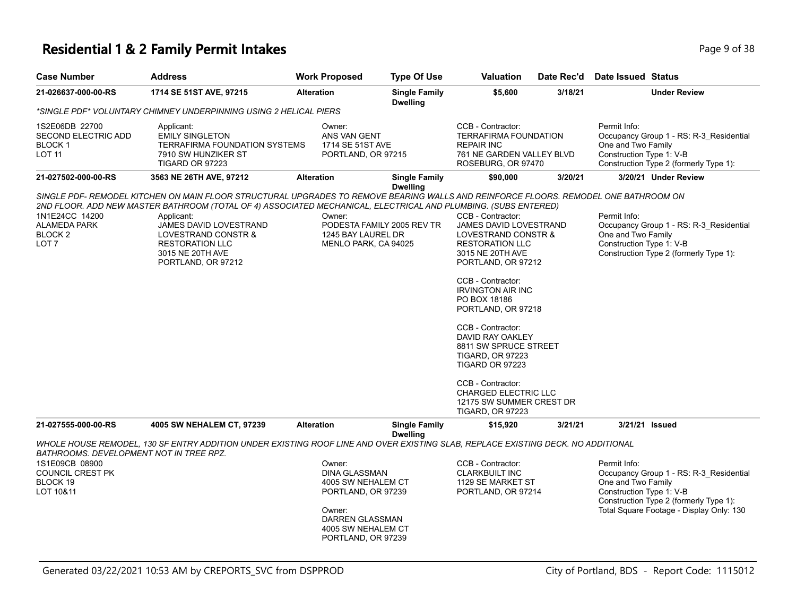### **Residential 1 & 2 Family Permit Intakes Page 1 and Security Page 9 of 38**

| <b>Case Number</b>                                                                                                   | <b>Address</b>                                                                                                                                                                                                                                                                                                                                                                           | <b>Work Proposed</b>                                                                                                                                | <b>Type Of Use</b>                      | Valuation                                                                                                                                                                                                                                                                                                                                                                                                                                                       | Date Rec'd | <b>Date Issued Status</b>                                                                                                                                                                       |
|----------------------------------------------------------------------------------------------------------------------|------------------------------------------------------------------------------------------------------------------------------------------------------------------------------------------------------------------------------------------------------------------------------------------------------------------------------------------------------------------------------------------|-----------------------------------------------------------------------------------------------------------------------------------------------------|-----------------------------------------|-----------------------------------------------------------------------------------------------------------------------------------------------------------------------------------------------------------------------------------------------------------------------------------------------------------------------------------------------------------------------------------------------------------------------------------------------------------------|------------|-------------------------------------------------------------------------------------------------------------------------------------------------------------------------------------------------|
| 21-026637-000-00-RS                                                                                                  | 1714 SE 51ST AVE, 97215                                                                                                                                                                                                                                                                                                                                                                  | <b>Alteration</b>                                                                                                                                   | <b>Single Family</b><br><b>Dwelling</b> | \$5,600                                                                                                                                                                                                                                                                                                                                                                                                                                                         | 3/18/21    | <b>Under Review</b>                                                                                                                                                                             |
|                                                                                                                      | *SINGLE PDF* VOLUNTARY CHIMNEY UNDERPINNING USING 2 HELICAL PIERS                                                                                                                                                                                                                                                                                                                        |                                                                                                                                                     |                                         |                                                                                                                                                                                                                                                                                                                                                                                                                                                                 |            |                                                                                                                                                                                                 |
| 1S2E06DB 22700<br>SECOND ELECTRIC ADD<br><b>BLOCK1</b><br><b>LOT 11</b>                                              | Applicant:<br><b>EMILY SINGLETON</b><br>TERRAFIRMA FOUNDATION SYSTEMS<br>7910 SW HUNZIKER ST<br>TIGARD OR 97223                                                                                                                                                                                                                                                                          | Owner:<br>ANS VAN GENT<br>1714 SE 51ST AVE<br>PORTLAND, OR 97215                                                                                    |                                         | CCB - Contractor:<br><b>TERRAFIRMA FOUNDATION</b><br><b>REPAIR INC</b><br>761 NE GARDEN VALLEY BLVD<br>ROSEBURG, OR 97470                                                                                                                                                                                                                                                                                                                                       |            | Permit Info:<br>Occupancy Group 1 - RS: R-3_Residential<br>One and Two Family<br>Construction Type 1: V-B<br>Construction Type 2 (formerly Type 1):                                             |
| 21-027502-000-00-RS                                                                                                  | 3563 NE 26TH AVE, 97212                                                                                                                                                                                                                                                                                                                                                                  | <b>Alteration</b>                                                                                                                                   | <b>Single Family</b><br><b>Dwelling</b> | \$90,000                                                                                                                                                                                                                                                                                                                                                                                                                                                        | 3/20/21    | 3/20/21 Under Review                                                                                                                                                                            |
| 1N1E24CC 14200<br><b>ALAMEDA PARK</b><br>BLOCK <sub>2</sub><br>LOT <sub>7</sub>                                      | SINGLE PDF- REMODEL KITCHEN ON MAIN FLOOR STRUCTURAL UPGRADES TO REMOVE BEARING WALLS AND REINFORCE FLOORS. REMODEL ONE BATHROOM ON<br>2ND FLOOR. ADD NEW MASTER BATHROOM (TOTAL OF 4) ASSOCIATED MECHANICAL, ELECTRICAL AND PLUMBING. (SUBS ENTERED)<br>Applicant:<br>JAMES DAVID LOVESTRAND<br>LOVESTRAND CONSTR &<br><b>RESTORATION LLC</b><br>3015 NE 20TH AVE<br>PORTLAND, OR 97212 | Owner:<br>1245 BAY LAUREL DR<br>MENLO PARK, CA 94025                                                                                                | PODESTA FAMILY 2005 REV TR              | CCB - Contractor:<br><b>JAMES DAVID LOVESTRAND</b><br>LOVESTRAND CONSTR &<br><b>RESTORATION LLC</b><br>3015 NE 20TH AVE<br>PORTLAND, OR 97212<br>CCB - Contractor:<br><b>IRVINGTON AIR INC</b><br>PO BOX 18186<br>PORTLAND, OR 97218<br>CCB - Contractor:<br>DAVID RAY OAKLEY<br>8811 SW SPRUCE STREET<br><b>TIGARD, OR 97223</b><br>TIGARD OR 97223<br>CCB - Contractor:<br><b>CHARGED ELECTRIC LLC</b><br>12175 SW SUMMER CREST DR<br><b>TIGARD, OR 97223</b> |            | Permit Info:<br>Occupancy Group 1 - RS: R-3_Residential<br>One and Two Family<br>Construction Type 1: V-B<br>Construction Type 2 (formerly Type 1):                                             |
| 21-027555-000-00-RS                                                                                                  | 4005 SW NEHALEM CT, 97239                                                                                                                                                                                                                                                                                                                                                                | <b>Alteration</b>                                                                                                                                   | <b>Single Family</b>                    | \$15,920                                                                                                                                                                                                                                                                                                                                                                                                                                                        | 3/21/21    | 3/21/21 Issued                                                                                                                                                                                  |
| <b>BATHROOMS. DEVELOPMENT NOT IN TREE RPZ.</b><br>1S1E09CB 08900<br><b>COUNCIL CREST PK</b><br>BLOCK 19<br>LOT 10&11 | WHOLE HOUSE REMODEL, 130 SF ENTRY ADDITION UNDER EXISTING ROOF LINE AND OVER EXISTING SLAB, REPLACE EXISTING DECK. NO ADDITIONAL                                                                                                                                                                                                                                                         | Owner:<br><b>DINA GLASSMAN</b><br>4005 SW NEHALEM CT<br>PORTLAND, OR 97239<br>Owner:<br>DARREN GLASSMAN<br>4005 SW NEHALEM CT<br>PORTLAND, OR 97239 | <b>Dwelling</b>                         | CCB - Contractor:<br><b>CLARKBUILT INC</b><br>1129 SE MARKET ST<br>PORTLAND, OR 97214                                                                                                                                                                                                                                                                                                                                                                           |            | Permit Info:<br>Occupancy Group 1 - RS: R-3 Residential<br>One and Two Family<br>Construction Type 1: V-B<br>Construction Type 2 (formerly Type 1):<br>Total Square Footage - Display Only: 130 |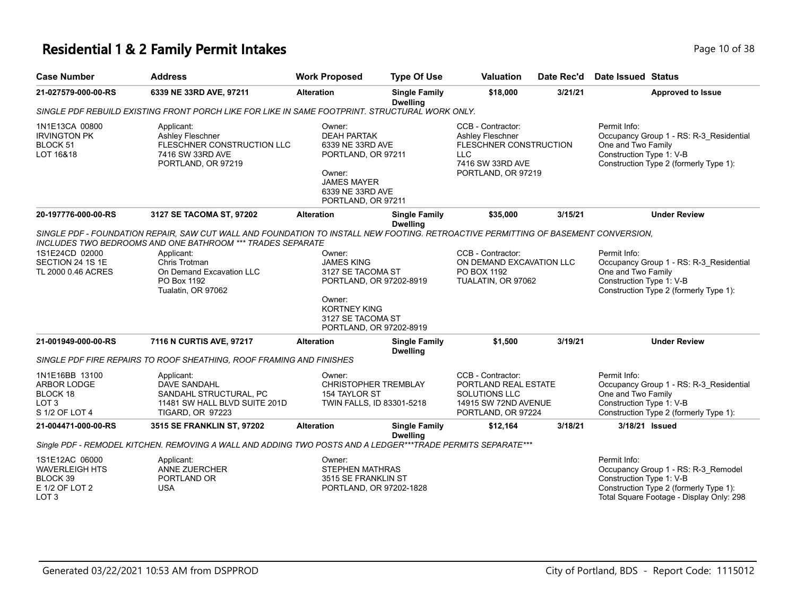# **Residential 1 & 2 Family Permit Intakes Page 10 of 38**

| <b>Case Number</b>                                                                        | <b>Address</b>                                                                                                                                                                                                                                                                                          | <b>Work Proposed</b>                                                                                                                                         | <b>Type Of Use</b>                      | <b>Valuation</b>                                                                                                  | Date Rec'd | Date Issued Status                                                                                                                                                    |
|-------------------------------------------------------------------------------------------|---------------------------------------------------------------------------------------------------------------------------------------------------------------------------------------------------------------------------------------------------------------------------------------------------------|--------------------------------------------------------------------------------------------------------------------------------------------------------------|-----------------------------------------|-------------------------------------------------------------------------------------------------------------------|------------|-----------------------------------------------------------------------------------------------------------------------------------------------------------------------|
| 21-027579-000-00-RS                                                                       | 6339 NE 33RD AVE, 97211                                                                                                                                                                                                                                                                                 | <b>Alteration</b>                                                                                                                                            | <b>Single Family</b><br><b>Dwelling</b> | \$18,000                                                                                                          | 3/21/21    | <b>Approved to Issue</b>                                                                                                                                              |
|                                                                                           | SINGLE PDF REBUILD EXISTING FRONT PORCH LIKE FOR LIKE IN SAME FOOTPRINT. STRUCTURAL WORK ONLY.                                                                                                                                                                                                          |                                                                                                                                                              |                                         |                                                                                                                   |            |                                                                                                                                                                       |
| 1N1E13CA 00800<br><b>IRVINGTON PK</b><br>BLOCK 51<br>LOT 16&18                            | Applicant:<br><b>Ashley Fleschner</b><br>FLESCHNER CONSTRUCTION LLC<br>7416 SW 33RD AVE<br>PORTLAND, OR 97219                                                                                                                                                                                           | Owner:<br><b>DEAH PARTAK</b><br>6339 NE 33RD AVE<br>PORTLAND, OR 97211<br>Owner:<br><b>JAMES MAYER</b><br>6339 NE 33RD AVE<br>PORTLAND, OR 97211             |                                         | CCB - Contractor:<br>Ashley Fleschner<br>FLESCHNER CONSTRUCTION<br>LLC.<br>7416 SW 33RD AVE<br>PORTLAND, OR 97219 |            | Permit Info:<br>Occupancy Group 1 - RS: R-3_Residential<br>One and Two Family<br>Construction Type 1: V-B<br>Construction Type 2 (formerly Type 1):                   |
| 20-197776-000-00-RS                                                                       | 3127 SE TACOMA ST, 97202                                                                                                                                                                                                                                                                                | <b>Alteration</b>                                                                                                                                            | <b>Single Family</b>                    | \$35,000                                                                                                          | 3/15/21    | <b>Under Review</b>                                                                                                                                                   |
| 1S1E24CD 02000<br>SECTION 24 1S 1E<br>TL 2000 0.46 ACRES                                  | SINGLE PDF - FOUNDATION REPAIR, SAW CUT WALL AND FOUNDATION TO INSTALL NEW FOOTING. RETROACTIVE PERMITTING OF BASEMENT CONVERSION,<br><b>INCLUDES TWO BEDROOMS AND ONE BATHROOM *** TRADES SEPARATE</b><br>Applicant:<br>Chris Trotman<br>On Demand Excavation LLC<br>PO Box 1192<br>Tualatin, OR 97062 | Owner:<br><b>JAMES KING</b><br>3127 SE TACOMA ST<br>PORTLAND, OR 97202-8919<br>Owner:<br><b>KORTNEY KING</b><br>3127 SE TACOMA ST<br>PORTLAND, OR 97202-8919 | <b>Dwelling</b>                         | CCB - Contractor:<br>ON DEMAND EXCAVATION LLC<br>PO BOX 1192<br>TUALATIN, OR 97062                                |            | Permit Info:<br>Occupancy Group 1 - RS: R-3_Residential<br>One and Two Family<br>Construction Type 1: V-B<br>Construction Type 2 (formerly Type 1):                   |
| 21-001949-000-00-RS                                                                       | 7116 N CURTIS AVE, 97217<br>SINGLE PDF FIRE REPAIRS TO ROOF SHEATHING, ROOF FRAMING AND FINISHES                                                                                                                                                                                                        | <b>Alteration</b>                                                                                                                                            | <b>Single Family</b><br><b>Dwelling</b> | \$1,500                                                                                                           | 3/19/21    | <b>Under Review</b>                                                                                                                                                   |
| 1N1E16BB 13100<br>ARBOR LODGE<br>BLOCK 18<br>LOT <sub>3</sub><br>S 1/2 OF LOT 4           | Applicant:<br>DAVE SANDAHL<br>SANDAHL STRUCTURAL, PC<br>11481 SW HALL BLVD SUITE 201D<br>TIGARD, OR 97223                                                                                                                                                                                               | Owner:<br><b>CHRISTOPHER TREMBLAY</b><br>154 TAYLOR ST<br>TWIN FALLS, ID 83301-5218                                                                          |                                         | CCB - Contractor:<br>PORTLAND REAL ESTATE<br>SOLUTIONS LLC<br>14915 SW 72ND AVENUE<br>PORTLAND, OR 97224          |            | Permit Info:<br>Occupancy Group 1 - RS: R-3_Residential<br>One and Two Family<br>Construction Type 1: V-B<br>Construction Type 2 (formerly Type 1):                   |
| 21-004471-000-00-RS                                                                       | 3515 SE FRANKLIN ST, 97202                                                                                                                                                                                                                                                                              | <b>Alteration</b>                                                                                                                                            | <b>Single Family</b>                    | \$12,164                                                                                                          | 3/18/21    | 3/18/21 Issued                                                                                                                                                        |
|                                                                                           | Single PDF - REMODEL KITCHEN. REMOVING A WALL AND ADDING TWO POSTS AND A LEDGER***TRADE PERMITS SEPARATE***                                                                                                                                                                                             |                                                                                                                                                              | <b>Dwelling</b>                         |                                                                                                                   |            |                                                                                                                                                                       |
| 1S1E12AC 06000<br><b>WAVERLEIGH HTS</b><br>BLOCK 39<br>E 1/2 OF LOT 2<br>LOT <sub>3</sub> | Applicant:<br><b>ANNE ZUERCHER</b><br>PORTLAND OR<br><b>USA</b>                                                                                                                                                                                                                                         | Owner:<br><b>STEPHEN MATHRAS</b><br>3515 SE FRANKLIN ST<br>PORTLAND, OR 97202-1828                                                                           |                                         |                                                                                                                   |            | Permit Info:<br>Occupancy Group 1 - RS: R-3_Remodel<br>Construction Type 1: V-B<br>Construction Type 2 (formerly Type 1):<br>Total Square Footage - Display Only: 298 |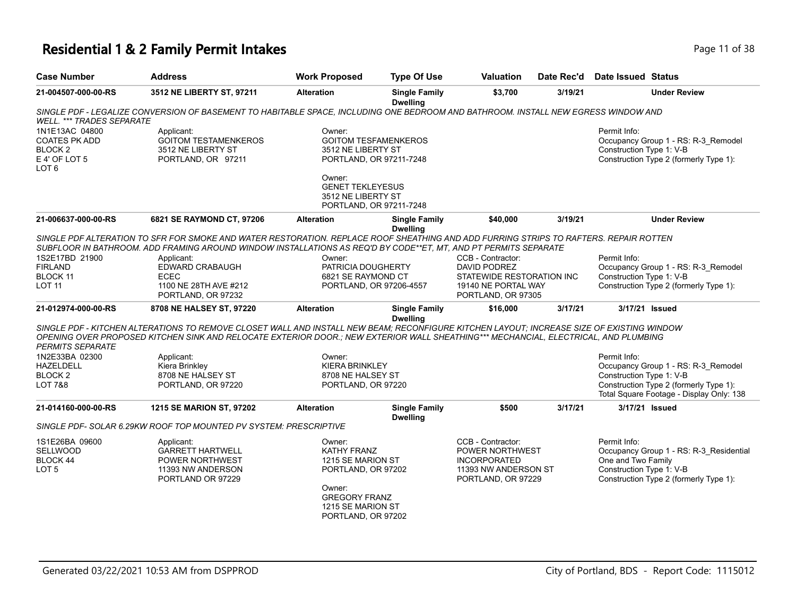# **Residential 1 & 2 Family Permit Intakes Page 11 of 38**

| <b>Case Number</b>                                                                                | <b>Address</b>                                                                                                                                                                                                                                                                   | <b>Work Proposed</b>                                                                                                                          | <b>Type Of Use</b>                      | Valuation                                                                                                          | Date Rec'd | Date Issued Status                                                                                                                                    |
|---------------------------------------------------------------------------------------------------|----------------------------------------------------------------------------------------------------------------------------------------------------------------------------------------------------------------------------------------------------------------------------------|-----------------------------------------------------------------------------------------------------------------------------------------------|-----------------------------------------|--------------------------------------------------------------------------------------------------------------------|------------|-------------------------------------------------------------------------------------------------------------------------------------------------------|
| 21-004507-000-00-RS                                                                               | 3512 NE LIBERTY ST, 97211                                                                                                                                                                                                                                                        | <b>Alteration</b>                                                                                                                             | <b>Single Family</b><br><b>Dwelling</b> | \$3,700                                                                                                            | 3/19/21    | <b>Under Review</b>                                                                                                                                   |
| <b>WELL. *** TRADES SEPARATE</b>                                                                  | SINGLE PDF - LEGALIZE CONVERSION OF BASEMENT TO HABITABLE SPACE, INCLUDING ONE BEDROOM AND BATHROOM. INSTALL NEW EGRESS WINDOW AND                                                                                                                                               |                                                                                                                                               |                                         |                                                                                                                    |            |                                                                                                                                                       |
| 1N1E13AC 04800<br><b>COATES PK ADD</b><br>BLOCK <sub>2</sub><br>E 4' OF LOT 5<br>LOT <sub>6</sub> | Applicant:<br><b>GOITOM TESTAMENKEROS</b><br>3512 NE LIBERTY ST<br>PORTLAND, OR 97211                                                                                                                                                                                            | Owner:<br><b>GOITOM TESFAMENKEROS</b><br>3512 NE LIBERTY ST<br>PORTLAND, OR 97211-7248                                                        |                                         |                                                                                                                    |            | Permit Info:<br>Occupancy Group 1 - RS: R-3_Remodel<br>Construction Type 1: V-B<br>Construction Type 2 (formerly Type 1):                             |
|                                                                                                   |                                                                                                                                                                                                                                                                                  | Owner:<br><b>GENET TEKLEYESUS</b><br>3512 NE LIBERTY ST<br>PORTLAND, OR 97211-7248                                                            |                                         |                                                                                                                    |            |                                                                                                                                                       |
| 21-006637-000-00-RS                                                                               | 6821 SE RAYMOND CT, 97206                                                                                                                                                                                                                                                        | <b>Alteration</b>                                                                                                                             | <b>Single Family</b><br><b>Dwelling</b> | \$40,000                                                                                                           | 3/19/21    | <b>Under Review</b>                                                                                                                                   |
|                                                                                                   | SINGLE PDF ALTERATION TO SFR FOR SMOKE AND WATER RESTORATION. REPLACE ROOF SHEATHING AND ADD FURRING STRIPS TO RAFTERS. REPAIR ROTTEN<br>SUBFLOOR IN BATHROOM. ADD FRAMING AROUND WINDOW INSTALLATIONS AS REQ'D BY CODE**ET. MT. AND PT PERMITS SEPARATE                         |                                                                                                                                               |                                         |                                                                                                                    |            |                                                                                                                                                       |
| 1S2E17BD 21900<br><b>FIRLAND</b><br><b>BLOCK 11</b><br><b>LOT 11</b>                              | Applicant:<br>EDWARD CRABAUGH<br><b>ECEC</b><br>1100 NE 28TH AVE #212<br>PORTLAND, OR 97232                                                                                                                                                                                      | Owner:<br>PATRICIA DOUGHERTY<br>6821 SE RAYMOND CT<br>PORTLAND, OR 97206-4557                                                                 |                                         | CCB - Contractor:<br><b>DAVID PODREZ</b><br>STATEWIDE RESTORATION INC<br>19140 NE PORTAL WAY<br>PORTLAND, OR 97305 |            | Permit Info:<br>Occupancy Group 1 - RS: R-3_Remodel<br>Construction Type 1: V-B<br>Construction Type 2 (formerly Type 1):                             |
| 21-012974-000-00-RS                                                                               | 8708 NE HALSEY ST, 97220                                                                                                                                                                                                                                                         | <b>Alteration</b>                                                                                                                             | <b>Single Family</b>                    | \$16,000                                                                                                           | 3/17/21    | 3/17/21 Issued                                                                                                                                        |
| <b>PERMITS SEPARATE</b>                                                                           | SINGLE PDF - KITCHEN ALTERATIONS TO REMOVE CLOSET WALL AND INSTALL NEW BEAM; RECONFIGURE KITCHEN LAYOUT; INCREASE SIZE OF EXISTING WINDOW<br>OPENING OVER PROPOSED KITCHEN SINK AND RELOCATE EXTERIOR DOOR.; NEW EXTERIOR WALL SHEATHING*** MECHANCIAL, ELECTRICAL, AND PLUMBING |                                                                                                                                               | <b>Dwelling</b>                         |                                                                                                                    |            |                                                                                                                                                       |
| 1N2E33BA 02300                                                                                    | Applicant:                                                                                                                                                                                                                                                                       | Owner:                                                                                                                                        |                                         |                                                                                                                    |            | Permit Info:                                                                                                                                          |
| <b>HAZELDELL</b><br>BLOCK <sub>2</sub><br><b>LOT 7&amp;8</b>                                      | Kiera Brinkley<br>8708 NE HALSEY ST<br>PORTLAND, OR 97220                                                                                                                                                                                                                        | <b>KIERA BRINKLEY</b><br>8708 NE HALSEY ST<br>PORTLAND, OR 97220                                                                              |                                         |                                                                                                                    |            | Occupancy Group 1 - RS: R-3_Remodel<br>Construction Type 1: V-B<br>Construction Type 2 (formerly Type 1):<br>Total Square Footage - Display Only: 138 |
| 21-014160-000-00-RS                                                                               | 1215 SE MARION ST, 97202                                                                                                                                                                                                                                                         | <b>Alteration</b>                                                                                                                             | <b>Single Family</b><br><b>Dwelling</b> | \$500                                                                                                              | 3/17/21    | 3/17/21 Issued                                                                                                                                        |
|                                                                                                   | SINGLE PDF- SOLAR 6.29KW ROOF TOP MOUNTED PV SYSTEM: PRESCRIPTIVE                                                                                                                                                                                                                |                                                                                                                                               |                                         |                                                                                                                    |            |                                                                                                                                                       |
| 1S1E26BA 09600<br><b>SELLWOOD</b><br>BLOCK 44<br>LOT <sub>5</sub>                                 | Applicant:<br><b>GARRETT HARTWELL</b><br><b>POWER NORTHWEST</b><br>11393 NW ANDERSON<br>PORTLAND OR 97229                                                                                                                                                                        | Owner:<br>KATHY FRANZ<br>1215 SE MARION ST<br>PORTLAND, OR 97202<br>Owner:<br><b>GREGORY FRANZ</b><br>1215 SE MARION ST<br>PORTLAND, OR 97202 |                                         | CCB - Contractor:<br>POWER NORTHWEST<br><b>INCORPORATED</b><br>11393 NW ANDERSON ST<br>PORTLAND, OR 97229          |            | Permit Info:<br>Occupancy Group 1 - RS: R-3_Residential<br>One and Two Family<br>Construction Type 1: V-B<br>Construction Type 2 (formerly Type 1):   |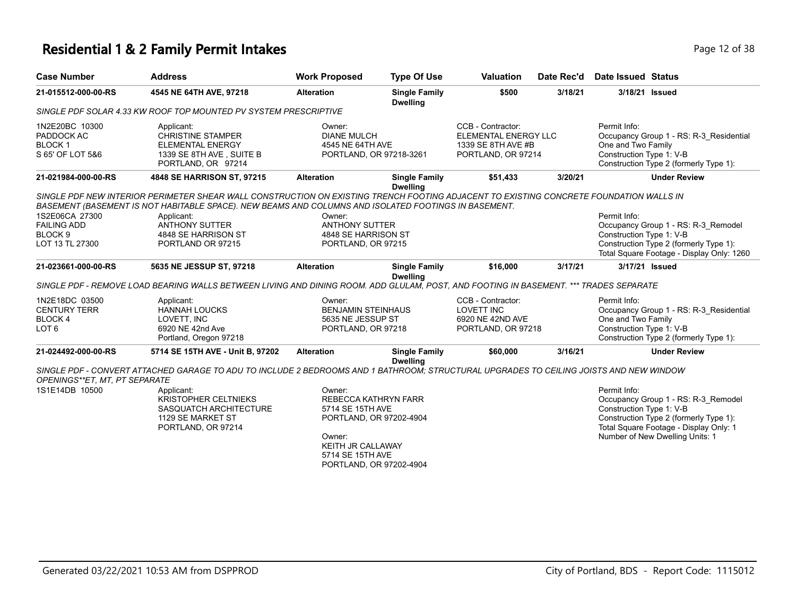# **Residential 1 & 2 Family Permit Intakes Page 12 of 38**

| <b>Case Number</b>                                                   | <b>Address</b>                                                                                                                                                                                                                                               | <b>Work Proposed</b>                                                                                                                                        | <b>Type Of Use</b>                      | <b>Valuation</b>                                                                      | Date Rec'd | <b>Date Issued Status</b>                                                                                                                                                                              |
|----------------------------------------------------------------------|--------------------------------------------------------------------------------------------------------------------------------------------------------------------------------------------------------------------------------------------------------------|-------------------------------------------------------------------------------------------------------------------------------------------------------------|-----------------------------------------|---------------------------------------------------------------------------------------|------------|--------------------------------------------------------------------------------------------------------------------------------------------------------------------------------------------------------|
| 21-015512-000-00-RS                                                  | 4545 NE 64TH AVE, 97218                                                                                                                                                                                                                                      | <b>Alteration</b>                                                                                                                                           | <b>Single Family</b><br><b>Dwelling</b> | \$500                                                                                 | 3/18/21    | 3/18/21 Issued                                                                                                                                                                                         |
|                                                                      | SINGLE PDF SOLAR 4.33 KW ROOF TOP MOUNTED PV SYSTEM PRESCRIPTIVE                                                                                                                                                                                             |                                                                                                                                                             |                                         |                                                                                       |            |                                                                                                                                                                                                        |
| 1N2E20BC 10300<br>PADDOCK AC<br><b>BLOCK1</b><br>S 65' OF LOT 5&6    | Applicant:<br>CHRISTINE STAMPER<br><b>ELEMENTAL ENERGY</b><br>1339 SE 8TH AVE, SUITE B<br>PORTLAND, OR 97214                                                                                                                                                 | Owner:<br><b>DIANE MULCH</b><br>4545 NE 64TH AVE<br>PORTLAND, OR 97218-3261                                                                                 |                                         | CCB - Contractor:<br>ELEMENTAL ENERGY LLC<br>1339 SE 8TH AVE #B<br>PORTLAND, OR 97214 |            | Permit Info:<br>Occupancy Group 1 - RS: R-3 Residential<br>One and Two Family<br>Construction Type 1: V-B<br>Construction Type 2 (formerly Type 1):                                                    |
| 21-021984-000-00-RS                                                  | 4848 SE HARRISON ST, 97215                                                                                                                                                                                                                                   | <b>Alteration</b>                                                                                                                                           | <b>Single Family</b><br><b>Dwelling</b> | \$51,433                                                                              | 3/20/21    | <b>Under Review</b>                                                                                                                                                                                    |
| 1S2E06CA 27300                                                       | SINGLE PDF NEW INTERIOR PERIMETER SHEAR WALL CONSTRUCTION ON EXISTING TRENCH FOOTING ADJACENT TO EXISTING CONCRETE FOUNDATION WALLS IN<br>BASEMENT (BASEMENT IS NOT HABITABLE SPACE). NEW BEAMS AND COLUMNS AND ISOLATED FOOTINGS IN BASEMENT.<br>Applicant: | Owner:                                                                                                                                                      |                                         |                                                                                       |            | Permit Info:                                                                                                                                                                                           |
| <b>FAILING ADD</b>                                                   | <b>ANTHONY SUTTER</b>                                                                                                                                                                                                                                        | <b>ANTHONY SUTTER</b>                                                                                                                                       |                                         |                                                                                       |            | Occupancy Group 1 - RS: R-3 Remodel                                                                                                                                                                    |
| BLOCK <sub>9</sub><br>LOT 13 TL 27300                                | 4848 SE HARRISON ST<br>PORTLAND OR 97215                                                                                                                                                                                                                     | 4848 SE HARRISON ST<br>PORTLAND, OR 97215                                                                                                                   |                                         |                                                                                       |            | Construction Type 1: V-B<br>Construction Type 2 (formerly Type 1):<br>Total Square Footage - Display Only: 1260                                                                                        |
| 21-023661-000-00-RS                                                  | 5635 NE JESSUP ST, 97218                                                                                                                                                                                                                                     | <b>Alteration</b>                                                                                                                                           | <b>Single Family</b><br><b>Dwelling</b> | \$16,000                                                                              | 3/17/21    | 3/17/21 Issued                                                                                                                                                                                         |
|                                                                      | SINGLE PDF - REMOVE LOAD BEARING WALLS BETWEEN LIVING AND DINING ROOM. ADD GLULAM, POST, AND FOOTING IN BASEMENT. *** TRADES SEPARATE                                                                                                                        |                                                                                                                                                             |                                         |                                                                                       |            |                                                                                                                                                                                                        |
| 1N2E18DC 03500<br><b>CENTURY TERR</b><br>BLOCK 4<br>LOT <sub>6</sub> | Applicant:<br><b>HANNAH LOUCKS</b><br>LOVETT, INC<br>6920 NE 42nd Ave<br>Portland, Oregon 97218                                                                                                                                                              | Owner:<br><b>BENJAMIN STEINHAUS</b><br>5635 NE JESSUP ST<br>PORTLAND, OR 97218                                                                              |                                         | CCB - Contractor:<br><b>LOVETT INC</b><br>6920 NE 42ND AVE<br>PORTLAND, OR 97218      |            | Permit Info:<br>Occupancy Group 1 - RS: R-3_Residential<br>One and Two Family<br>Construction Type 1: V-B<br>Construction Type 2 (formerly Type 1):                                                    |
| 21-024492-000-00-RS                                                  | 5714 SE 15TH AVE - Unit B, 97202                                                                                                                                                                                                                             | <b>Alteration</b>                                                                                                                                           | <b>Single Family</b><br><b>Dwelling</b> | \$60,000                                                                              | 3/16/21    | <b>Under Review</b>                                                                                                                                                                                    |
| OPENINGS**ET, MT, PT SEPARATE                                        | SINGLE PDF - CONVERT ATTACHED GARAGE TO ADU TO INCLUDE 2 BEDROOMS AND 1 BATHROOM; STRUCTURAL UPGRADES TO CEILING JOISTS AND NEW WINDOW                                                                                                                       |                                                                                                                                                             |                                         |                                                                                       |            |                                                                                                                                                                                                        |
| 1S1E14DB 10500                                                       | Applicant:<br><b>KRISTOPHER CELTNIEKS</b><br>SASQUATCH ARCHITECTURE<br>1129 SE MARKET ST<br>PORTLAND, OR 97214                                                                                                                                               | Owner:<br>REBECCA KATHRYN FARR<br>5714 SE 15TH AVE<br>PORTLAND, OR 97202-4904<br>Owner:<br>KEITH JR CALLAWAY<br>5714 SE 15TH AVE<br>PORTLAND, OR 97202-4904 |                                         |                                                                                       |            | Permit Info:<br>Occupancy Group 1 - RS: R-3_Remodel<br>Construction Type 1: V-B<br>Construction Type 2 (formerly Type 1):<br>Total Square Footage - Display Only: 1<br>Number of New Dwelling Units: 1 |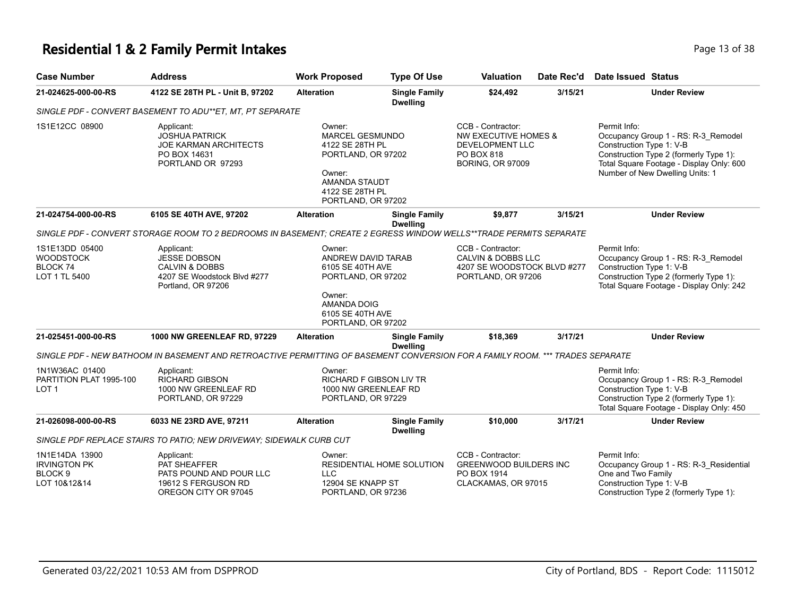### **Residential 1 & 2 Family Permit Intakes Page 13 of 38** Page 13 of 38

| <b>Case Number</b>                                                          | <b>Address</b>                                                                                                                | <b>Work Proposed</b>                                                                                                                             | <b>Type Of Use</b>                      | <b>Valuation</b>                                                                                                        | Date Rec'd | Date Issued Status                                                                                                                                                                                       |
|-----------------------------------------------------------------------------|-------------------------------------------------------------------------------------------------------------------------------|--------------------------------------------------------------------------------------------------------------------------------------------------|-----------------------------------------|-------------------------------------------------------------------------------------------------------------------------|------------|----------------------------------------------------------------------------------------------------------------------------------------------------------------------------------------------------------|
| 21-024625-000-00-RS                                                         | 4122 SE 28TH PL - Unit B, 97202                                                                                               | <b>Alteration</b>                                                                                                                                | <b>Single Family</b><br><b>Dwelling</b> | \$24,492<br>3/15/21                                                                                                     |            | <b>Under Review</b>                                                                                                                                                                                      |
|                                                                             | SINGLE PDF - CONVERT BASEMENT TO ADU**ET, MT, PT SEPARATE                                                                     |                                                                                                                                                  |                                         |                                                                                                                         |            |                                                                                                                                                                                                          |
| 1S1E12CC 08900                                                              | Applicant:<br><b>JOSHUA PATRICK</b><br><b>JOE KARMAN ARCHITECTS</b><br>PO BOX 14631<br>PORTLAND OR 97293                      | Owner:<br><b>MARCEL GESMUNDO</b><br>4122 SE 28TH PL<br>PORTLAND, OR 97202<br>Owner:<br>AMANDA STAUDT<br>4122 SE 28TH PL<br>PORTLAND, OR 97202    |                                         | CCB - Contractor:<br><b>NW EXECUTIVE HOMES &amp;</b><br>DEVELOPMENT LLC<br><b>PO BOX 818</b><br><b>BORING, OR 97009</b> |            | Permit Info:<br>Occupancy Group 1 - RS: R-3_Remodel<br>Construction Type 1: V-B<br>Construction Type 2 (formerly Type 1):<br>Total Square Footage - Display Only: 600<br>Number of New Dwelling Units: 1 |
| 21-024754-000-00-RS                                                         | 6105 SE 40TH AVE, 97202                                                                                                       | <b>Alteration</b>                                                                                                                                | <b>Single Family</b><br><b>Dwelling</b> | \$9,877                                                                                                                 | 3/15/21    | <b>Under Review</b>                                                                                                                                                                                      |
|                                                                             | SINGLE PDF - CONVERT STORAGE ROOM TO 2 BEDROOMS IN BASEMENT; CREATE 2 EGRESS WINDOW WELLS**TRADE PERMITS SEPARATE             |                                                                                                                                                  |                                         |                                                                                                                         |            |                                                                                                                                                                                                          |
| 1S1E13DD 05400<br><b>WOODSTOCK</b><br>BLOCK <sub>74</sub><br>LOT 1 TL 5400  | Applicant:<br><b>JESSE DOBSON</b><br><b>CALVIN &amp; DOBBS</b><br>4207 SE Woodstock Blvd #277<br>Portland, OR 97206           | Owner:<br>ANDREW DAVID TARAB<br>6105 SE 40TH AVE<br>PORTLAND, OR 97202<br>Owner:<br><b>AMANDA DOIG</b><br>6105 SE 40TH AVE<br>PORTLAND, OR 97202 |                                         | CCB - Contractor:<br><b>CALVIN &amp; DOBBS LLC</b><br>4207 SE WOODSTOCK BLVD #277<br>PORTLAND, OR 97206                 |            | Permit Info:<br>Occupancy Group 1 - RS: R-3 Remodel<br>Construction Type 1: V-B<br>Construction Type 2 (formerly Type 1):<br>Total Square Footage - Display Only: 242                                    |
| 21-025451-000-00-RS                                                         | 1000 NW GREENLEAF RD, 97229                                                                                                   | <b>Alteration</b>                                                                                                                                | <b>Single Family</b><br><b>Dwelling</b> | \$18,369                                                                                                                | 3/17/21    | <b>Under Review</b>                                                                                                                                                                                      |
|                                                                             | SINGLE PDF - NEW BATHOOM IN BASEMENT AND RETROACTIVE PERMITTING OF BASEMENT CONVERSION FOR A FAMILY ROOM. *** TRADES SEPARATE |                                                                                                                                                  |                                         |                                                                                                                         |            |                                                                                                                                                                                                          |
| 1N1W36AC 01400<br>PARTITION PLAT 1995-100<br>LOT 1                          | Applicant:<br><b>RICHARD GIBSON</b><br>1000 NW GREENLEAF RD<br>PORTLAND, OR 97229                                             | Owner:<br><b>RICHARD F GIBSON LIV TR</b><br>1000 NW GREENLEAF RD<br>PORTLAND, OR 97229                                                           |                                         |                                                                                                                         |            | Permit Info:<br>Occupancy Group 1 - RS: R-3_Remodel<br>Construction Type 1: V-B<br>Construction Type 2 (formerly Type 1):<br>Total Square Footage - Display Only: 450                                    |
| 21-026098-000-00-RS                                                         | 6033 NE 23RD AVE, 97211                                                                                                       | <b>Alteration</b>                                                                                                                                | <b>Single Family</b><br><b>Dwelling</b> | \$10,000                                                                                                                | 3/17/21    | <b>Under Review</b>                                                                                                                                                                                      |
|                                                                             | SINGLE PDF REPLACE STAIRS TO PATIO; NEW DRIVEWAY; SIDEWALK CURB CUT                                                           |                                                                                                                                                  |                                         |                                                                                                                         |            |                                                                                                                                                                                                          |
| 1N1E14DA 13900<br><b>IRVINGTON PK</b><br>BLOCK <sub>9</sub><br>LOT 10&12&14 | Applicant:<br>PAT SHEAFFER<br>PATS POUND AND POUR LLC<br>19612 S FERGUSON RD<br>OREGON CITY OR 97045                          | Owner:<br><b>LLC</b><br>12904 SE KNAPP ST<br>PORTLAND, OR 97236                                                                                  | RESIDENTIAL HOME SOLUTION               | CCB - Contractor:<br><b>GREENWOOD BUILDERS INC</b><br>PO BOX 1914<br>CLACKAMAS, OR 97015                                |            | Permit Info:<br>Occupancy Group 1 - RS: R-3 Residential<br>One and Two Family<br>Construction Type 1: V-B<br>Construction Type 2 (formerly Type 1):                                                      |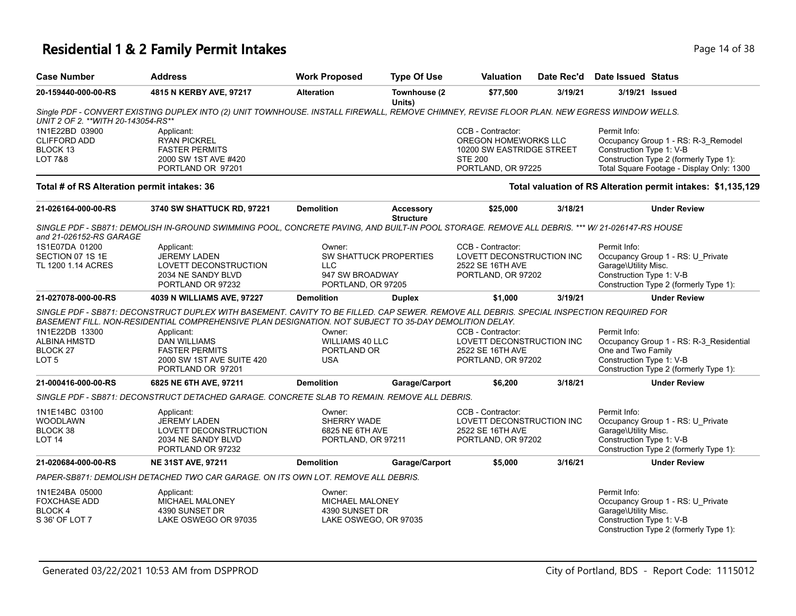## **Residential 1 & 2 Family Permit Intakes Page 14 of 38** Page 14 of 38

| <b>Case Number</b>                          | <b>Address</b>                                                                                                                                                                                                                                     | <b>Work Proposed</b>   | <b>Type Of Use</b>     | <b>Valuation</b>          | Date Rec'd | <b>Date Issued Status</b> |                                                              |
|---------------------------------------------|----------------------------------------------------------------------------------------------------------------------------------------------------------------------------------------------------------------------------------------------------|------------------------|------------------------|---------------------------|------------|---------------------------|--------------------------------------------------------------|
| 20-159440-000-00-RS                         | 4815 N KERBY AVE, 97217                                                                                                                                                                                                                            | <b>Alteration</b>      | Townhouse (2<br>Units) | \$77,500                  | 3/19/21    | 3/19/21 Issued            |                                                              |
| UNIT 2 OF 2. **WITH 20-143054-RS**          | Single PDF - CONVERT EXISTING DUPLEX INTO (2) UNIT TOWNHOUSE. INSTALL FIREWALL, REMOVE CHIMNEY, REVISE FLOOR PLAN. NEW EGRESS WINDOW WELLS.                                                                                                        |                        |                        |                           |            |                           |                                                              |
| 1N1E22BD 03900                              | Applicant:                                                                                                                                                                                                                                         |                        |                        | CCB - Contractor:         |            | Permit Info:              |                                                              |
| <b>CLIFFORD ADD</b>                         | <b>RYAN PICKREL</b>                                                                                                                                                                                                                                |                        |                        | OREGON HOMEWORKS LLC      |            |                           | Occupancy Group 1 - RS: R-3_Remodel                          |
| BLOCK 13                                    | <b>FASTER PERMITS</b>                                                                                                                                                                                                                              |                        |                        | 10200 SW EASTRIDGE STREET |            | Construction Type 1: V-B  |                                                              |
| LOT 7&8                                     | 2000 SW 1ST AVE #420                                                                                                                                                                                                                               |                        |                        | <b>STE 200</b>            |            |                           | Construction Type 2 (formerly Type 1):                       |
|                                             | PORTLAND OR 97201                                                                                                                                                                                                                                  |                        |                        | PORTLAND, OR 97225        |            |                           | Total Square Footage - Display Only: 1300                    |
| Total # of RS Alteration permit intakes: 36 |                                                                                                                                                                                                                                                    |                        |                        |                           |            |                           | Total valuation of RS Alteration permit intakes: \$1,135,129 |
| 21-026164-000-00-RS                         | 3740 SW SHATTUCK RD, 97221                                                                                                                                                                                                                         | <b>Demolition</b>      | <b>Accessory</b>       | \$25,000                  | 3/18/21    |                           | <b>Under Review</b>                                          |
|                                             |                                                                                                                                                                                                                                                    |                        | <b>Structure</b>       |                           |            |                           |                                                              |
| and 21-026152-RS GARAGE                     | SINGLE PDF - SB871: DEMOLISH IN-GROUND SWIMMING POOL, CONCRETE PAVING, AND BUILT-IN POOL STORAGE. REMOVE ALL DEBRIS. *** W/ 21-026147-RS HOUSE                                                                                                     |                        |                        |                           |            |                           |                                                              |
| 1S1E07DA 01200                              | Applicant:                                                                                                                                                                                                                                         | Owner:                 |                        | CCB - Contractor:         |            | Permit Info:              |                                                              |
| SECTION 07 1S 1E                            | <b>JEREMY LADEN</b>                                                                                                                                                                                                                                |                        | SW SHATTUCK PROPERTIES | LOVETT DECONSTRUCTION INC |            |                           | Occupancy Group 1 - RS: U_Private                            |
| TL 1200 1.14 ACRES                          | LOVETT DECONSTRUCTION                                                                                                                                                                                                                              | <b>LLC</b>             |                        | 2522 SE 16TH AVE          |            | Garage\Utility Misc.      |                                                              |
|                                             | 2034 NE SANDY BLVD                                                                                                                                                                                                                                 | 947 SW BROADWAY        |                        | PORTLAND, OR 97202        |            | Construction Type 1: V-B  |                                                              |
|                                             | PORTLAND OR 97232                                                                                                                                                                                                                                  | PORTLAND, OR 97205     |                        |                           |            |                           | Construction Type 2 (formerly Type 1):                       |
| 21-027078-000-00-RS                         | 4039 N WILLIAMS AVE, 97227                                                                                                                                                                                                                         | <b>Demolition</b>      | <b>Duplex</b>          | \$1,000                   | 3/19/21    |                           | <b>Under Review</b>                                          |
|                                             | SINGLE PDF - SB871: DECONSTRUCT DUPLEX WITH BASEMENT. CAVITY TO BE FILLED. CAP SEWER. REMOVE ALL DEBRIS. SPECIAL INSPECTION REQUIRED FOR<br>BASEMENT FILL. NON-RESIDENTIAL COMPREHENSIVE PLAN DESIGNATION. NOT SUBJECT TO 35-DAY DEMOLITION DELAY. |                        |                        |                           |            |                           |                                                              |
| 1N1E22DB 13300                              | Applicant:                                                                                                                                                                                                                                         | Owner:                 |                        | CCB - Contractor:         |            | Permit Info:              |                                                              |
| ALBINA HMSTD                                | <b>DAN WILLIAMS</b>                                                                                                                                                                                                                                | <b>WILLIAMS 40 LLC</b> |                        | LOVETT DECONSTRUCTION INC |            |                           | Occupancy Group 1 - RS: R-3_Residential                      |
| BLOCK 27                                    | <b>FASTER PERMITS</b>                                                                                                                                                                                                                              | PORTLAND OR            |                        | 2522 SE 16TH AVE          |            | One and Two Family        |                                                              |
| LOT 5                                       | 2000 SW 1ST AVE SUITE 420                                                                                                                                                                                                                          | <b>USA</b>             |                        | PORTLAND, OR 97202        |            | Construction Type 1: V-B  |                                                              |
|                                             | PORTLAND OR 97201                                                                                                                                                                                                                                  |                        |                        |                           |            |                           | Construction Type 2 (formerly Type 1):                       |
| 21-000416-000-00-RS                         |                                                                                                                                                                                                                                                    | <b>Demolition</b>      |                        |                           | 3/18/21    |                           | <b>Under Review</b>                                          |
|                                             | 6825 NE 6TH AVE, 97211                                                                                                                                                                                                                             |                        | Garage/Carport         | \$6,200                   |            |                           |                                                              |
|                                             | SINGLE PDF - SB871: DECONSTRUCT DETACHED GARAGE. CONCRETE SLAB TO REMAIN. REMOVE ALL DEBRIS.                                                                                                                                                       |                        |                        |                           |            |                           |                                                              |
| 1N1E14BC 03100                              | Applicant:                                                                                                                                                                                                                                         | Owner:                 |                        | CCB - Contractor:         |            | Permit Info:              |                                                              |
| WOODLAWN                                    | <b>JEREMY LADEN</b>                                                                                                                                                                                                                                | SHERRY WADE            |                        | LOVETT DECONSTRUCTION INC |            |                           | Occupancy Group 1 - RS: U_Private                            |
| BLOCK 38                                    | LOVETT DECONSTRUCTION                                                                                                                                                                                                                              | 6825 NE 6TH AVE        |                        | 2522 SE 16TH AVE          |            | Garage\Utility Misc.      |                                                              |
| LOT 14                                      | 2034 NE SANDY BLVD                                                                                                                                                                                                                                 | PORTLAND, OR 97211     |                        | PORTLAND, OR 97202        |            | Construction Type 1: V-B  |                                                              |
|                                             | PORTLAND OR 97232                                                                                                                                                                                                                                  |                        |                        |                           |            |                           | Construction Type 2 (formerly Type 1):                       |
|                                             |                                                                                                                                                                                                                                                    |                        |                        |                           |            |                           |                                                              |
| 21-020684-000-00-RS                         | <b>NE 31ST AVE, 97211</b>                                                                                                                                                                                                                          | <b>Demolition</b>      | Garage/Carport         | \$5,000                   | 3/16/21    |                           | <b>Under Review</b>                                          |
|                                             | PAPER-SB871: DEMOLISH DETACHED TWO CAR GARAGE. ON ITS OWN LOT. REMOVE ALL DEBRIS.                                                                                                                                                                  |                        |                        |                           |            |                           |                                                              |
| 1N1E24BA 05000                              | Applicant:                                                                                                                                                                                                                                         | Owner:                 |                        |                           |            | Permit Info:              |                                                              |
| FOXCHASE ADD                                | MICHAEL MALONEY                                                                                                                                                                                                                                    | <b>MICHAEL MALONEY</b> |                        |                           |            |                           | Occupancy Group 1 - RS: U_Private                            |
| BLOCK 4                                     | 4390 SUNSET DR                                                                                                                                                                                                                                     | 4390 SUNSET DR         |                        |                           |            | Garage\Utility Misc.      |                                                              |
| S 36' OF LOT 7                              | LAKE OSWEGO OR 97035                                                                                                                                                                                                                               | LAKE OSWEGO, OR 97035  |                        |                           |            | Construction Type 1: V-B  |                                                              |
|                                             |                                                                                                                                                                                                                                                    |                        |                        |                           |            |                           | Construction Type 2 (formerly Type 1):                       |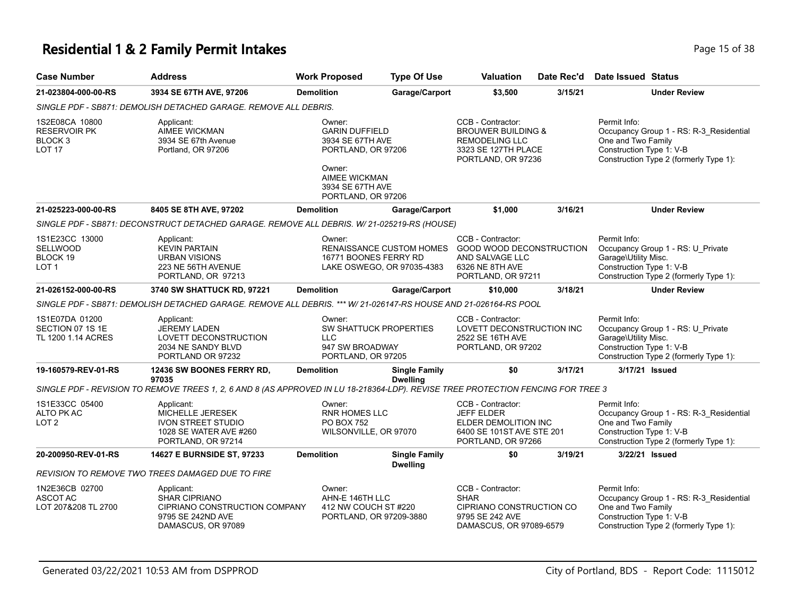## **Residential 1 & 2 Family Permit Intakes Page 15 of 38** Page 15 of 38

| <b>Case Number</b>                                                               | <b>Address</b>                                                                                                                            | <b>Work Proposed</b>                                                                                                                           | <b>Type Of Use</b>                                            | Valuation                                                                                                                | Date Rec'd | Date Issued Status                                                                                                                                  |
|----------------------------------------------------------------------------------|-------------------------------------------------------------------------------------------------------------------------------------------|------------------------------------------------------------------------------------------------------------------------------------------------|---------------------------------------------------------------|--------------------------------------------------------------------------------------------------------------------------|------------|-----------------------------------------------------------------------------------------------------------------------------------------------------|
| 21-023804-000-00-RS                                                              | 3934 SE 67TH AVE, 97206                                                                                                                   | <b>Demolition</b>                                                                                                                              | Garage/Carport                                                | \$3,500                                                                                                                  | 3/15/21    | <b>Under Review</b>                                                                                                                                 |
|                                                                                  | SINGLE PDF - SB871: DEMOLISH DETACHED GARAGE. REMOVE ALL DEBRIS.                                                                          |                                                                                                                                                |                                                               |                                                                                                                          |            |                                                                                                                                                     |
| 1S2E08CA 10800<br><b>RESERVOIR PK</b><br>BLOCK <sub>3</sub><br>LOT <sub>17</sub> | Applicant:<br>AIMEE WICKMAN<br>3934 SE 67th Avenue<br>Portland, OR 97206                                                                  | Owner:<br><b>GARIN DUFFIELD</b><br>3934 SE 67TH AVE<br>PORTLAND, OR 97206<br>Owner:<br>AIMEE WICKMAN<br>3934 SE 67TH AVE<br>PORTLAND, OR 97206 |                                                               | CCB - Contractor:<br><b>BROUWER BUILDING &amp;</b><br><b>REMODELING LLC</b><br>3323 SE 127TH PLACE<br>PORTLAND, OR 97236 |            | Permit Info:<br>Occupancy Group 1 - RS: R-3_Residential<br>One and Two Family<br>Construction Type 1: V-B<br>Construction Type 2 (formerly Type 1): |
| 21-025223-000-00-RS                                                              | 8405 SE 8TH AVE, 97202                                                                                                                    | <b>Demolition</b>                                                                                                                              | Garage/Carport                                                | \$1,000                                                                                                                  | 3/16/21    | <b>Under Review</b>                                                                                                                                 |
|                                                                                  | SINGLE PDF - SB871: DECONSTRUCT DETACHED GARAGE. REMOVE ALL DEBRIS. W/ 21-025219-RS (HOUSE)                                               |                                                                                                                                                |                                                               |                                                                                                                          |            |                                                                                                                                                     |
| 1S1E23CC 13000<br><b>SELLWOOD</b><br>BLOCK 19<br>LOT <sub>1</sub>                | Applicant:<br><b>KEVIN PARTAIN</b><br><b>URBAN VISIONS</b><br>223 NE 56TH AVENUE<br>PORTLAND, OR 97213                                    | Owner:<br>16771 BOONES FERRY RD                                                                                                                | <b>RENAISSANCE CUSTOM HOMES</b><br>LAKE OSWEGO, OR 97035-4383 | CCB - Contractor:<br>GOOD WOOD DECONSTRUCTION<br>AND SALVAGE LLC<br>6326 NE 8TH AVE<br>PORTLAND, OR 97211                |            | Permit Info:<br>Occupancy Group 1 - RS: U_Private<br>Garage\Utility Misc.<br>Construction Type 1: V-B<br>Construction Type 2 (formerly Type 1):     |
| 21-026152-000-00-RS                                                              | 3740 SW SHATTUCK RD, 97221                                                                                                                | <b>Demolition</b>                                                                                                                              | Garage/Carport                                                | \$10,000                                                                                                                 | 3/18/21    | <b>Under Review</b>                                                                                                                                 |
|                                                                                  | SINGLE PDF - SB871: DEMOLISH DETACHED GARAGE. REMOVE ALL DEBRIS. *** W/ 21-026147-RS HOUSE AND 21-026164-RS POOL                          |                                                                                                                                                |                                                               |                                                                                                                          |            |                                                                                                                                                     |
| 1S1E07DA 01200<br>SECTION 07 1S 1E<br>TL 1200 1.14 ACRES                         | Applicant:<br><b>JEREMY LADEN</b><br>LOVETT DECONSTRUCTION<br>2034 NE SANDY BLVD<br>PORTLAND OR 97232                                     | Owner:<br>SW SHATTUCK PROPERTIES<br><b>LLC</b><br>947 SW BROADWAY<br>PORTLAND, OR 97205                                                        |                                                               | CCB - Contractor:<br>LOVETT DECONSTRUCTION INC<br>2522 SE 16TH AVE<br>PORTLAND, OR 97202                                 |            | Permit Info:<br>Occupancy Group 1 - RS: U Private<br>Garage\Utility Misc.<br>Construction Type 1: V-B<br>Construction Type 2 (formerly Type 1):     |
| 19-160579-REV-01-RS                                                              | 12436 SW BOONES FERRY RD.                                                                                                                 | <b>Demolition</b>                                                                                                                              | <b>Single Family</b>                                          | \$0                                                                                                                      | 3/17/21    | 3/17/21 Issued                                                                                                                                      |
|                                                                                  | 97035<br>SINGLE PDF - REVISION TO REMOVE TREES 1, 2, 6 AND 8 (AS APPROVED IN LU 18-218364-LDP). REVISE TREE PROTECTION FENCING FOR TREE 3 |                                                                                                                                                | <b>Dwelling</b>                                               |                                                                                                                          |            |                                                                                                                                                     |
| 1S1E33CC 05400<br>ALTO PK AC<br>LOT <sub>2</sub>                                 | Applicant:<br>MICHELLE JERESEK<br><b>IVON STREET STUDIO</b><br>1028 SE WATER AVE #260<br>PORTLAND, OR 97214                               | Owner:<br>RNR HOMES LLC<br><b>PO BOX 752</b><br>WILSONVILLE, OR 97070                                                                          |                                                               | CCB - Contractor:<br><b>JEFF ELDER</b><br>ELDER DEMOLITION INC<br>6400 SE 101ST AVE STE 201<br>PORTLAND, OR 97266        |            | Permit Info:<br>Occupancy Group 1 - RS: R-3_Residential<br>One and Two Family<br>Construction Type 1: V-B<br>Construction Type 2 (formerly Type 1): |
| 20-200950-REV-01-RS                                                              | 14627 E BURNSIDE ST, 97233                                                                                                                | <b>Demolition</b>                                                                                                                              | <b>Single Family</b>                                          | \$0                                                                                                                      | 3/19/21    | 3/22/21 Issued                                                                                                                                      |
|                                                                                  | REVISION TO REMOVE TWO TREES DAMAGED DUE TO FIRE                                                                                          |                                                                                                                                                | <b>Dwelling</b>                                               |                                                                                                                          |            |                                                                                                                                                     |
| 1N2E36CB 02700<br>ASCOT AC<br>LOT 207&208 TL 2700                                | Applicant:<br><b>SHAR CIPRIANO</b><br>CIPRIANO CONSTRUCTION COMPANY<br>9795 SE 242ND AVE<br>DAMASCUS, OR 97089                            | Owner:<br>AHN-E 146TH LLC<br>412 NW COUCH ST#220<br>PORTLAND, OR 97209-3880                                                                    |                                                               | CCB - Contractor:<br><b>SHAR</b><br>CIPRIANO CONSTRUCTION CO<br>9795 SE 242 AVE<br>DAMASCUS, OR 97089-6579               |            | Permit Info:<br>Occupancy Group 1 - RS: R-3 Residential<br>One and Two Family<br>Construction Type 1: V-B<br>Construction Type 2 (formerly Type 1): |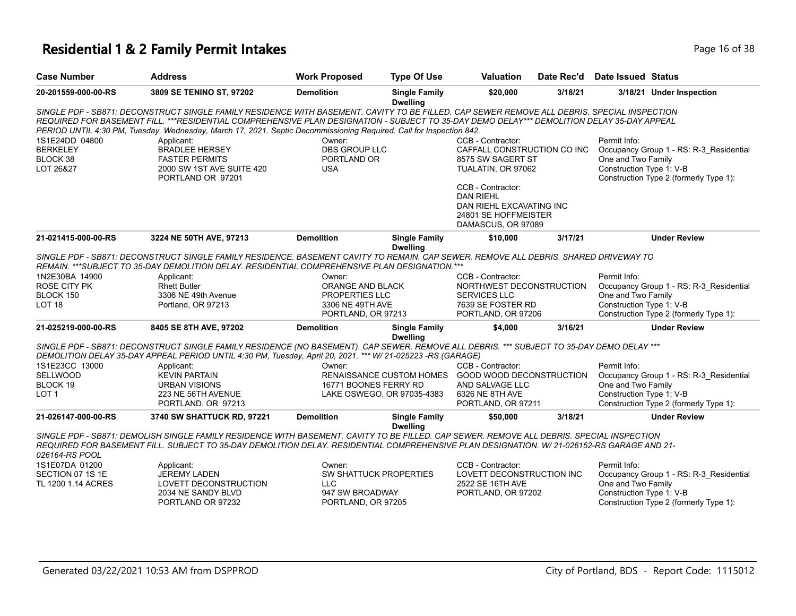## **Residential 1 & 2 Family Permit Intakes Page 16 of 38** Page 16 of 38

| <b>Case Number</b>                                         | <b>Address</b>                                                                                                                                                                                                                                                                                                                                                                                                   | <b>Work Proposed</b>                                 | <b>Type Of Use</b>                      | Valuation                                                                                                       | Date Rec'd | <b>Date Issued Status</b>                                      |                                                                                   |
|------------------------------------------------------------|------------------------------------------------------------------------------------------------------------------------------------------------------------------------------------------------------------------------------------------------------------------------------------------------------------------------------------------------------------------------------------------------------------------|------------------------------------------------------|-----------------------------------------|-----------------------------------------------------------------------------------------------------------------|------------|----------------------------------------------------------------|-----------------------------------------------------------------------------------|
| 20-201559-000-00-RS                                        | 3809 SE TENINO ST, 97202                                                                                                                                                                                                                                                                                                                                                                                         | <b>Demolition</b>                                    | <b>Single Family</b><br><b>Dwelling</b> | \$20,000                                                                                                        | 3/18/21    |                                                                | 3/18/21 Under Inspection                                                          |
|                                                            | SINGLE PDF - SB871: DECONSTRUCT SINGLE FAMILY RESIDENCE WITH BASEMENT. CAVITY TO BE FILLED. CAP SEWER REMOVE ALL DEBRIS. SPECIAL INSPECTION<br>REQUIRED FOR BASEMENT FILL. ***RESIDENTIAL COMPREHENSIVE PLAN DESIGNATION - SUBJECT TO 35-DAY DEMO DELAY*** DEMOLITION DELAY 35-DAY APPEAL<br>PERIOD UNTIL 4:30 PM, Tuesday, Wednesday, March 17, 2021. Septic Decommissioning Required. Call for Inspection 842. |                                                      |                                         |                                                                                                                 |            |                                                                |                                                                                   |
| 1S1E24DD 04800<br><b>BERKELEY</b><br>BLOCK 38<br>LOT 26&27 | Applicant:<br><b>BRADLEE HERSEY</b><br><b>FASTER PERMITS</b><br>2000 SW 1ST AVE SUITE 420<br>PORTLAND OR 97201                                                                                                                                                                                                                                                                                                   | Owner:<br>DBS GROUP LLC<br>PORTLAND OR<br><b>USA</b> |                                         | CCB - Contractor:<br>CAFFALL CONSTRUCTION CO INC<br>8575 SW SAGERT ST<br>TUALATIN, OR 97062                     |            | Permit Info:<br>One and Two Family<br>Construction Type 1: V-B | Occupancy Group 1 - RS: R-3_Residential<br>Construction Type 2 (formerly Type 1): |
|                                                            |                                                                                                                                                                                                                                                                                                                                                                                                                  |                                                      |                                         | CCB - Contractor:<br><b>DAN RIEHL</b><br>DAN RIEHL EXCAVATING INC<br>24801 SE HOFFMEISTER<br>DAMASCUS, OR 97089 |            |                                                                |                                                                                   |
| 21-021415-000-00-RS                                        | 3224 NE 50TH AVE, 97213                                                                                                                                                                                                                                                                                                                                                                                          | <b>Demolition</b>                                    | <b>Single Family</b><br><b>Dwelling</b> | \$10,000                                                                                                        | 3/17/21    |                                                                | <b>Under Review</b>                                                               |
|                                                            | SINGLE PDF - SB871: DECONSTRUCT SINGLE FAMILY RESIDENCE. BASEMENT CAVITY TO REMAIN, CAP SEWER, REMOVE ALL DEBRIS, SHARED DRIVEWAY TO<br>REMAIN. *** SUBJECT TO 35-DAY DEMOLITION DELAY. RESIDENTIAL COMPREHENSIVE PLAN DESIGNATION. ***                                                                                                                                                                          |                                                      |                                         |                                                                                                                 |            |                                                                |                                                                                   |
| 1N2E30BA 14900                                             | Applicant:                                                                                                                                                                                                                                                                                                                                                                                                       | Owner:                                               |                                         | CCB - Contractor:                                                                                               |            | Permit Info:                                                   |                                                                                   |
| <b>ROSE CITY PK</b>                                        | <b>Rhett Butler</b>                                                                                                                                                                                                                                                                                                                                                                                              | ORANGE AND BLACK                                     |                                         | NORTHWEST DECONSTRUCTION                                                                                        |            |                                                                | Occupancy Group 1 - RS: R-3 Residential                                           |
| BLOCK 150<br>LOT <sub>18</sub>                             | 3306 NE 49th Avenue<br>Portland, OR 97213                                                                                                                                                                                                                                                                                                                                                                        | PROPERTIES LLC<br>3306 NE 49TH AVE                   |                                         | <b>SERVICES LLC</b><br>7639 SE FOSTER RD                                                                        |            | One and Two Family<br>Construction Type 1: V-B                 |                                                                                   |
|                                                            |                                                                                                                                                                                                                                                                                                                                                                                                                  | PORTLAND, OR 97213                                   |                                         | PORTLAND, OR 97206                                                                                              |            |                                                                | Construction Type 2 (formerly Type 1):                                            |
| 21-025219-000-00-RS                                        | 8405 SE 8TH AVE, 97202                                                                                                                                                                                                                                                                                                                                                                                           | <b>Demolition</b>                                    | <b>Single Family</b><br><b>Dwelling</b> | \$4,000                                                                                                         | 3/16/21    |                                                                | <b>Under Review</b>                                                               |
|                                                            | SINGLE PDF - SB871: DECONSTRUCT SINGLE FAMILY RESIDENCE (NO BASEMENT). CAP SEWER. REMOVE ALL DEBRIS. *** SUBJECT TO 35-DAY DEMO DELAY ***<br>DEMOLITION DELAY 35-DAY APPEAL PERIOD UNTIL 4:30 PM, Tuesday, April 20, 2021. *** W/ 21-025223 -RS (GARAGE)                                                                                                                                                         |                                                      |                                         |                                                                                                                 |            |                                                                |                                                                                   |
| 1S1E23CC 13000                                             | Applicant:                                                                                                                                                                                                                                                                                                                                                                                                       | Owner:                                               |                                         | CCB - Contractor:                                                                                               |            | Permit Info:                                                   |                                                                                   |
| <b>SELLWOOD</b>                                            | <b>KEVIN PARTAIN</b>                                                                                                                                                                                                                                                                                                                                                                                             |                                                      | <b>RENAISSANCE CUSTOM HOMES</b>         | <b>GOOD WOOD DECONSTRUCTION</b>                                                                                 |            |                                                                | Occupancy Group 1 - RS: R-3 Residential                                           |
| BLOCK 19                                                   | <b>URBAN VISIONS</b>                                                                                                                                                                                                                                                                                                                                                                                             | 16771 BOONES FERRY RD                                |                                         | AND SALVAGE LLC                                                                                                 |            | One and Two Family                                             |                                                                                   |
| LOT <sub>1</sub>                                           | 223 NE 56TH AVENUE<br>PORTLAND, OR 97213                                                                                                                                                                                                                                                                                                                                                                         |                                                      | LAKE OSWEGO, OR 97035-4383              | 6326 NE 8TH AVE<br>PORTLAND, OR 97211                                                                           |            | Construction Type 1: V-B                                       | Construction Type 2 (formerly Type 1):                                            |
| 21-026147-000-00-RS                                        | 3740 SW SHATTUCK RD, 97221                                                                                                                                                                                                                                                                                                                                                                                       | <b>Demolition</b>                                    | <b>Single Family</b><br><b>Dwelling</b> | \$50,000                                                                                                        | 3/18/21    |                                                                | <b>Under Review</b>                                                               |
| 026164-RS POOL                                             | SINGLE PDF - SB871: DEMOLISH SINGLE FAMILY RESIDENCE WITH BASEMENT. CAVITY TO BE FILLED. CAP SEWER. REMOVE ALL DEBRIS. SPECIAL INSPECTION<br>REQUIRED FOR BASEMENT FILL. SUBJECT TO 35-DAY DEMOLITION DELAY. RESIDENTIAL COMPREHENSIVE PLAN DESIGNATION. W/ 21-026152-RS GARAGE AND 21-                                                                                                                          |                                                      |                                         |                                                                                                                 |            |                                                                |                                                                                   |
| 1S1E07DA 01200                                             | Applicant:                                                                                                                                                                                                                                                                                                                                                                                                       | Owner:                                               |                                         | CCB - Contractor:                                                                                               |            | Permit Info:                                                   |                                                                                   |
| SECTION 07 1S 1E                                           | <b>JEREMY LADEN</b>                                                                                                                                                                                                                                                                                                                                                                                              | SW SHATTUCK PROPERTIES                               |                                         | LOVETT DECONSTRUCTION INC                                                                                       |            |                                                                | Occupancy Group 1 - RS: R-3_Residential                                           |
| TL 1200 1.14 ACRES                                         | LOVETT DECONSTRUCTION                                                                                                                                                                                                                                                                                                                                                                                            | <b>LLC</b>                                           |                                         | 2522 SE 16TH AVE                                                                                                |            | One and Two Family                                             |                                                                                   |
|                                                            | 2034 NE SANDY BLVD<br>PORTLAND OR 97232                                                                                                                                                                                                                                                                                                                                                                          | 947 SW BROADWAY<br>PORTLAND, OR 97205                |                                         | PORTLAND, OR 97202                                                                                              |            | Construction Type 1: V-B                                       | Construction Type 2 (formerly Type 1):                                            |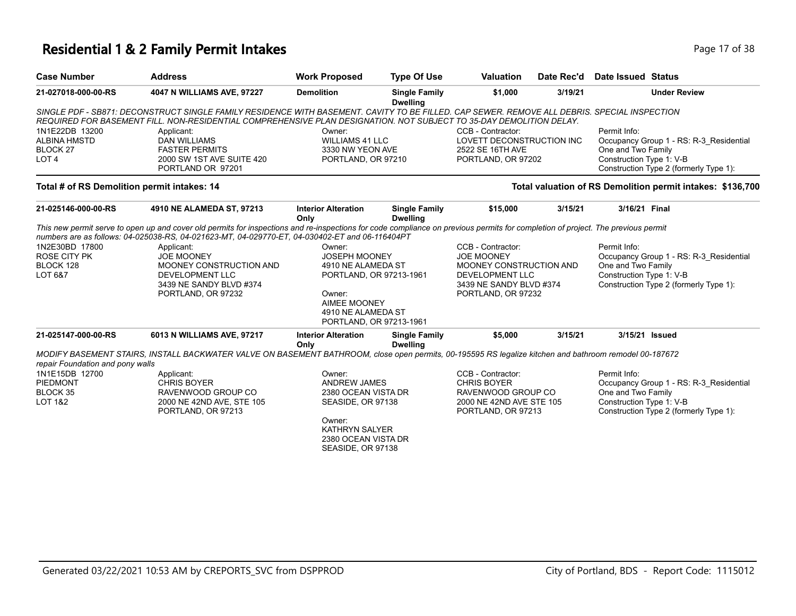### **Residential 1 & 2 Family Permit Intakes Page 17 of 38** Page 17 of 38

| <b>Case Number</b>                                 | <b>Address</b>                                                                                                                                                                                                                                                                     | <b>Work Proposed</b>                          | <b>Type Of Use</b>                      | Valuation                 | Date Rec'd | <b>Date Issued Status</b>                                          |  |
|----------------------------------------------------|------------------------------------------------------------------------------------------------------------------------------------------------------------------------------------------------------------------------------------------------------------------------------------|-----------------------------------------------|-----------------------------------------|---------------------------|------------|--------------------------------------------------------------------|--|
| 21-027018-000-00-RS                                | 4047 N WILLIAMS AVE, 97227                                                                                                                                                                                                                                                         | <b>Demolition</b>                             | <b>Single Family</b><br><b>Dwelling</b> | \$1,000                   | 3/19/21    | <b>Under Review</b>                                                |  |
|                                                    | SINGLE PDF - SB871: DECONSTRUCT SINGLE FAMILY RESIDENCE WITH BASEMENT. CAVITY TO BE FILLED. CAP SEWER. REMOVE ALL DEBRIS. SPECIAL INSPECTION<br>REQUIRED FOR BASEMENT FILL. NON-RESIDENTIAL COMPREHENSIVE PLAN DESIGNATION. NOT SUBJECT TO 35-DAY DEMOLITION DELAY.                |                                               |                                         |                           |            |                                                                    |  |
| 1N1E22DB 13200                                     | Applicant:                                                                                                                                                                                                                                                                         | Owner:                                        |                                         | CCB - Contractor:         |            | Permit Info:                                                       |  |
| <b>ALBINA HMSTD</b>                                | <b>DAN WILLIAMS</b>                                                                                                                                                                                                                                                                | <b>WILLIAMS 41 LLC</b>                        |                                         | LOVETT DECONSTRUCTION INC |            | Occupancy Group 1 - RS: R-3 Residential                            |  |
| BLOCK <sub>27</sub>                                | <b>FASTER PERMITS</b>                                                                                                                                                                                                                                                              | 3330 NW YEON AVE                              |                                         | 2522 SE 16TH AVE          |            | One and Two Family                                                 |  |
| LOT <sub>4</sub>                                   | 2000 SW 1ST AVE SUITE 420<br>PORTLAND OR 97201                                                                                                                                                                                                                                     | PORTLAND, OR 97210                            |                                         | PORTLAND, OR 97202        |            | Construction Type 1: V-B<br>Construction Type 2 (formerly Type 1): |  |
| Total # of RS Demolition permit intakes: 14        |                                                                                                                                                                                                                                                                                    |                                               |                                         |                           |            | Total valuation of RS Demolition permit intakes: \$136,700         |  |
| 21-025146-000-00-RS                                | 4910 NE ALAMEDA ST, 97213                                                                                                                                                                                                                                                          | <b>Interior Alteration</b><br>Only            | <b>Single Family</b><br><b>Dwelling</b> | \$15,000                  | 3/15/21    | 3/16/21 Final                                                      |  |
|                                                    | This new permit serve to open up and cover old permits for inspections and re-inspections for code compliance on previous permits for completion of project. The previous permit<br>numbers are as follows: 04-025038-RS, 04-021623-MT, 04-029770-ET, 04-030402-ET and 06-116404PT |                                               |                                         |                           |            |                                                                    |  |
| 1N2E30BD 17800                                     | Applicant:                                                                                                                                                                                                                                                                         | Owner:                                        |                                         | CCB - Contractor:         |            | Permit Info:                                                       |  |
| <b>ROSE CITY PK</b>                                | <b>JOE MOONEY</b>                                                                                                                                                                                                                                                                  | <b>JOSEPH MOONEY</b>                          |                                         | <b>JOE MOONEY</b>         |            | Occupancy Group 1 - RS: R-3_Residential                            |  |
| BLOCK 128                                          | MOONEY CONSTRUCTION AND                                                                                                                                                                                                                                                            | 4910 NE ALAMEDA ST                            |                                         | MOONEY CONSTRUCTION AND   |            | One and Two Family                                                 |  |
| LOT 6&7                                            | <b>DEVELOPMENT LLC</b>                                                                                                                                                                                                                                                             | PORTLAND, OR 97213-1961                       |                                         | DEVELOPMENT LLC           |            | Construction Type 1: V-B                                           |  |
|                                                    | 3439 NE SANDY BLVD #374                                                                                                                                                                                                                                                            |                                               |                                         | 3439 NE SANDY BLVD #374   |            | Construction Type 2 (formerly Type 1):                             |  |
|                                                    | PORTLAND, OR 97232                                                                                                                                                                                                                                                                 | Owner:                                        |                                         | PORTLAND, OR 97232        |            |                                                                    |  |
|                                                    |                                                                                                                                                                                                                                                                                    | <b>AIMEE MOONEY</b>                           |                                         |                           |            |                                                                    |  |
|                                                    |                                                                                                                                                                                                                                                                                    | 4910 NE ALAMEDA ST<br>PORTLAND, OR 97213-1961 |                                         |                           |            |                                                                    |  |
| 21-025147-000-00-RS                                | 6013 N WILLIAMS AVE, 97217                                                                                                                                                                                                                                                         | <b>Interior Alteration</b>                    | <b>Single Family</b>                    | \$5,000                   | 3/15/21    | 3/15/21 Issued                                                     |  |
|                                                    |                                                                                                                                                                                                                                                                                    | Only                                          | <b>Dwelling</b>                         |                           |            |                                                                    |  |
|                                                    | MODIFY BASEMENT STAIRS, INSTALL BACKWATER VALVE ON BASEMENT BATHROOM, close open permits, 00-195595 RS legalize kitchen and bathroom remodel 00-187672                                                                                                                             |                                               |                                         |                           |            |                                                                    |  |
| repair Foundation and pony walls<br>1N1E15DB 12700 |                                                                                                                                                                                                                                                                                    | Owner:                                        |                                         | CCB - Contractor:         |            | Permit Info:                                                       |  |
| <b>PIEDMONT</b>                                    | Applicant:<br><b>CHRIS BOYER</b>                                                                                                                                                                                                                                                   | <b>ANDREW JAMES</b>                           |                                         | <b>CHRIS BOYER</b>        |            | Occupancy Group 1 - RS: R-3_Residential                            |  |
| BLOCK 35                                           | RAVENWOOD GROUP CO                                                                                                                                                                                                                                                                 | 2380 OCEAN VISTA DR                           |                                         | RAVENWOOD GROUP CO        |            | One and Two Family                                                 |  |
| <b>LOT 1&amp;2</b>                                 | 2000 NE 42ND AVE, STE 105                                                                                                                                                                                                                                                          | SEASIDE, OR 97138                             |                                         | 2000 NE 42ND AVE STE 105  |            | Construction Type 1: V-B                                           |  |
|                                                    | PORTLAND, OR 97213                                                                                                                                                                                                                                                                 |                                               |                                         | PORTLAND, OR 97213        |            | Construction Type 2 (formerly Type 1):                             |  |
|                                                    |                                                                                                                                                                                                                                                                                    | Owner:                                        |                                         |                           |            |                                                                    |  |
|                                                    |                                                                                                                                                                                                                                                                                    | <b>KATHRYN SALYER</b>                         |                                         |                           |            |                                                                    |  |
|                                                    |                                                                                                                                                                                                                                                                                    | 2380 OCEAN VISTA DR                           |                                         |                           |            |                                                                    |  |
|                                                    |                                                                                                                                                                                                                                                                                    | SEASIDE, OR 97138                             |                                         |                           |            |                                                                    |  |
|                                                    |                                                                                                                                                                                                                                                                                    |                                               |                                         |                           |            |                                                                    |  |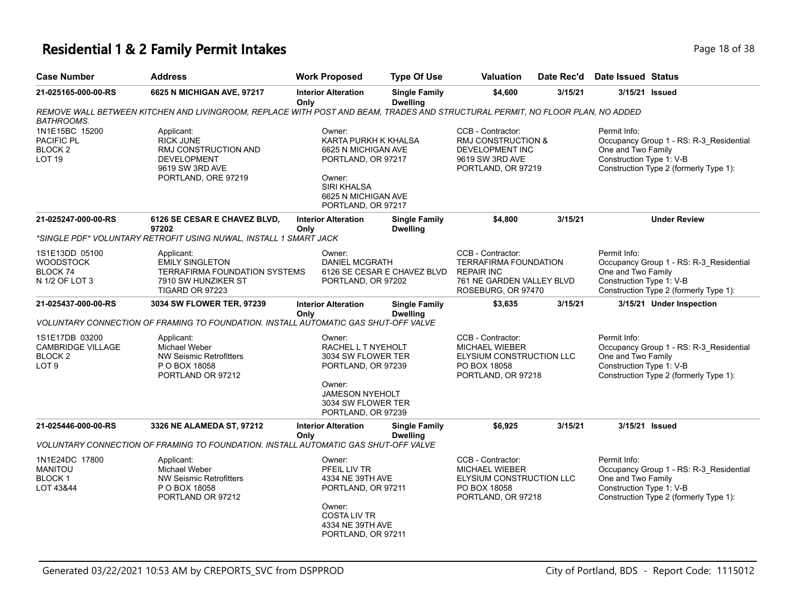### **Residential 1 & 2 Family Permit Intakes Page 18 of 38** Page 18 of 38

| <b>Case Number</b>                                                                   | <b>Address</b>                                                                                                                | <b>Work Proposed</b>                                                                                                                                     | <b>Type Of Use</b>                      | Valuation                                                                                                                 | Date Rec'd | Date Issued Status                                             |                                                                                   |
|--------------------------------------------------------------------------------------|-------------------------------------------------------------------------------------------------------------------------------|----------------------------------------------------------------------------------------------------------------------------------------------------------|-----------------------------------------|---------------------------------------------------------------------------------------------------------------------------|------------|----------------------------------------------------------------|-----------------------------------------------------------------------------------|
| 21-025165-000-00-RS                                                                  | 6625 N MICHIGAN AVE, 97217                                                                                                    | <b>Interior Alteration</b><br>Only                                                                                                                       | <b>Single Family</b><br><b>Dwelling</b> | \$4,600                                                                                                                   | 3/15/21    | 3/15/21 Issued                                                 |                                                                                   |
| <b>BATHROOMS.</b>                                                                    | REMOVE WALL BETWEEN KITCHEN AND LIVINGROOM, REPLACE WITH POST AND BEAM, TRADES AND STRUCTURAL PERMIT, NO FLOOR PLAN, NO ADDED |                                                                                                                                                          |                                         |                                                                                                                           |            |                                                                |                                                                                   |
| 1N1E15BC 15200<br>PACIFIC PL<br>BLOCK <sub>2</sub><br><b>LOT 19</b>                  | Applicant:<br><b>RICK JUNE</b><br>RMJ CONSTRUCTION AND<br><b>DEVELOPMENT</b><br>9619 SW 3RD AVE<br>PORTLAND, ORE 97219        | Owner:<br>KARTA PURKH K KHALSA<br>6625 N MICHIGAN AVE<br>PORTLAND, OR 97217<br>Owner:<br><b>SIRI KHALSA</b><br>6625 N MICHIGAN AVE<br>PORTLAND, OR 97217 |                                         | CCB - Contractor:<br>RMJ CONSTRUCTION &<br>DEVELOPMENT INC<br>9619 SW 3RD AVE<br>PORTLAND, OR 97219                       |            | Permit Info:<br>One and Two Family<br>Construction Type 1: V-B | Occupancy Group 1 - RS: R-3_Residential<br>Construction Type 2 (formerly Type 1): |
| 21-025247-000-00-RS                                                                  | 6126 SE CESAR E CHAVEZ BLVD,<br>97202                                                                                         | <b>Interior Alteration</b><br>Only                                                                                                                       | <b>Single Family</b><br><b>Dwelling</b> | \$4,800                                                                                                                   | 3/15/21    |                                                                | <b>Under Review</b>                                                               |
|                                                                                      | *SINGLE PDF* VOLUNTARY RETROFIT USING NUWAL, INSTALL 1 SMART JACK                                                             |                                                                                                                                                          |                                         |                                                                                                                           |            |                                                                |                                                                                   |
| 1S1E13DD 05100<br><b>WOODSTOCK</b><br>BLOCK <sub>74</sub><br>N 1/2 OF LOT 3          | Applicant:<br><b>EMILY SINGLETON</b><br><b>TERRAFIRMA FOUNDATION SYSTEMS</b><br>7910 SW HUNZIKER ST<br>TIGARD OR 97223        | Owner:<br><b>DANIEL MCGRATH</b><br>PORTLAND, OR 97202                                                                                                    | 6126 SE CESAR E CHAVEZ BLVD             | CCB - Contractor:<br><b>TERRAFIRMA FOUNDATION</b><br><b>REPAIR INC</b><br>761 NE GARDEN VALLEY BLVD<br>ROSEBURG, OR 97470 |            | Permit Info:<br>One and Two Family<br>Construction Type 1: V-B | Occupancy Group 1 - RS: R-3_Residential<br>Construction Type 2 (formerly Type 1): |
| 21-025437-000-00-RS                                                                  | 3034 SW FLOWER TER, 97239                                                                                                     | <b>Interior Alteration</b><br>Only                                                                                                                       | <b>Single Family</b><br><b>Dwelling</b> | \$3,635                                                                                                                   | 3/15/21    |                                                                | 3/15/21 Under Inspection                                                          |
|                                                                                      | VOLUNTARY CONNECTION OF FRAMING TO FOUNDATION. INSTALL AUTOMATIC GAS SHUT-OFF VALVE                                           |                                                                                                                                                          |                                         |                                                                                                                           |            |                                                                |                                                                                   |
| 1S1E17DB 03200<br><b>CAMBRIDGE VILLAGE</b><br>BLOCK <sub>2</sub><br>LOT <sub>9</sub> | Applicant:<br><b>Michael Weber</b><br><b>NW Seismic Retrofitters</b><br>P O BOX 18058<br>PORTLAND OR 97212                    | Owner:<br>RACHEL L T NYEHOLT<br>3034 SW FLOWER TER<br>PORTLAND, OR 97239<br>Owner:<br><b>JAMESON NYEHOLT</b><br>3034 SW FLOWER TER<br>PORTLAND, OR 97239 |                                         | CCB - Contractor:<br><b>MICHAEL WIEBER</b><br>ELYSIUM CONSTRUCTION LLC<br>PO BOX 18058<br>PORTLAND, OR 97218              |            | Permit Info:<br>One and Two Family<br>Construction Type 1: V-B | Occupancy Group 1 - RS: R-3_Residential<br>Construction Type 2 (formerly Type 1): |
| 21-025446-000-00-RS                                                                  | 3326 NE ALAMEDA ST, 97212                                                                                                     | <b>Interior Alteration</b><br>Only                                                                                                                       | <b>Single Family</b><br><b>Dwelling</b> | \$6,925                                                                                                                   | 3/15/21    | 3/15/21 Issued                                                 |                                                                                   |
|                                                                                      | VOLUNTARY CONNECTION OF FRAMING TO FOUNDATION. INSTALL AUTOMATIC GAS SHUT-OFF VALVE                                           |                                                                                                                                                          |                                         |                                                                                                                           |            |                                                                |                                                                                   |
| 1N1E24DC 17800<br><b>MANITOU</b><br>BLOCK 1<br>LOT 43&44                             | Applicant:<br><b>Michael Weber</b><br><b>NW Seismic Retrofitters</b><br>P O BOX 18058<br>PORTLAND OR 97212                    | Owner:<br>PFEIL LIV TR<br>4334 NE 39TH AVE<br>PORTLAND, OR 97211<br>Owner:<br><b>COSTALIV TR</b><br>4334 NE 39TH AVE<br>PORTLAND, OR 97211               |                                         | CCB - Contractor:<br><b>MICHAEL WIEBER</b><br>ELYSIUM CONSTRUCTION LLC<br>PO BOX 18058<br>PORTLAND, OR 97218              |            | Permit Info:<br>One and Two Family<br>Construction Type 1: V-B | Occupancy Group 1 - RS: R-3_Residential<br>Construction Type 2 (formerly Type 1): |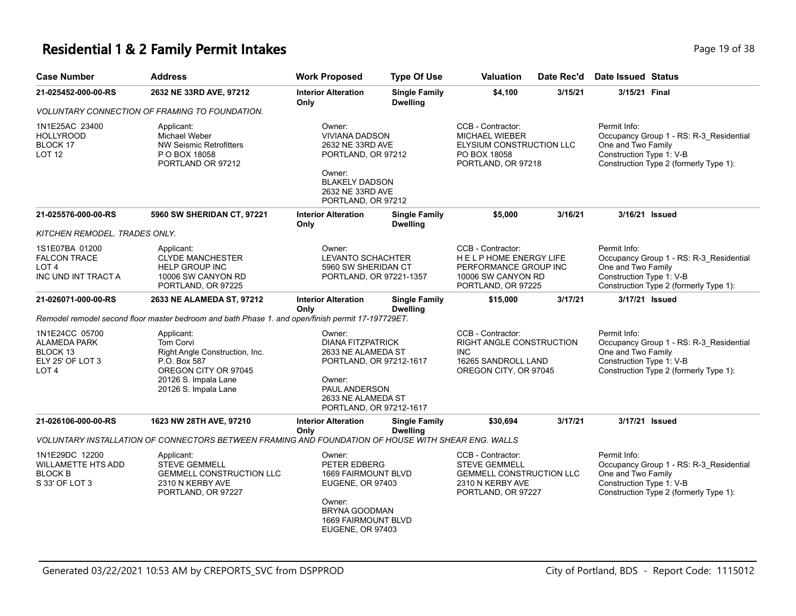### **Residential 1 & 2 Family Permit Intakes Page 19 of 38** Page 19 of 38

| <b>Case Number</b>                                                             | <b>Address</b>                                                                                                                                           | <b>Work Proposed</b>                                                                                                                                            | <b>Type Of Use</b>                                                                                                                                                                            | Valuation                                                                                                              | Date Rec'd | <b>Date Issued Status</b>                                      |                                                                                   |
|--------------------------------------------------------------------------------|----------------------------------------------------------------------------------------------------------------------------------------------------------|-----------------------------------------------------------------------------------------------------------------------------------------------------------------|-----------------------------------------------------------------------------------------------------------------------------------------------------------------------------------------------|------------------------------------------------------------------------------------------------------------------------|------------|----------------------------------------------------------------|-----------------------------------------------------------------------------------|
| 21-025452-000-00-RS                                                            | 2632 NE 33RD AVE, 97212                                                                                                                                  | <b>Interior Alteration</b><br>Only                                                                                                                              | <b>Single Family</b><br><b>Dwelling</b>                                                                                                                                                       | \$4,100                                                                                                                | 3/15/21    | 3/15/21 Final                                                  |                                                                                   |
|                                                                                | VOLUNTARY CONNECTION OF FRAMING TO FOUNDATION.                                                                                                           |                                                                                                                                                                 |                                                                                                                                                                                               |                                                                                                                        |            |                                                                |                                                                                   |
| 1N1E25AC 23400<br>HOLLYROOD<br>BLOCK 17<br>LOT 12                              | Applicant:<br>Michael Weber<br><b>NW Seismic Retrofitters</b><br>P O BOX 18058<br>PORTLAND OR 97212                                                      | Owner:<br><b>VIVIANA DADSON</b><br>2632 NE 33RD AVE<br>PORTLAND, OR 97212<br>Owner:<br><b>BLAKELY DADSON</b><br>2632 NE 33RD AVE<br>PORTLAND, OR 97212          |                                                                                                                                                                                               | CCB - Contractor:<br><b>MICHAEL WIEBER</b><br>ELYSIUM CONSTRUCTION LLC<br>PO BOX 18058<br>PORTLAND, OR 97218           |            | Permit Info:<br>One and Two Family<br>Construction Type 1: V-B | Occupancy Group 1 - RS: R-3_Residential<br>Construction Type 2 (formerly Type 1): |
| 21-025576-000-00-RS                                                            | 5960 SW SHERIDAN CT, 97221                                                                                                                               | <b>Interior Alteration</b><br>Only                                                                                                                              | <b>Single Family</b><br><b>Dwelling</b>                                                                                                                                                       | \$5,000                                                                                                                | 3/16/21    | 3/16/21 Issued                                                 |                                                                                   |
| KITCHEN REMODEL. TRADES ONLY.                                                  |                                                                                                                                                          |                                                                                                                                                                 |                                                                                                                                                                                               |                                                                                                                        |            |                                                                |                                                                                   |
| 1S1E07BA 01200<br><b>FALCON TRACE</b><br>LOT 4<br>INC UND INT TRACT A          | Applicant:<br><b>CLYDE MANCHESTER</b><br><b>HELP GROUP INC</b><br>10006 SW CANYON RD<br>PORTLAND, OR 97225                                               | Owner:                                                                                                                                                          | CCB - Contractor:<br><b>LEVANTO SCHACHTER</b><br>HELP HOME ENERGY LIFE<br>5960 SW SHERIDAN CT<br>PERFORMANCE GROUP INC<br>PORTLAND, OR 97221-1357<br>10006 SW CANYON RD<br>PORTLAND, OR 97225 |                                                                                                                        |            | Permit Info:<br>One and Two Family<br>Construction Type 1: V-B | Occupancy Group 1 - RS: R-3_Residential<br>Construction Type 2 (formerly Type 1): |
| 21-026071-000-00-RS                                                            | 2633 NE ALAMEDA ST, 97212                                                                                                                                | <b>Interior Alteration</b><br>Only                                                                                                                              | <b>Single Family</b><br><b>Dwelling</b>                                                                                                                                                       | \$15,000                                                                                                               | 3/17/21    | 3/17/21 Issued                                                 |                                                                                   |
|                                                                                | Remodel remodel second floor master bedroom and bath Phase 1. and open/finish permit 17-197729ET.                                                        |                                                                                                                                                                 |                                                                                                                                                                                               |                                                                                                                        |            |                                                                |                                                                                   |
| 1N1E24CC 05700<br><b>ALAMEDA PARK</b><br>BLOCK 13<br>ELY 25' OF LOT 3<br>LOT 4 | Applicant:<br><b>Tom Corvi</b><br>Right Angle Construction, Inc.<br>P.O. Box 587<br>OREGON CITY OR 97045<br>20126 S. Impala Lane<br>20126 S. Impala Lane | Owner:<br><b>DIANA FITZPATRICK</b><br>2633 NE ALAMEDA ST<br>PORTLAND, OR 97212-1617<br>Owner:<br>PAUL ANDERSON<br>2633 NE ALAMEDA ST<br>PORTLAND, OR 97212-1617 |                                                                                                                                                                                               | CCB - Contractor:<br>RIGHT ANGLE CONSTRUCTION<br><b>INC</b><br>16265 SANDROLL LAND<br>OREGON CITY, OR 97045            |            | Permit Info:<br>One and Two Family<br>Construction Type 1: V-B | Occupancy Group 1 - RS: R-3_Residential<br>Construction Type 2 (formerly Type 1): |
| 21-026106-000-00-RS                                                            | 1623 NW 28TH AVE, 97210                                                                                                                                  | <b>Interior Alteration</b><br>Only                                                                                                                              | <b>Single Family</b><br><b>Dwelling</b>                                                                                                                                                       | \$30,694                                                                                                               | 3/17/21    | 3/17/21 Issued                                                 |                                                                                   |
|                                                                                | VOLUNTARY INSTALLATION OF CONNECTORS BETWEEN FRAMING AND FOUNDATION OF HOUSE WITH SHEAR ENG. WALLS                                                       |                                                                                                                                                                 |                                                                                                                                                                                               |                                                                                                                        |            |                                                                |                                                                                   |
| 1N1E29DC 12200<br>WILLAMETTE HTS ADD<br><b>BLOCK B</b><br>S 33' OF LOT 3       | Applicant:<br><b>STEVE GEMMELL</b><br><b>GEMMELL CONSTRUCTION LLC</b><br>2310 N KERBY AVE<br>PORTLAND, OR 97227                                          | Owner:<br>PETER EDBERG<br><b>1669 FAIRMOUNT BLVD</b><br><b>EUGENE, OR 97403</b><br>Owner:<br>BRYNA GOODMAN<br><b>1669 FAIRMOUNT BLVD</b><br>EUGENE, OR 97403    |                                                                                                                                                                                               | CCB - Contractor:<br><b>STEVE GEMMELL</b><br><b>GEMMELL CONSTRUCTION LLC</b><br>2310 N KERBY AVE<br>PORTLAND, OR 97227 |            | Permit Info:<br>One and Two Family<br>Construction Type 1: V-B | Occupancy Group 1 - RS: R-3_Residential<br>Construction Type 2 (formerly Type 1): |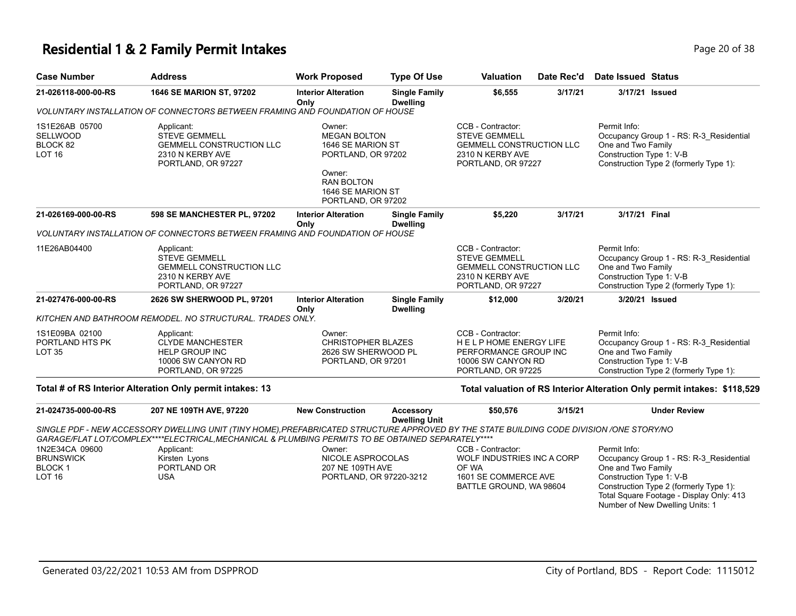### **Residential 1 & 2 Family Permit Intakes Page 10 of 38** Page 20 of 38

| Page 20 o |
|-----------|
|           |

| <b>Case Number</b>                                             | <b>Address</b>                                                                                                                                                                                                                                                 | <b>Work Proposed</b>                                                                                                                               | <b>Type Of Use</b>                      | <b>Valuation</b>                                                                                                       | Date Rec'd | <b>Date Issued Status</b>                                                                                                                           |
|----------------------------------------------------------------|----------------------------------------------------------------------------------------------------------------------------------------------------------------------------------------------------------------------------------------------------------------|----------------------------------------------------------------------------------------------------------------------------------------------------|-----------------------------------------|------------------------------------------------------------------------------------------------------------------------|------------|-----------------------------------------------------------------------------------------------------------------------------------------------------|
| 21-026118-000-00-RS                                            | 1646 SE MARION ST, 97202                                                                                                                                                                                                                                       | <b>Interior Alteration</b><br>Only                                                                                                                 | <b>Single Family</b><br><b>Dwelling</b> | \$6,555                                                                                                                | 3/17/21    | 3/17/21 Issued                                                                                                                                      |
|                                                                | VOLUNTARY INSTALLATION OF CONNECTORS BETWEEN FRAMING AND FOUNDATION OF HOUSE                                                                                                                                                                                   |                                                                                                                                                    |                                         |                                                                                                                        |            |                                                                                                                                                     |
| 1S1E26AB 05700<br><b>SELLWOOD</b><br>BLOCK 82<br><b>LOT 16</b> | Applicant:<br><b>STEVE GEMMELL</b><br><b>GEMMELL CONSTRUCTION LLC</b><br>2310 N KERBY AVE<br>PORTLAND, OR 97227                                                                                                                                                | Owner:<br><b>MEGAN BOLTON</b><br>1646 SE MARION ST<br>PORTLAND, OR 97202<br>Owner:<br><b>RAN BOLTON</b><br>1646 SE MARION ST<br>PORTLAND, OR 97202 |                                         | CCB - Contractor:<br><b>STEVE GEMMELL</b><br><b>GEMMELL CONSTRUCTION LLC</b><br>2310 N KERBY AVE<br>PORTLAND, OR 97227 |            | Permit Info:<br>Occupancy Group 1 - RS: R-3 Residential<br>One and Two Family<br>Construction Type 1: V-B<br>Construction Type 2 (formerly Type 1): |
| 21-026169-000-00-RS                                            | 598 SE MANCHESTER PL, 97202                                                                                                                                                                                                                                    | <b>Interior Alteration</b><br>Only                                                                                                                 | <b>Single Family</b><br><b>Dwelling</b> | \$5,220                                                                                                                | 3/17/21    | 3/17/21 Final                                                                                                                                       |
|                                                                | VOLUNTARY INSTALLATION OF CONNECTORS BETWEEN FRAMING AND FOUNDATION OF HOUSE                                                                                                                                                                                   |                                                                                                                                                    |                                         |                                                                                                                        |            |                                                                                                                                                     |
| 11E26AB04400                                                   | Applicant:<br><b>STEVE GEMMELL</b><br><b>GEMMELL CONSTRUCTION LLC</b><br>2310 N KERBY AVE<br>PORTLAND, OR 97227                                                                                                                                                |                                                                                                                                                    |                                         | CCB - Contractor:<br><b>STEVE GEMMELL</b><br><b>GEMMELL CONSTRUCTION LLC</b><br>2310 N KERBY AVE<br>PORTLAND, OR 97227 |            | Permit Info:<br>Occupancy Group 1 - RS: R-3 Residential<br>One and Two Family<br>Construction Type 1: V-B<br>Construction Type 2 (formerly Type 1): |
| 21-027476-000-00-RS                                            | 2626 SW SHERWOOD PL, 97201                                                                                                                                                                                                                                     | <b>Interior Alteration</b><br>Only                                                                                                                 | <b>Single Family</b><br><b>Dwelling</b> | \$12,000                                                                                                               | 3/20/21    | 3/20/21 Issued                                                                                                                                      |
|                                                                | KITCHEN AND BATHROOM REMODEL. NO STRUCTURAL. TRADES ONLY.                                                                                                                                                                                                      |                                                                                                                                                    |                                         |                                                                                                                        |            |                                                                                                                                                     |
| 1S1E09BA 02100<br>PORTLAND HTS PK<br><b>LOT 35</b>             | Applicant:<br><b>CLYDE MANCHESTER</b><br><b>HELP GROUP INC</b><br>10006 SW CANYON RD<br>PORTLAND, OR 97225                                                                                                                                                     | Owner:<br><b>CHRISTOPHER BLAZES</b><br>2626 SW SHERWOOD PL<br>PORTLAND, OR 97201                                                                   |                                         | CCB - Contractor:<br><b>HELPHOME ENERGY LIFE</b><br>PERFORMANCE GROUP INC<br>10006 SW CANYON RD<br>PORTLAND, OR 97225  |            | Permit Info:<br>Occupancy Group 1 - RS: R-3 Residential<br>One and Two Family<br>Construction Type 1: V-B<br>Construction Type 2 (formerly Type 1): |
|                                                                | Total # of RS Interior Alteration Only permit intakes: 13                                                                                                                                                                                                      |                                                                                                                                                    |                                         |                                                                                                                        |            | Total valuation of RS Interior Alteration Only permit intakes: \$118,529                                                                            |
| 21-024735-000-00-RS                                            | 207 NE 109TH AVE, 97220                                                                                                                                                                                                                                        | <b>New Construction</b>                                                                                                                            | Accessory<br><b>Dwelling Unit</b>       | \$50,576                                                                                                               | 3/15/21    | <b>Under Review</b>                                                                                                                                 |
|                                                                | SINGLE PDF - NEW ACCESSORY DWELLING UNIT (TINY HOME).PREFABRICATED STRUCTURE APPROVED BY THE STATE BUILDING CODE DIVISION /ONE STORY/NO<br>GARAGE/FLAT LOT/COMPLEX****ELECTRICAL, MECHANICAL & PLUMBING PERMITS TO BE OBTAINED SEPARATELY****<br>$A = 11 - 11$ | $\sim$ $\sim$ $\sim$ $\sim$                                                                                                                        |                                         | $\bigcap_{n=1}^{\infty}$                                                                                               |            | $D = 0.000014$ and $D = 0.00001$                                                                                                                    |

| 1N2E34CA 09600<br>BRUNSWICK<br>BLOCK 1<br>LOT 16 | Applicant:<br>Kirsten Lyons<br>PORTLAND OR<br>USA | Owner:<br>NICOLE ASPROCOLAS<br>207 NE 109TH AVE<br>PORTLAND, OR 97220-3212 | CCB - Contractor:<br>WOLF INDUSTRIES INC A CORP<br>OF WA<br>1601 SE COMMERCE AVE<br>BATTLE GROUND, WA 98604 | Permit Info:<br>Occupancy Group 1 - RS: R-3 Residential<br>One and Two Family<br>Construction Type 1: V-B<br>Construction Type 2 (formerly Type 1):<br>Total Square Footage - Display Only: 413 |
|--------------------------------------------------|---------------------------------------------------|----------------------------------------------------------------------------|-------------------------------------------------------------------------------------------------------------|-------------------------------------------------------------------------------------------------------------------------------------------------------------------------------------------------|
|                                                  |                                                   |                                                                            |                                                                                                             |                                                                                                                                                                                                 |
|                                                  |                                                   |                                                                            |                                                                                                             | Number of New Dwelling Units: 1                                                                                                                                                                 |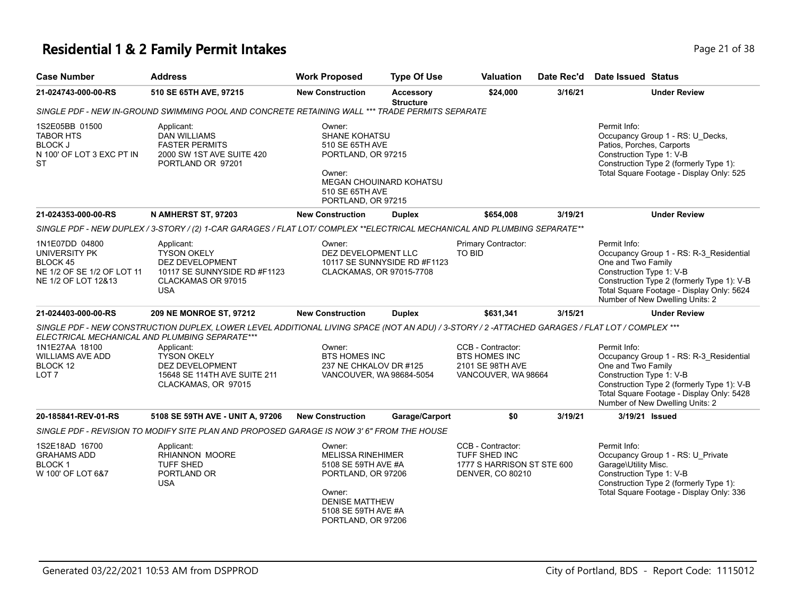# **Residential 1 & 2 Family Permit Intakes Page 21 of 38**

| <b>Case Number</b>                                                                               | <b>Address</b>                                                                                                                                                                                    | <b>Work Proposed</b>                                                                                                                                            | <b>Type Of Use</b>                   | <b>Valuation</b>                                                                     | Date Rec'd | Date Issued Status                                                                                                                                                                                                                      |
|--------------------------------------------------------------------------------------------------|---------------------------------------------------------------------------------------------------------------------------------------------------------------------------------------------------|-----------------------------------------------------------------------------------------------------------------------------------------------------------------|--------------------------------------|--------------------------------------------------------------------------------------|------------|-----------------------------------------------------------------------------------------------------------------------------------------------------------------------------------------------------------------------------------------|
| 21-024743-000-00-RS                                                                              | 510 SE 65TH AVE, 97215                                                                                                                                                                            | <b>New Construction</b>                                                                                                                                         | <b>Accessory</b><br><b>Structure</b> | \$24,000                                                                             | 3/16/21    | <b>Under Review</b>                                                                                                                                                                                                                     |
|                                                                                                  | SINGLE PDF - NEW IN-GROUND SWIMMING POOL AND CONCRETE RETAINING WALL *** TRADE PERMITS SEPARATE                                                                                                   |                                                                                                                                                                 |                                      |                                                                                      |            |                                                                                                                                                                                                                                         |
| 1S2E05BB 01500<br><b>TABOR HTS</b><br><b>BLOCK J</b><br>N 100' OF LOT 3 EXC PT IN<br><b>ST</b>   | Applicant:<br><b>DAN WILLIAMS</b><br><b>FASTER PERMITS</b><br>2000 SW 1ST AVE SUITE 420<br>PORTLAND OR 97201                                                                                      | Owner:<br>SHANE KOHATSU<br>510 SE 65TH AVE<br>PORTLAND, OR 97215<br>Owner:<br>MEGAN CHOUINARD KOHATSU<br>510 SE 65TH AVE<br>PORTLAND, OR 97215                  |                                      |                                                                                      |            | Permit Info:<br>Occupancy Group 1 - RS: U_Decks,<br>Patios, Porches, Carports<br>Construction Type 1: V-B<br>Construction Type 2 (formerly Type 1):<br>Total Square Footage - Display Only: 525                                         |
| 21-024353-000-00-RS                                                                              | N AMHERST ST, 97203                                                                                                                                                                               | <b>New Construction</b>                                                                                                                                         | <b>Duplex</b>                        | \$654,008                                                                            | 3/19/21    | <b>Under Review</b>                                                                                                                                                                                                                     |
|                                                                                                  | SINGLE PDF - NEW DUPLEX / 3-STORY / (2) 1-CAR GARAGES / FLAT LOT/ COMPLEX **ELECTRICAL MECHANICAL AND PLUMBING SEPARATE**                                                                         |                                                                                                                                                                 |                                      |                                                                                      |            |                                                                                                                                                                                                                                         |
| 1N1E07DD 04800<br>UNIVERSITY PK<br>BLOCK 45<br>NE 1/2 OF SE 1/2 OF LOT 11<br>NE 1/2 OF LOT 12&13 | Applicant:<br><b>TYSON OKELY</b><br>DEZ DEVELOPMENT<br>10117 SE SUNNYSIDE RD #F1123<br>CLACKAMAS OR 97015<br><b>USA</b>                                                                           | Owner:<br>DEZ DEVELOPMENT LLC<br>CLACKAMAS, OR 97015-7708                                                                                                       | 10117 SE SUNNYSIDE RD #F1123         | Primary Contractor:<br>TO BID                                                        |            | Permit Info:<br>Occupancy Group 1 - RS: R-3_Residential<br>One and Two Family<br>Construction Type 1: V-B<br>Construction Type 2 (formerly Type 1): V-B<br>Total Square Footage - Display Only: 5624<br>Number of New Dwelling Units: 2 |
| 21-024403-000-00-RS                                                                              | <b>209 NE MONROE ST, 97212</b>                                                                                                                                                                    | <b>New Construction</b>                                                                                                                                         | <b>Duplex</b>                        | \$631,341                                                                            | 3/15/21    | <b>Under Review</b>                                                                                                                                                                                                                     |
|                                                                                                  | SINGLE PDF - NEW CONSTRUCTION DUPLEX, LOWER LEVEL ADDITIONAL LIVING SPACE (NOT AN ADU) / 3-STORY / 2 -ATTACHED GARAGES / FLAT LOT / COMPLEX ***<br>ELECTRICAL MECHANICAL AND PLUMBING SEPARATE*** |                                                                                                                                                                 |                                      |                                                                                      |            |                                                                                                                                                                                                                                         |
| 1N1E27AA 18100<br><b>WILLIAMS AVE ADD</b><br>BLOCK 12<br>LOT <sub>7</sub>                        | Applicant:<br><b>TYSON OKELY</b><br>DEZ DEVELOPMENT<br>15648 SE 114TH AVE SUITE 211<br>CLACKAMAS, OR 97015                                                                                        | Owner:<br><b>BTS HOMES INC</b><br>237 NE CHKALOV DR #125<br>VANCOUVER, WA 98684-5054                                                                            |                                      | CCB - Contractor:<br><b>BTS HOMES INC</b><br>2101 SE 98TH AVE<br>VANCOUVER, WA 98664 |            | Permit Info:<br>Occupancy Group 1 - RS: R-3_Residential<br>One and Two Family<br>Construction Type 1: V-B<br>Construction Type 2 (formerly Type 1): V-B<br>Total Square Footage - Display Only: 5428<br>Number of New Dwelling Units: 2 |
| 20-185841-REV-01-RS                                                                              | 5108 SE 59TH AVE - UNIT A, 97206                                                                                                                                                                  | <b>New Construction</b>                                                                                                                                         | Garage/Carport                       | \$0                                                                                  | 3/19/21    | 3/19/21 Issued                                                                                                                                                                                                                          |
|                                                                                                  | SINGLE PDF - REVISION TO MODIFY SITE PLAN AND PROPOSED GARAGE IS NOW 3' 6" FROM THE HOUSE                                                                                                         |                                                                                                                                                                 |                                      |                                                                                      |            |                                                                                                                                                                                                                                         |
| 1S2E18AD 16700<br><b>GRAHAMS ADD</b><br>BLOCK <sub>1</sub><br>W 100' OF LOT 6&7                  | Applicant:<br>RHIANNON MOORE<br>TUFF SHED<br>PORTLAND OR<br><b>USA</b>                                                                                                                            | Owner:<br><b>MELISSA RINEHIMER</b><br>5108 SE 59TH AVE #A<br>PORTLAND, OR 97206<br>Owner:<br><b>DENISE MATTHEW</b><br>5108 SE 59TH AVE #A<br>PORTLAND, OR 97206 |                                      | CCB - Contractor:<br>TUFF SHED INC<br>1777 S HARRISON ST STE 600<br>DENVER, CO 80210 |            | Permit Info:<br>Occupancy Group 1 - RS: U_Private<br>Garage\Utility Misc.<br>Construction Type 1: V-B<br>Construction Type 2 (formerly Type 1):<br>Total Square Footage - Display Only: 336                                             |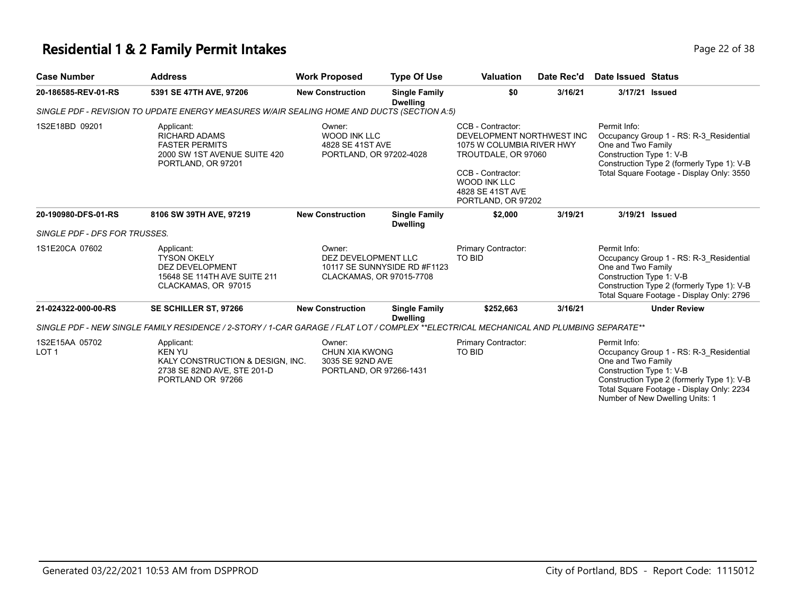#### **Residential 1 & 2 Family Permit Intakes Page 12 of 38** Page 22 of 38

| Page 22 |  |
|---------|--|
|         |  |

| <b>Case Number</b>                 | <b>Address</b>                                                                                                                         | <b>Work Proposed</b>                                | <b>Type Of Use</b>                                       | <b>Valuation</b>                                                                                                                                                                         | Date Rec'd | Date Issued Status                                                                                                                                                                                   |
|------------------------------------|----------------------------------------------------------------------------------------------------------------------------------------|-----------------------------------------------------|----------------------------------------------------------|------------------------------------------------------------------------------------------------------------------------------------------------------------------------------------------|------------|------------------------------------------------------------------------------------------------------------------------------------------------------------------------------------------------------|
| 20-186585-REV-01-RS                | 5391 SE 47TH AVE, 97206                                                                                                                | <b>New Construction</b>                             | <b>Single Family</b><br><b>Dwelling</b>                  | \$0                                                                                                                                                                                      | 3/16/21    | 3/17/21 Issued                                                                                                                                                                                       |
|                                    | SINGLE PDF - REVISION TO UPDATE ENERGY MEASURES W/AIR SEALING HOME AND DUCTS (SECTION A:5)                                             |                                                     |                                                          |                                                                                                                                                                                          |            |                                                                                                                                                                                                      |
| 1S2E18BD 09201                     | Applicant:<br><b>RICHARD ADAMS</b><br><b>FASTER PERMITS</b><br>2000 SW 1ST AVENUE SUITE 420<br>PORTLAND, OR 97201                      | Owner:<br><b>WOOD INK LLC</b><br>4828 SE 41ST AVE   | PORTLAND, OR 97202-4028                                  | CCB - Contractor:<br>DEVELOPMENT NORTHWEST INC<br>1075 W COLUMBIA RIVER HWY<br>TROUTDALE, OR 97060<br>CCB - Contractor:<br><b>WOOD INK LLC</b><br>4828 SE 41ST AVE<br>PORTLAND, OR 97202 |            | Permit Info:<br>Occupancy Group 1 - RS: R-3 Residential<br>One and Two Family<br>Construction Type 1: V-B<br>Construction Type 2 (formerly Type 1): V-B<br>Total Square Footage - Display Only: 3550 |
| 20-190980-DFS-01-RS                | 8106 SW 39TH AVE, 97219                                                                                                                | <b>New Construction</b>                             | <b>Single Family</b><br><b>Dwelling</b>                  | \$2,000                                                                                                                                                                                  | 3/19/21    | 3/19/21 Issued                                                                                                                                                                                       |
| SINGLE PDF - DFS FOR TRUSSES.      |                                                                                                                                        |                                                     |                                                          |                                                                                                                                                                                          |            |                                                                                                                                                                                                      |
| 1S1E20CA 07602                     | Applicant:<br><b>TYSON OKELY</b><br><b>DEZ DEVELOPMENT</b><br>15648 SE 114TH AVE SUITE 211<br>CLACKAMAS, OR 97015                      | Owner:<br>DEZ DEVELOPMENT LLC                       | 10117 SE SUNNYSIDE RD #F1123<br>CLACKAMAS, OR 97015-7708 | Primary Contractor:<br>TO BID                                                                                                                                                            |            | Permit Info:<br>Occupancy Group 1 - RS: R-3 Residential<br>One and Two Family<br>Construction Type 1: V-B<br>Construction Type 2 (formerly Type 1): V-B<br>Total Square Footage - Display Only: 2796 |
| 21-024322-000-00-RS                | SE SCHILLER ST, 97266                                                                                                                  | <b>New Construction</b>                             | <b>Single Family</b><br><b>Dwelling</b>                  | \$252,663                                                                                                                                                                                | 3/16/21    | <b>Under Review</b>                                                                                                                                                                                  |
|                                    | SINGLE PDF - NEW SINGLE FAMILY RESIDENCE / 2-STORY / 1-CAR GARAGE / FLAT LOT / COMPLEX **ELECTRICAL MECHANICAL AND PLUMBING SEPARATE** |                                                     |                                                          |                                                                                                                                                                                          |            |                                                                                                                                                                                                      |
| 1S2E15AA 05702<br>LOT <sub>1</sub> | Applicant:<br><b>KEN YU</b><br>KALY CONSTRUCTION & DESIGN, INC.<br>2738 SE 82ND AVE, STE 201-D<br>PORTLAND OR 97266                    | Owner:<br><b>CHUN XIA KWONG</b><br>3035 SE 92ND AVE | PORTLAND, OR 97266-1431                                  | Primary Contractor:<br>TO BID                                                                                                                                                            |            | Permit Info:<br>Occupancy Group 1 - RS: R-3 Residential<br>One and Two Family<br>Construction Type 1: V-B<br>Construction Type 2 (formerly Type 1): V-B<br>Total Square Footage - Display Only: 2234 |

Number of New Dwelling Units: 1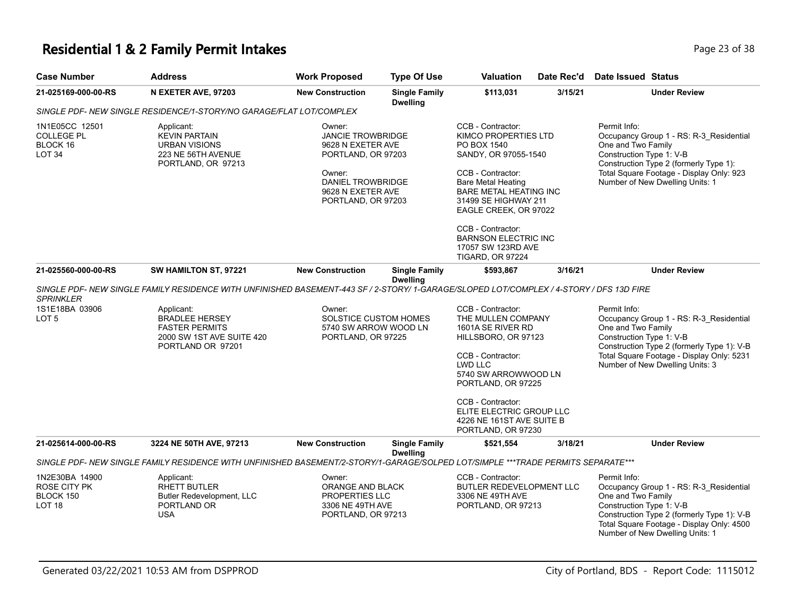### **Residential 1 & 2 Family Permit Intakes Page 13 of 38** Page 23 of 38

| <b>Case Number</b>                                    | <b>Address</b>                                                                                                                          | <b>Work Proposed</b>                                                                                                                                    | <b>Type Of Use</b>                      | <b>Valuation</b>                                                                                                                                                                                                                   | Date Rec'd | <b>Date Issued Status</b>                                                                                                                                                                                                               |
|-------------------------------------------------------|-----------------------------------------------------------------------------------------------------------------------------------------|---------------------------------------------------------------------------------------------------------------------------------------------------------|-----------------------------------------|------------------------------------------------------------------------------------------------------------------------------------------------------------------------------------------------------------------------------------|------------|-----------------------------------------------------------------------------------------------------------------------------------------------------------------------------------------------------------------------------------------|
| 21-025169-000-00-RS                                   | N EXETER AVE, 97203                                                                                                                     | <b>New Construction</b>                                                                                                                                 | <b>Single Family</b><br><b>Dwelling</b> | \$113,031                                                                                                                                                                                                                          | 3/15/21    | <b>Under Review</b>                                                                                                                                                                                                                     |
|                                                       | SINGLE PDF- NEW SINGLE RESIDENCE/1-STORY/NO GARAGE/FLAT LOT/COMPLEX                                                                     |                                                                                                                                                         |                                         |                                                                                                                                                                                                                                    |            |                                                                                                                                                                                                                                         |
| 1N1E05CC 12501<br>COLLEGE PL<br>BLOCK 16<br>LOT 34    | Applicant:<br><b>KEVIN PARTAIN</b><br><b>URBAN VISIONS</b><br>223 NE 56TH AVENUE<br>PORTLAND, OR 97213                                  | Owner:<br><b>JANCIE TROWBRIDGE</b><br>9628 N EXETER AVE<br>PORTLAND, OR 97203<br>Owner:<br>DANIEL TROWBRIDGE<br>9628 N EXETER AVE<br>PORTLAND, OR 97203 |                                         | CCB - Contractor:<br>KIMCO PROPERTIES LTD<br>PO BOX 1540<br>SANDY, OR 97055-1540<br>CCB - Contractor:<br><b>Bare Metal Heating</b><br>BARE METAL HEATING INC<br>31499 SE HIGHWAY 211<br>EAGLE CREEK, OR 97022<br>CCB - Contractor: |            | Permit Info:<br>Occupancy Group 1 - RS: R-3_Residential<br>One and Two Family<br>Construction Type 1: V-B<br>Construction Type 2 (formerly Type 1):<br>Total Square Footage - Display Only: 923<br>Number of New Dwelling Units: 1      |
|                                                       |                                                                                                                                         |                                                                                                                                                         |                                         | <b>BARNSON ELECTRIC INC</b><br>17057 SW 123RD AVE<br><b>TIGARD, OR 97224</b>                                                                                                                                                       |            |                                                                                                                                                                                                                                         |
| 21-025560-000-00-RS                                   | SW HAMILTON ST, 97221                                                                                                                   | <b>New Construction</b>                                                                                                                                 | <b>Single Family</b>                    | \$593,867                                                                                                                                                                                                                          | 3/16/21    | <b>Under Review</b>                                                                                                                                                                                                                     |
| <b>SPRINKLER</b>                                      | SINGLE PDF- NEW SINGLE FAMILY RESIDENCE WITH UNFINISHED BASEMENT-443 SF / 2-STORY/ 1-GARAGE/SLOPED LOT/COMPLEX / 4-STORY / DFS 13D FIRE |                                                                                                                                                         | <b>Dwelling</b>                         |                                                                                                                                                                                                                                    |            |                                                                                                                                                                                                                                         |
| 1S1E18BA 03906<br>LOT 5                               | Applicant:<br><b>BRADLEE HERSEY</b><br><b>FASTER PERMITS</b><br>2000 SW 1ST AVE SUITE 420<br>PORTLAND OR 97201                          | Owner:<br>SOLSTICE CUSTOM HOMES<br>5740 SW ARROW WOOD LN<br>PORTLAND, OR 97225                                                                          |                                         | CCB - Contractor:<br>THE MULLEN COMPANY<br>1601A SE RIVER RD<br>HILLSBORO, OR 97123<br>CCB - Contractor:<br>LWD LLC<br>5740 SW ARROWWOOD LN                                                                                        |            | Permit Info:<br>Occupancy Group 1 - RS: R-3_Residential<br>One and Two Family<br>Construction Type 1: V-B<br>Construction Type 2 (formerly Type 1): V-B<br>Total Square Footage - Display Only: 5231<br>Number of New Dwelling Units: 3 |
|                                                       |                                                                                                                                         |                                                                                                                                                         |                                         | PORTLAND, OR 97225<br>CCB - Contractor:<br>ELITE ELECTRIC GROUP LLC<br>4226 NE 161ST AVE SUITE B<br>PORTLAND, OR 97230                                                                                                             |            |                                                                                                                                                                                                                                         |
| 21-025614-000-00-RS                                   | 3224 NE 50TH AVE, 97213                                                                                                                 | <b>New Construction</b>                                                                                                                                 | <b>Single Family</b>                    | \$521,554                                                                                                                                                                                                                          | 3/18/21    | <b>Under Review</b>                                                                                                                                                                                                                     |
|                                                       | SINGLE PDF- NEW SINGLE FAMILY RESIDENCE WITH UNFINISHED BASEMENT/2-STORY/1-GARAGE/SOLPED LOT/SIMPLE ***TRADE PERMITS SEPARATE***        |                                                                                                                                                         | <b>Dwelling</b>                         |                                                                                                                                                                                                                                    |            |                                                                                                                                                                                                                                         |
| 1N2E30BA 14900<br>ROSE CITY PK<br>BLOCK 150<br>LOT 18 | Applicant:<br><b>RHETT BUTLER</b><br>Butler Redevelopment, LLC<br>PORTLAND OR<br><b>USA</b>                                             | Owner:<br>ORANGE AND BLACK<br>PROPERTIES LLC<br>3306 NE 49TH AVE<br>PORTLAND, OR 97213                                                                  |                                         | CCB - Contractor:<br>BUTLER REDEVELOPMENT LLC<br>3306 NE 49TH AVE<br>PORTLAND, OR 97213                                                                                                                                            |            | Permit Info:<br>Occupancy Group 1 - RS: R-3_Residential<br>One and Two Family<br>Construction Type 1: V-B<br>Construction Type 2 (formerly Type 1): V-B<br>Total Square Footage - Display Only: 4500<br>Number of New Dwelling Units: 1 |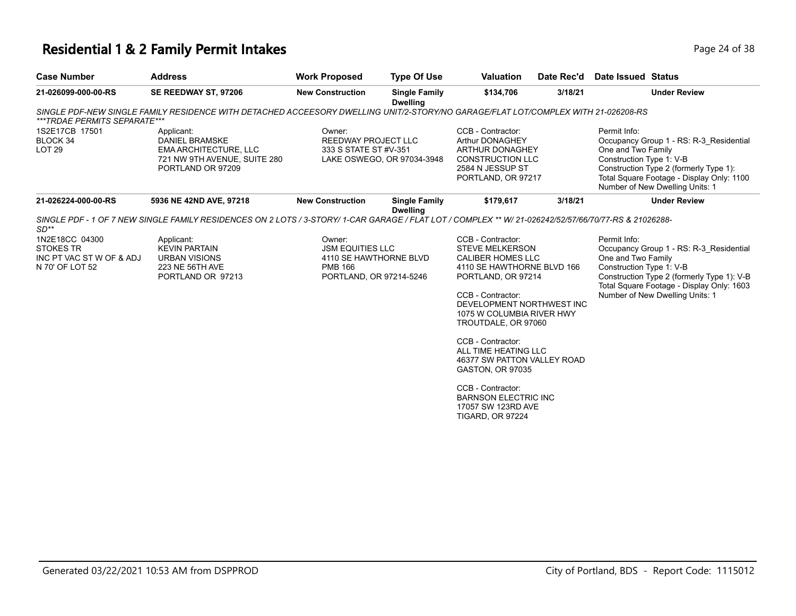# **Residential 1 & 2 Family Permit Intakes Page 24 of 38**

| <b>Case Number</b>                                                                | <b>Address</b>                                                                                                                                        | <b>Work Proposed</b>                                                                                     | <b>Type Of Use</b>                      | <b>Valuation</b>                                                                                                                                                                                                                                                                                                                                                                                                                              | Date Rec'd | <b>Date Issued Status</b>                                      |                                                                                                                                                                       |
|-----------------------------------------------------------------------------------|-------------------------------------------------------------------------------------------------------------------------------------------------------|----------------------------------------------------------------------------------------------------------|-----------------------------------------|-----------------------------------------------------------------------------------------------------------------------------------------------------------------------------------------------------------------------------------------------------------------------------------------------------------------------------------------------------------------------------------------------------------------------------------------------|------------|----------------------------------------------------------------|-----------------------------------------------------------------------------------------------------------------------------------------------------------------------|
| 21-026099-000-00-RS                                                               | SE REEDWAY ST, 97206                                                                                                                                  | <b>New Construction</b>                                                                                  | <b>Single Family</b><br><b>Dwelling</b> | \$134,706                                                                                                                                                                                                                                                                                                                                                                                                                                     | 3/18/21    |                                                                | <b>Under Review</b>                                                                                                                                                   |
| ***TRDAE PERMITS SEPARATE***                                                      | SINGLE PDF-NEW SINGLE FAMILY RESIDENCE WITH DETACHED ACCEESORY DWELLING UNIT/2-STORY/NO GARAGE/FLAT LOT/COMPLEX WITH 21-026208-RS                     |                                                                                                          |                                         |                                                                                                                                                                                                                                                                                                                                                                                                                                               |            |                                                                |                                                                                                                                                                       |
| 1S2E17CB 17501<br>BLOCK 34<br><b>LOT 29</b>                                       | Applicant:<br><b>DANIEL BRAMSKE</b><br><b>EMA ARCHITECTURE, LLC</b><br>721 NW 9TH AVENUE, SUITE 280<br>PORTLAND OR 97209                              | Owner:<br>REEDWAY PROJECT LLC<br>333 S STATE ST #V-351                                                   | LAKE OSWEGO, OR 97034-3948              | CCB - Contractor:<br>Arthur DONAGHEY<br>ARTHUR DONAGHEY<br><b>CONSTRUCTION LLC</b><br>2584 N JESSUP ST<br>PORTLAND, OR 97217                                                                                                                                                                                                                                                                                                                  |            | Permit Info:<br>One and Two Family<br>Construction Type 1: V-B | Occupancy Group 1 - RS: R-3 Residential<br>Construction Type 2 (formerly Type 1):<br>Total Square Footage - Display Only: 1100<br>Number of New Dwelling Units: 1     |
| 21-026224-000-00-RS                                                               | 5936 NE 42ND AVE, 97218                                                                                                                               | <b>New Construction</b>                                                                                  | <b>Single Family</b><br><b>Dwelling</b> | \$179,617                                                                                                                                                                                                                                                                                                                                                                                                                                     | 3/18/21    |                                                                | <b>Under Review</b>                                                                                                                                                   |
| $SD**$                                                                            | SINGLE PDF - 1 OF 7 NEW SINGLE FAMILY RESIDENCES ON 2 LOTS / 3-STORY/ 1-CAR GARAGE / FLAT LOT / COMPLEX ** W/ 21-026242/52/57/66/70/77-RS & 21026288- |                                                                                                          |                                         |                                                                                                                                                                                                                                                                                                                                                                                                                                               |            |                                                                |                                                                                                                                                                       |
| 1N2E18CC 04300<br><b>STOKES TR</b><br>INC PT VAC ST W OF & ADJ<br>N 70' OF LOT 52 | Applicant:<br><b>KEVIN PARTAIN</b><br><b>URBAN VISIONS</b><br>223 NE 56TH AVE<br>PORTLAND OR 97213                                                    | Owner:<br><b>JSM EQUITIES LLC</b><br>4110 SE HAWTHORNE BLVD<br><b>PMB 166</b><br>PORTLAND, OR 97214-5246 |                                         | CCB - Contractor:<br><b>STEVE MELKERSON</b><br><b>CALIBER HOMES LLC</b><br>4110 SE HAWTHORNE BLVD 166<br>PORTLAND, OR 97214<br>CCB - Contractor:<br>DEVELOPMENT NORTHWEST INC<br>1075 W COLUMBIA RIVER HWY<br>TROUTDALE, OR 97060<br>CCB - Contractor:<br>ALL TIME HEATING LLC<br>46377 SW PATTON VALLEY ROAD<br><b>GASTON, OR 97035</b><br>CCB - Contractor:<br><b>BARNSON ELECTRIC INC</b><br>17057 SW 123RD AVE<br><b>TIGARD, OR 97224</b> |            | Permit Info:<br>One and Two Family<br>Construction Type 1: V-B | Occupancy Group 1 - RS: R-3 Residential<br>Construction Type 2 (formerly Type 1): V-B<br>Total Square Footage - Display Only: 1603<br>Number of New Dwelling Units: 1 |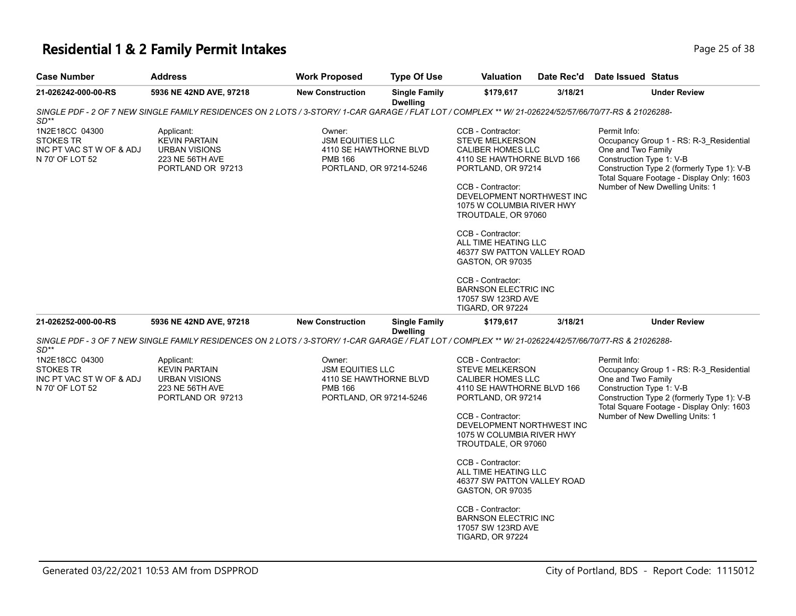# **Residential 1 & 2 Family Permit Intakes Page 25 of 38**

| <b>Case Number</b>                                                                | <b>Address</b>                                                                                                                                        | <b>Work Proposed</b>                                                                                     | <b>Type Of Use</b>                      | <b>Valuation</b>                                                                                                                                                                                                                                                                                                                                                                                            | Date Rec'd | Date Issued Status                                                                                                                                                                                                                      |
|-----------------------------------------------------------------------------------|-------------------------------------------------------------------------------------------------------------------------------------------------------|----------------------------------------------------------------------------------------------------------|-----------------------------------------|-------------------------------------------------------------------------------------------------------------------------------------------------------------------------------------------------------------------------------------------------------------------------------------------------------------------------------------------------------------------------------------------------------------|------------|-----------------------------------------------------------------------------------------------------------------------------------------------------------------------------------------------------------------------------------------|
| 21-026242-000-00-RS                                                               | 5936 NE 42ND AVE, 97218                                                                                                                               | <b>New Construction</b>                                                                                  | <b>Single Family</b><br><b>Dwelling</b> | \$179,617                                                                                                                                                                                                                                                                                                                                                                                                   | 3/18/21    | <b>Under Review</b>                                                                                                                                                                                                                     |
| SD**                                                                              | SINGLE PDF - 2 OF 7 NEW SINGLE FAMILY RESIDENCES ON 2 LOTS / 3-STORY/ 1-CAR GARAGE / FLAT LOT / COMPLEX ** W/ 21-026224/52/57/66/70/77-RS & 21026288- |                                                                                                          |                                         |                                                                                                                                                                                                                                                                                                                                                                                                             |            |                                                                                                                                                                                                                                         |
| 1N2E18CC 04300<br><b>STOKES TR</b><br>INC PT VAC ST W OF & ADJ<br>N 70' OF LOT 52 | Applicant:<br><b>KEVIN PARTAIN</b><br><b>URBAN VISIONS</b><br>223 NE 56TH AVE<br>PORTLAND OR 97213                                                    | Owner:<br><b>JSM EQUITIES LLC</b><br>4110 SE HAWTHORNE BLVD<br><b>PMB 166</b><br>PORTLAND, OR 97214-5246 |                                         | CCB - Contractor:<br><b>STEVE MELKERSON</b><br>CALIBER HOMES LLC<br>4110 SE HAWTHORNE BLVD 166<br>PORTLAND, OR 97214<br>CCB - Contractor:<br>DEVELOPMENT NORTHWEST INC<br>1075 W COLUMBIA RIVER HWY<br>TROUTDALE, OR 97060<br>CCB - Contractor:<br>ALL TIME HEATING LLC<br>46377 SW PATTON VALLEY ROAD<br><b>GASTON, OR 97035</b><br>CCB - Contractor:<br><b>BARNSON ELECTRIC INC</b><br>17057 SW 123RD AVE |            | Permit Info:<br>Occupancy Group 1 - RS: R-3_Residential<br>One and Two Family<br>Construction Type 1: V-B<br>Construction Type 2 (formerly Type 1): V-B<br>Total Square Footage - Display Only: 1603<br>Number of New Dwelling Units: 1 |
| 21-026252-000-00-RS                                                               | 5936 NE 42ND AVE, 97218                                                                                                                               | <b>New Construction</b>                                                                                  | <b>Single Family</b>                    | <b>TIGARD, OR 97224</b><br>\$179,617                                                                                                                                                                                                                                                                                                                                                                        | 3/18/21    | <b>Under Review</b>                                                                                                                                                                                                                     |
|                                                                                   |                                                                                                                                                       |                                                                                                          | <b>Dwelling</b>                         |                                                                                                                                                                                                                                                                                                                                                                                                             |            |                                                                                                                                                                                                                                         |
| SD**                                                                              | SINGLE PDF - 3 OF 7 NEW SINGLE FAMILY RESIDENCES ON 2 LOTS / 3-STORY/ 1-CAR GARAGE / FLAT LOT / COMPLEX ** W/ 21-026224/42/57/66/70/77-RS & 21026288- |                                                                                                          |                                         |                                                                                                                                                                                                                                                                                                                                                                                                             |            |                                                                                                                                                                                                                                         |
| 1N2E18CC 04300<br><b>STOKES TR</b><br>INC PT VAC ST W OF & ADJ<br>N 70' OF LOT 52 | Applicant:<br><b>KEVIN PARTAIN</b><br><b>URBAN VISIONS</b><br>223 NE 56TH AVE<br>PORTLAND OR 97213                                                    | Owner:<br><b>JSM EQUITIES LLC</b><br>4110 SE HAWTHORNE BLVD<br><b>PMB 166</b><br>PORTLAND, OR 97214-5246 |                                         | CCB - Contractor:<br><b>STEVE MELKERSON</b><br>CALIBER HOMES LLC<br>4110 SE HAWTHORNE BLVD 166<br>PORTLAND, OR 97214<br>CCB - Contractor:<br>DEVELOPMENT NORTHWEST INC<br>1075 W COLUMBIA RIVER HWY<br>TROUTDALE, OR 97060<br>CCB - Contractor:<br>ALL TIME HEATING LLC                                                                                                                                     |            | Permit Info:<br>Occupancy Group 1 - RS: R-3_Residential<br>One and Two Family<br>Construction Type 1: V-B<br>Construction Type 2 (formerly Type 1): V-B<br>Total Square Footage - Display Only: 1603<br>Number of New Dwelling Units: 1 |
|                                                                                   |                                                                                                                                                       |                                                                                                          |                                         | 46377 SW PATTON VALLEY ROAD<br><b>GASTON, OR 97035</b><br>CCB - Contractor:<br><b>BARNSON ELECTRIC INC</b><br>17057 SW 123RD AVE<br><b>TIGARD, OR 97224</b>                                                                                                                                                                                                                                                 |            |                                                                                                                                                                                                                                         |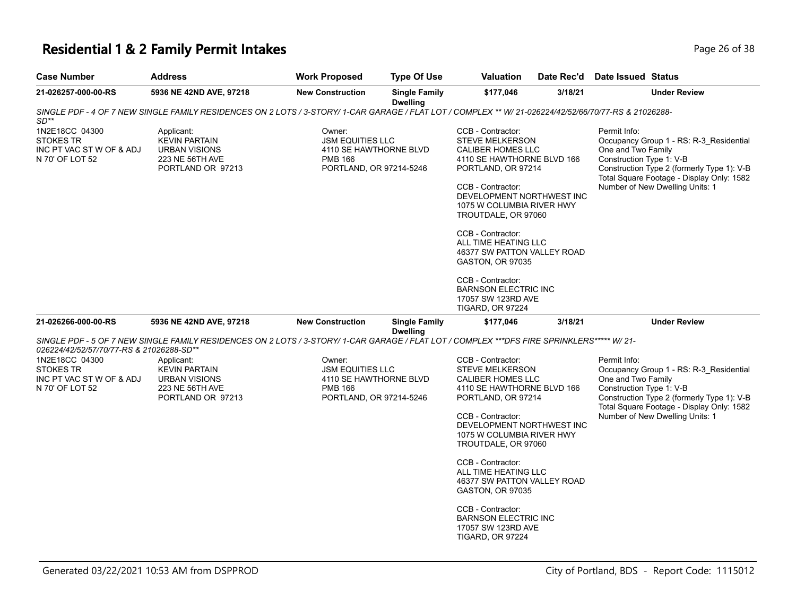# **Residential 1 & 2 Family Permit Intakes Page 26 of 38**

| <b>Case Number</b>                                                                | <b>Address</b>                                                                                                                                        | <b>Work Proposed</b>                                                                                     | <b>Type Of Use</b>                      | <b>Valuation</b>                                                                                                                                                                                                                                                                                                                                                                                                   | Date Rec'd | <b>Date Issued Status</b>                                                                                                                                                                                                               |
|-----------------------------------------------------------------------------------|-------------------------------------------------------------------------------------------------------------------------------------------------------|----------------------------------------------------------------------------------------------------------|-----------------------------------------|--------------------------------------------------------------------------------------------------------------------------------------------------------------------------------------------------------------------------------------------------------------------------------------------------------------------------------------------------------------------------------------------------------------------|------------|-----------------------------------------------------------------------------------------------------------------------------------------------------------------------------------------------------------------------------------------|
| 21-026257-000-00-RS                                                               | 5936 NE 42ND AVE, 97218                                                                                                                               | <b>New Construction</b>                                                                                  | <b>Single Family</b><br><b>Dwelling</b> | \$177,046                                                                                                                                                                                                                                                                                                                                                                                                          | 3/18/21    | <b>Under Review</b>                                                                                                                                                                                                                     |
| $SD**$                                                                            | SINGLE PDF - 4 OF 7 NEW SINGLE FAMILY RESIDENCES ON 2 LOTS / 3-STORY/ 1-CAR GARAGE / FLAT LOT / COMPLEX ** W/ 21-026224/42/52/66/70/77-RS & 21026288- |                                                                                                          |                                         |                                                                                                                                                                                                                                                                                                                                                                                                                    |            |                                                                                                                                                                                                                                         |
| 1N2E18CC 04300<br><b>STOKES TR</b><br>INC PT VAC ST W OF & ADJ<br>N 70' OF LOT 52 | Applicant:<br><b>KEVIN PARTAIN</b><br><b>URBAN VISIONS</b><br>223 NE 56TH AVE<br>PORTLAND OR 97213                                                    | Owner:<br><b>JSM EQUITIES LLC</b><br>4110 SE HAWTHORNE BLVD<br><b>PMB 166</b><br>PORTLAND, OR 97214-5246 |                                         | CCB - Contractor:<br><b>STEVE MELKERSON</b><br><b>CALIBER HOMES LLC</b><br>4110 SE HAWTHORNE BLVD 166<br>PORTLAND, OR 97214<br>CCB - Contractor:<br>DEVELOPMENT NORTHWEST INC<br>1075 W COLUMBIA RIVER HWY<br>TROUTDALE, OR 97060<br>CCB - Contractor:<br>ALL TIME HEATING LLC<br>46377 SW PATTON VALLEY ROAD<br><b>GASTON, OR 97035</b><br>CCB - Contractor:<br><b>BARNSON ELECTRIC INC</b><br>17057 SW 123RD AVE |            | Permit Info:<br>Occupancy Group 1 - RS: R-3_Residential<br>One and Two Family<br>Construction Type 1: V-B<br>Construction Type 2 (formerly Type 1): V-B<br>Total Square Footage - Display Only: 1582<br>Number of New Dwelling Units: 1 |
| 21-026266-000-00-RS                                                               | 5936 NE 42ND AVE, 97218                                                                                                                               | <b>New Construction</b>                                                                                  | <b>Single Family</b>                    | <b>TIGARD, OR 97224</b><br>\$177,046                                                                                                                                                                                                                                                                                                                                                                               | 3/18/21    | <b>Under Review</b>                                                                                                                                                                                                                     |
| 026224/42/52/57/70/77-RS & 21026288-SD**                                          | SINGLE PDF - 5 OF 7 NEW SINGLE FAMILY RESIDENCES ON 2 LOTS / 3-STORY/1-CAR GARAGE / FLAT LOT / COMPLEX ***DFS FIRE SPRINKLERS***** W/ 21-             |                                                                                                          | <b>Dwelling</b>                         |                                                                                                                                                                                                                                                                                                                                                                                                                    |            |                                                                                                                                                                                                                                         |
| 1N2E18CC 04300<br><b>STOKES TR</b><br>INC PT VAC ST W OF & ADJ<br>N 70' OF LOT 52 | Applicant:<br><b>KEVIN PARTAIN</b><br><b>URBAN VISIONS</b><br>223 NE 56TH AVE<br>PORTLAND OR 97213                                                    | Owner:<br><b>JSM EQUITIES LLC</b><br>4110 SE HAWTHORNE BLVD<br><b>PMB 166</b><br>PORTLAND, OR 97214-5246 |                                         | CCB - Contractor:<br><b>STEVE MELKERSON</b><br>CALIBER HOMES LLC<br>4110 SE HAWTHORNE BLVD 166<br>PORTLAND, OR 97214<br>CCB - Contractor:<br>DEVELOPMENT NORTHWEST INC<br>1075 W COLUMBIA RIVER HWY<br>TROUTDALE, OR 97060<br>CCB - Contractor:<br>ALL TIME HEATING LLC<br>46377 SW PATTON VALLEY ROAD<br>GASTON, OR 97035                                                                                         |            | Permit Info:<br>Occupancy Group 1 - RS: R-3_Residential<br>One and Two Family<br>Construction Type 1: V-B<br>Construction Type 2 (formerly Type 1): V-B<br>Total Square Footage - Display Only: 1582<br>Number of New Dwelling Units: 1 |
|                                                                                   |                                                                                                                                                       |                                                                                                          |                                         | CCB - Contractor:<br><b>BARNSON ELECTRIC INC</b><br>17057 SW 123RD AVE<br><b>TIGARD, OR 97224</b>                                                                                                                                                                                                                                                                                                                  |            |                                                                                                                                                                                                                                         |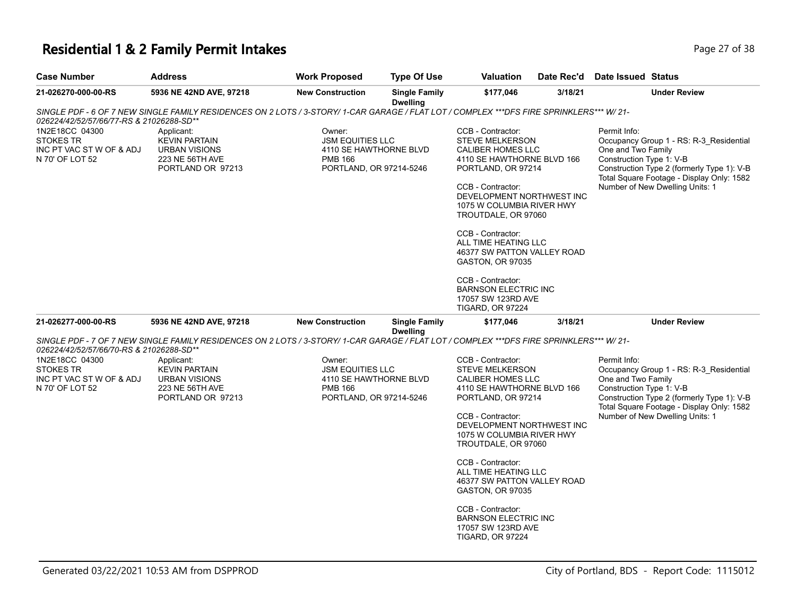# **Residential 1 & 2 Family Permit Intakes Page 27 of 38**

| <b>Case Number</b>                                                                | <b>Address</b>                                                                                                                           | <b>Work Proposed</b>                                                                                     | <b>Type Of Use</b>                      | <b>Valuation</b>                                                                                                                                                                                                                                                                                                                                                               | Date Rec'd | Date Issued Status                                                                                                                                                                                                                      |
|-----------------------------------------------------------------------------------|------------------------------------------------------------------------------------------------------------------------------------------|----------------------------------------------------------------------------------------------------------|-----------------------------------------|--------------------------------------------------------------------------------------------------------------------------------------------------------------------------------------------------------------------------------------------------------------------------------------------------------------------------------------------------------------------------------|------------|-----------------------------------------------------------------------------------------------------------------------------------------------------------------------------------------------------------------------------------------|
| 21-026270-000-00-RS                                                               | 5936 NE 42ND AVE, 97218                                                                                                                  | <b>New Construction</b>                                                                                  | <b>Single Family</b><br>Dwelling        | \$177,046                                                                                                                                                                                                                                                                                                                                                                      | 3/18/21    | <b>Under Review</b>                                                                                                                                                                                                                     |
| 026224/42/52/57/66/77-RS & 21026288-SD**                                          | SINGLE PDF - 6 OF 7 NEW SINGLE FAMILY RESIDENCES ON 2 LOTS / 3-STORY/ 1-CAR GARAGE / FLAT LOT / COMPLEX ***DFS FIRE SPRINKLERS*** W/ 21- |                                                                                                          |                                         |                                                                                                                                                                                                                                                                                                                                                                                |            |                                                                                                                                                                                                                                         |
| 1N2E18CC 04300<br><b>STOKES TR</b><br>INC PT VAC ST W OF & ADJ<br>N 70' OF LOT 52 | Applicant:<br><b>KEVIN PARTAIN</b><br><b>URBAN VISIONS</b><br>223 NE 56TH AVE<br>PORTLAND OR 97213                                       | Owner:<br><b>JSM EQUITIES LLC</b><br>4110 SE HAWTHORNE BLVD<br><b>PMB 166</b><br>PORTLAND, OR 97214-5246 |                                         | CCB - Contractor:<br><b>STEVE MELKERSON</b><br>CALIBER HOMES LLC<br>4110 SE HAWTHORNE BLVD 166<br>PORTLAND, OR 97214<br>CCB - Contractor:<br>DEVELOPMENT NORTHWEST INC<br>1075 W COLUMBIA RIVER HWY<br>TROUTDALE, OR 97060<br>CCB - Contractor:<br>ALL TIME HEATING LLC<br>46377 SW PATTON VALLEY ROAD<br>GASTON, OR 97035<br>CCB - Contractor:<br><b>BARNSON ELECTRIC INC</b> |            | Permit Info:<br>Occupancy Group 1 - RS: R-3_Residential<br>One and Two Family<br>Construction Type 1: V-B<br>Construction Type 2 (formerly Type 1): V-B<br>Total Square Footage - Display Only: 1582<br>Number of New Dwelling Units: 1 |
|                                                                                   |                                                                                                                                          |                                                                                                          |                                         | 17057 SW 123RD AVE<br>TIGARD, OR 97224                                                                                                                                                                                                                                                                                                                                         |            |                                                                                                                                                                                                                                         |
| 21-026277-000-00-RS                                                               | 5936 NE 42ND AVE, 97218                                                                                                                  | <b>New Construction</b>                                                                                  | <b>Single Family</b><br><b>Dwelling</b> | \$177,046                                                                                                                                                                                                                                                                                                                                                                      | 3/18/21    | <b>Under Review</b>                                                                                                                                                                                                                     |
| 026224/42/52/57/66/70-RS & 21026288-SD**                                          | SINGLE PDF - 7 OF 7 NEW SINGLE FAMILY RESIDENCES ON 2 LOTS / 3-STORY/ 1-CAR GARAGE / FLAT LOT / COMPLEX ***DFS FIRE SPRINKLERS*** W/ 21- |                                                                                                          |                                         |                                                                                                                                                                                                                                                                                                                                                                                |            |                                                                                                                                                                                                                                         |
| 1N2E18CC 04300<br><b>STOKES TR</b><br>INC PT VAC ST W OF & ADJ<br>N 70' OF LOT 52 | Applicant:<br><b>KEVIN PARTAIN</b><br><b>URBAN VISIONS</b><br>223 NE 56TH AVE<br>PORTLAND OR 97213                                       | Owner:<br><b>JSM EQUITIES LLC</b><br>4110 SE HAWTHORNE BLVD<br><b>PMB 166</b><br>PORTLAND, OR 97214-5246 |                                         | CCB - Contractor:<br><b>STEVE MELKERSON</b><br>CALIBER HOMES LLC<br>4110 SE HAWTHORNE BLVD 166<br>PORTLAND, OR 97214<br>CCB - Contractor:<br>DEVELOPMENT NORTHWEST INC<br>1075 W COLUMBIA RIVER HWY<br>TROUTDALE, OR 97060<br>CCB - Contractor:<br>ALL TIME HEATING LLC<br>46377 SW PATTON VALLEY ROAD<br>GASTON, OR 97035                                                     |            | Permit Info:<br>Occupancy Group 1 - RS: R-3_Residential<br>One and Two Family<br>Construction Type 1: V-B<br>Construction Type 2 (formerly Type 1): V-B<br>Total Square Footage - Display Only: 1582<br>Number of New Dwelling Units: 1 |
|                                                                                   |                                                                                                                                          |                                                                                                          |                                         | CCB - Contractor:<br><b>BARNSON ELECTRIC INC</b><br>17057 SW 123RD AVE<br><b>TIGARD, OR 97224</b>                                                                                                                                                                                                                                                                              |            |                                                                                                                                                                                                                                         |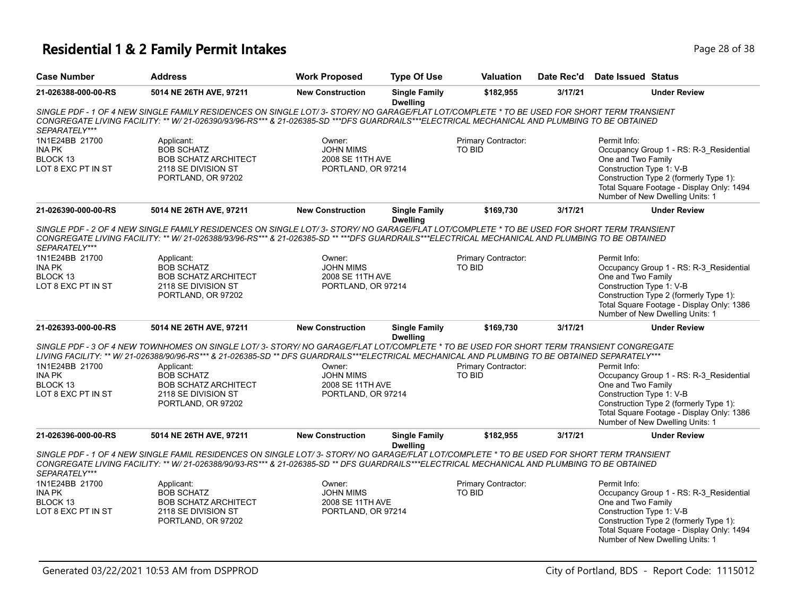# **Residential 1 & 2 Family Permit Intakes Page 28 of 38**

| <b>Case Number</b>                                                                 | <b>Work Proposed</b><br><b>Type Of Use</b><br><b>Address</b>                                                                                                                                                                                                                                                                                                                                                  |                                                                      | <b>Valuation</b>                        | Date Rec'd                           | <b>Date Issued Status</b> |                                                                                                                                                                                                                                     |  |
|------------------------------------------------------------------------------------|---------------------------------------------------------------------------------------------------------------------------------------------------------------------------------------------------------------------------------------------------------------------------------------------------------------------------------------------------------------------------------------------------------------|----------------------------------------------------------------------|-----------------------------------------|--------------------------------------|---------------------------|-------------------------------------------------------------------------------------------------------------------------------------------------------------------------------------------------------------------------------------|--|
| 21-026388-000-00-RS                                                                | 5014 NE 26TH AVE, 97211                                                                                                                                                                                                                                                                                                                                                                                       | <b>New Construction</b>                                              | <b>Single Family</b><br><b>Dwelling</b> | \$182,955                            | 3/17/21                   | <b>Under Review</b>                                                                                                                                                                                                                 |  |
| SEPARATELY***                                                                      | SINGLE PDF - 1 OF 4 NEW SINGLE FAMILY RESIDENCES ON SINGLE LOT/ 3- STORY/ NO GARAGE/FLAT LOT/COMPLETE * TO BE USED FOR SHORT TERM TRANSIENT<br>CONGREGATE LIVING FACILITY: ** W/ 21-026390/93/96-RS*** & 21-026385-SD ***DFS GUARDRAILS***ELECTRICAL MECHANICAL AND PLUMBING TO BE OBTAINED                                                                                                                   |                                                                      |                                         |                                      |                           |                                                                                                                                                                                                                                     |  |
| 1N1E24BB 21700<br>INA PK<br>BLOCK 13<br>LOT 8 EXC PT IN ST                         | Applicant:<br><b>BOB SCHATZ</b><br><b>BOB SCHATZ ARCHITECT</b><br>2118 SE DIVISION ST<br>PORTLAND, OR 97202                                                                                                                                                                                                                                                                                                   | Owner:<br><b>JOHN MIMS</b><br>2008 SE 11TH AVE<br>PORTLAND, OR 97214 |                                         | Primary Contractor:<br>TO BID        |                           | Permit Info:<br>Occupancy Group 1 - RS: R-3_Residential<br>One and Two Family<br>Construction Type 1: V-B<br>Construction Type 2 (formerly Type 1):<br>Total Square Footage - Display Only: 1494<br>Number of New Dwelling Units: 1 |  |
| 21-026390-000-00-RS                                                                | 5014 NE 26TH AVE, 97211                                                                                                                                                                                                                                                                                                                                                                                       | <b>New Construction</b>                                              | <b>Single Family</b><br><b>Dwelling</b> | \$169,730                            | 3/17/21                   | <b>Under Review</b>                                                                                                                                                                                                                 |  |
| SEPARATELY***<br>1N1E24BB 21700<br><b>INA PK</b><br>BLOCK 13<br>LOT 8 EXC PT IN ST | SINGLE PDF - 2 OF 4 NEW SINGLE FAMILY RESIDENCES ON SINGLE LOT/ 3- STORY/ NO GARAGE/FLAT LOT/COMPLETE * TO BE USED FOR SHORT TERM TRANSIENT<br>CONGREGATE LIVING FACILITY: ** W/ 21-026388/93/96-RS*** & 21-026385-SD ** ***DFS GUARDRAILS***ELECTRICAL MECHANICAL AND PLUMBING TO BE OBTAINED<br>Applicant:<br><b>BOB SCHATZ</b><br><b>BOB SCHATZ ARCHITECT</b><br>2118 SE DIVISION ST<br>PORTLAND, OR 97202 | Owner:<br><b>JOHN MIMS</b><br>2008 SE 11TH AVE<br>PORTLAND, OR 97214 |                                         | Primary Contractor:<br><b>TO BID</b> |                           | Permit Info:<br>Occupancy Group 1 - RS: R-3_Residential<br>One and Two Family<br>Construction Type 1: V-B<br>Construction Type 2 (formerly Type 1):<br>Total Square Footage - Display Only: 1386<br>Number of New Dwelling Units: 1 |  |
| 21-026393-000-00-RS                                                                | 5014 NE 26TH AVE, 97211                                                                                                                                                                                                                                                                                                                                                                                       | <b>New Construction</b>                                              | <b>Single Family</b><br><b>Dwelling</b> | \$169,730                            | 3/17/21                   | <b>Under Review</b>                                                                                                                                                                                                                 |  |
| 1N1E24BB 21700<br><b>INA PK</b><br>BLOCK 13<br>LOT 8 EXC PT IN ST                  | SINGLE PDF - 3 OF 4 NEW TOWNHOMES ON SINGLE LOT/3- STORY/ NO GARAGE/FLAT LOT/COMPLETE * TO BE USED FOR SHORT TERM TRANSIENT CONGREGATE<br>LIVING FACILITY: ** W/ 21-026388/90/96-RS*** & 21-026385-SD ** DFS GUARDRAILS***ELECTRICAL MECHANICAL AND PLUMBING TO BE OBTAINED SEPARATELY***<br>Applicant:<br><b>BOB SCHATZ</b><br><b>BOB SCHATZ ARCHITECT</b><br>2118 SE DIVISION ST<br>PORTLAND, OR 97202      | Owner:<br><b>JOHN MIMS</b><br>2008 SE 11TH AVE<br>PORTLAND, OR 97214 |                                         | Primary Contractor:<br><b>TO BID</b> |                           | Permit Info:<br>Occupancy Group 1 - RS: R-3_Residential<br>One and Two Family<br>Construction Type 1: V-B<br>Construction Type 2 (formerly Type 1):<br>Total Square Footage - Display Only: 1386<br>Number of New Dwelling Units: 1 |  |
| 21-026396-000-00-RS                                                                | 5014 NE 26TH AVE, 97211                                                                                                                                                                                                                                                                                                                                                                                       | <b>New Construction</b>                                              | <b>Single Family</b>                    | \$182,955                            | 3/17/21                   | <b>Under Review</b>                                                                                                                                                                                                                 |  |
| SEPARATELY***                                                                      | SINGLE PDF - 1 OF 4 NEW SINGLE FAMIL RESIDENCES ON SINGLE LOT/3- STORY/ NO GARAGE/FLAT LOT/COMPLETE * TO BE USED FOR SHORT TERM TRANSIENT<br>CONGREGATE LIVING FACILITY: ** W/ 21-026388/90/93-RS*** & 21-026385-SD ** DFS GUARDRAILS***ELECTRICAL MECHANICAL AND PLUMBING TO BE OBTAINED                                                                                                                     |                                                                      | <b>Dwelling</b>                         |                                      |                           |                                                                                                                                                                                                                                     |  |
| 1N1E24BB 21700<br><b>INA PK</b><br>BLOCK 13<br>LOT 8 EXC PT IN ST                  | Applicant:<br><b>BOB SCHATZ</b><br><b>BOB SCHATZ ARCHITECT</b><br>2118 SE DIVISION ST<br>PORTLAND, OR 97202                                                                                                                                                                                                                                                                                                   | Owner:<br><b>JOHN MIMS</b><br>2008 SE 11TH AVE<br>PORTLAND, OR 97214 |                                         | Primary Contractor:<br><b>TO BID</b> |                           | Permit Info:<br>Occupancy Group 1 - RS: R-3_Residential<br>One and Two Family<br>Construction Type 1: V-B<br>Construction Type 2 (formerly Type 1):<br>Total Square Footage - Display Only: 1494<br>Number of New Dwelling Units: 1 |  |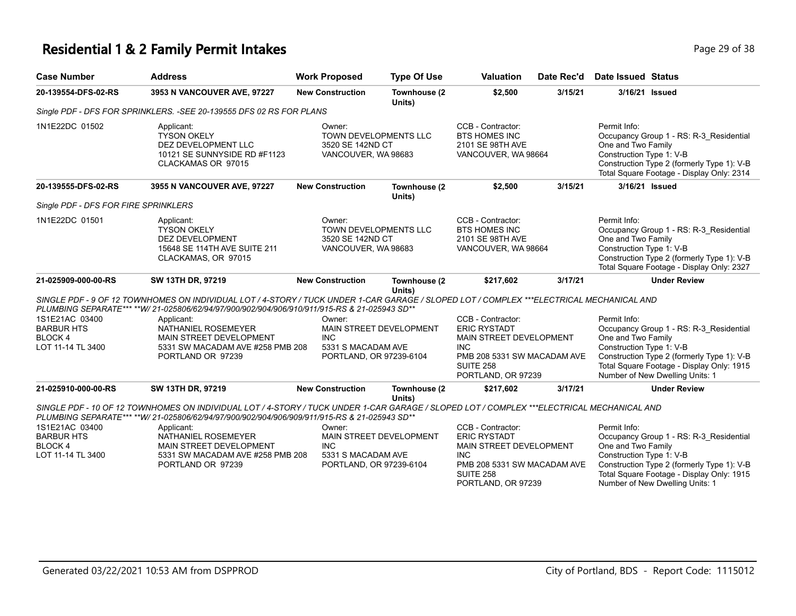# **Residential 1 & 2 Family Permit Intakes Page 29 of 38**

| <b>Case Number</b>                                                        | <b>Address</b>                                                                                                                                                                                                                                                                                                                                                     | <b>Work Proposed</b>                                                       | <b>Type Of Use</b>      | <b>Valuation</b>                                                                                                                                           | Date Rec'd | <b>Date Issued Status</b>                                                                                                                                                                                                               |
|---------------------------------------------------------------------------|--------------------------------------------------------------------------------------------------------------------------------------------------------------------------------------------------------------------------------------------------------------------------------------------------------------------------------------------------------------------|----------------------------------------------------------------------------|-------------------------|------------------------------------------------------------------------------------------------------------------------------------------------------------|------------|-----------------------------------------------------------------------------------------------------------------------------------------------------------------------------------------------------------------------------------------|
| 20-139554-DFS-02-RS                                                       | 3953 N VANCOUVER AVE, 97227                                                                                                                                                                                                                                                                                                                                        | <b>New Construction</b>                                                    | Townhouse (2<br>Units)  | \$2,500                                                                                                                                                    | 3/15/21    | 3/16/21 Issued                                                                                                                                                                                                                          |
|                                                                           | Single PDF - DFS FOR SPRINKLERS. - SEE 20-139555 DFS 02 RS FOR PLANS                                                                                                                                                                                                                                                                                               |                                                                            |                         |                                                                                                                                                            |            |                                                                                                                                                                                                                                         |
| 1N1E22DC 01502                                                            | Applicant:<br><b>TYSON OKELY</b><br>DEZ DEVELOPMENT LLC<br>10121 SE SUNNYSIDE RD #F1123<br>CLACKAMAS OR 97015                                                                                                                                                                                                                                                      | Owner:<br>TOWN DEVELOPMENTS LLC<br>3520 SE 142ND CT<br>VANCOUVER, WA 98683 |                         | CCB - Contractor:<br><b>BTS HOMES INC</b><br>2101 SE 98TH AVE<br>VANCOUVER, WA 98664                                                                       |            | Permit Info:<br>Occupancy Group 1 - RS: R-3 Residential<br>One and Two Family<br>Construction Type 1: V-B<br>Construction Type 2 (formerly Type 1): V-B<br>Total Square Footage - Display Only: 2314                                    |
| 20-139555-DFS-02-RS                                                       | 3955 N VANCOUVER AVE, 97227                                                                                                                                                                                                                                                                                                                                        | <b>New Construction</b>                                                    | Townhouse (2<br>Units)  | \$2,500                                                                                                                                                    | 3/15/21    | 3/16/21 Issued                                                                                                                                                                                                                          |
| Single PDF - DFS FOR FIRE SPRINKLERS                                      |                                                                                                                                                                                                                                                                                                                                                                    |                                                                            |                         |                                                                                                                                                            |            |                                                                                                                                                                                                                                         |
| 1N1E22DC 01501                                                            | Applicant:<br><b>TYSON OKELY</b><br>DEZ DEVELOPMENT<br>15648 SE 114TH AVE SUITE 211<br>CLACKAMAS, OR 97015                                                                                                                                                                                                                                                         | Owner:<br>TOWN DEVELOPMENTS LLC<br>3520 SE 142ND CT<br>VANCOUVER, WA 98683 |                         | CCB - Contractor:<br><b>BTS HOMES INC</b><br>2101 SE 98TH AVE<br>VANCOUVER, WA 98664                                                                       |            | Permit Info:<br>Occupancy Group 1 - RS: R-3 Residential<br>One and Two Family<br>Construction Type 1: V-B<br>Construction Type 2 (formerly Type 1): V-B<br>Total Square Footage - Display Only: 2327                                    |
| 21-025909-000-00-RS                                                       | SW 13TH DR, 97219                                                                                                                                                                                                                                                                                                                                                  | <b>New Construction</b>                                                    | Townhouse (2<br>Units)  | \$217,602                                                                                                                                                  | 3/17/21    | <b>Under Review</b>                                                                                                                                                                                                                     |
|                                                                           | SINGLE PDF - 9 OF 12 TOWNHOMES ON INDIVIDUAL LOT / 4-STORY / TUCK UNDER 1-CAR GARAGE / SLOPED LOT / COMPLEX ***ELECTRICAL MECHANICAL AND<br>PLUMBING SEPARATE*** ** W/ 21-025806/62/94/97/900/902/904/906/910/911/915-RS & 21-025943 SD**                                                                                                                          |                                                                            |                         |                                                                                                                                                            |            |                                                                                                                                                                                                                                         |
| 1S1E21AC 03400<br><b>BARBUR HTS</b><br>BLOCK 4<br>LOT 11-14 TL 3400       | Applicant:<br>NATHANIEL ROSEMEYER<br>MAIN STREET DEVELOPMENT<br>5331 SW MACADAM AVE #258 PMB 208<br>PORTLAND OR 97239                                                                                                                                                                                                                                              | Owner:<br><b>INC</b><br>5331 S MACADAM AVE<br>PORTLAND, OR 97239-6104      | MAIN STREET DEVELOPMENT | CCB - Contractor:<br><b>ERIC RYSTADT</b><br>MAIN STREET DEVELOPMENT<br>INC.<br>PMB 208 5331 SW MACADAM AVE<br><b>SUITE 258</b><br>PORTLAND, OR 97239       |            | Permit Info:<br>Occupancy Group 1 - RS: R-3_Residential<br>One and Two Family<br>Construction Type 1: V-B<br>Construction Type 2 (formerly Type 1): V-B<br>Total Square Footage - Display Only: 1915<br>Number of New Dwelling Units: 1 |
| 21-025910-000-00-RS                                                       | SW 13TH DR, 97219                                                                                                                                                                                                                                                                                                                                                  | <b>New Construction</b>                                                    | Townhouse (2<br>Units)  | \$217,602                                                                                                                                                  | 3/17/21    | <b>Under Review</b>                                                                                                                                                                                                                     |
| 1S1E21AC 03400<br><b>BARBUR HTS</b><br><b>BLOCK4</b><br>LOT 11-14 TL 3400 | SINGLE PDF - 10 OF 12 TOWNHOMES ON INDIVIDUAL LOT / 4-STORY / TUCK UNDER 1-CAR GARAGE / SLOPED LOT / COMPLEX ***ELECTRICAL MECHANICAL AND<br>PLUMBING SEPARATE*** **W/ 21-025806/62/94/97/900/902/904/906/909/911/915-RS & 21-025943 SD**<br>Applicant:<br>NATHANIEL ROSEMEYER<br>MAIN STREET DEVELOPMENT<br>5331 SW MACADAM AVE #258 PMB 208<br>PORTLAND OR 97239 | Owner:<br><b>INC</b><br>5331 S MACADAM AVE<br>PORTLAND, OR 97239-6104      | MAIN STREET DEVELOPMENT | CCB - Contractor:<br><b>ERIC RYSTADT</b><br>MAIN STREET DEVELOPMENT<br><b>INC</b><br>PMB 208 5331 SW MACADAM AVE<br><b>SUITE 258</b><br>PORTLAND, OR 97239 |            | Permit Info:<br>Occupancy Group 1 - RS: R-3_Residential<br>One and Two Family<br>Construction Type 1: V-B<br>Construction Type 2 (formerly Type 1): V-B<br>Total Square Footage - Display Only: 1915<br>Number of New Dwelling Units: 1 |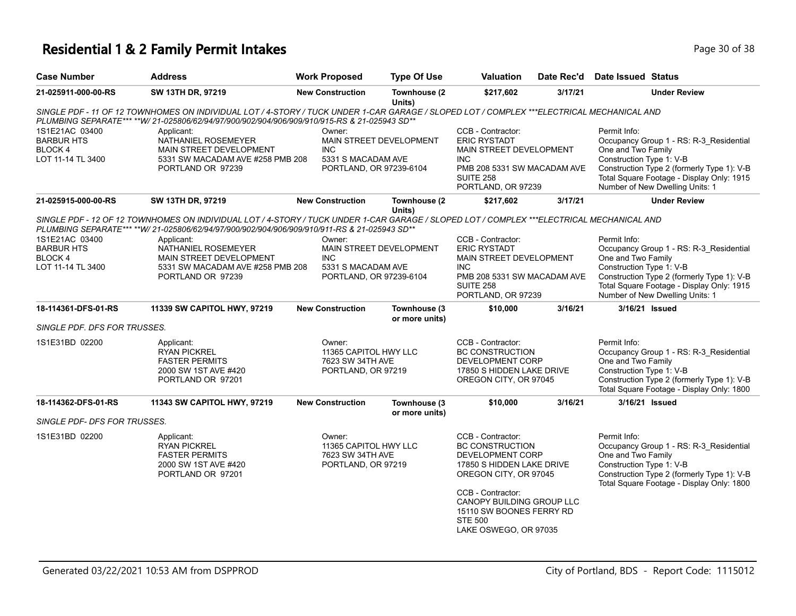# **Residential 1 & 2 Family Permit Intakes Page 10 of 38** Page 30 of 38

| <b>Case Number</b>                                                        | <b>Address</b>                                                                                                                                                                                                                            | <b>Work Proposed</b>                                                                             | <b>Type Of Use</b>             | <b>Valuation</b>                                                                                                                                           | Date Rec'd | Date Issued Status                                                                                                                                                                                                                      |
|---------------------------------------------------------------------------|-------------------------------------------------------------------------------------------------------------------------------------------------------------------------------------------------------------------------------------------|--------------------------------------------------------------------------------------------------|--------------------------------|------------------------------------------------------------------------------------------------------------------------------------------------------------|------------|-----------------------------------------------------------------------------------------------------------------------------------------------------------------------------------------------------------------------------------------|
| 21-025911-000-00-RS                                                       | SW 13TH DR, 97219                                                                                                                                                                                                                         | <b>New Construction</b>                                                                          | Townhouse (2<br>Units)         | \$217,602                                                                                                                                                  | 3/17/21    | <b>Under Review</b>                                                                                                                                                                                                                     |
|                                                                           | SINGLE PDF - 11 OF 12 TOWNHOMES ON INDIVIDUAL LOT / 4-STORY / TUCK UNDER 1-CAR GARAGE / SLOPED LOT / COMPLEX ***ELECTRICAL MECHANICAL AND<br>PLUMBING SEPARATE*** **W/ 21-025806/62/94/97/900/902/904/906/909/910/915-RS & 21-025943 SD** |                                                                                                  |                                |                                                                                                                                                            |            |                                                                                                                                                                                                                                         |
| 1S1E21AC 03400<br><b>BARBUR HTS</b><br><b>BLOCK4</b><br>LOT 11-14 TL 3400 | Applicant:<br>NATHANIEL ROSEMEYER<br>MAIN STREET DEVELOPMENT<br>5331 SW MACADAM AVE #258 PMB 208<br>PORTLAND OR 97239                                                                                                                     | Owner:<br>MAIN STREET DEVELOPMENT<br><b>INC</b><br>5331 S MACADAM AVE<br>PORTLAND, OR 97239-6104 |                                | CCB - Contractor:<br><b>ERIC RYSTADT</b><br>MAIN STREET DEVELOPMENT<br><b>INC</b><br>PMB 208 5331 SW MACADAM AVE<br><b>SUITE 258</b><br>PORTLAND, OR 97239 |            | Permit Info:<br>Occupancy Group 1 - RS: R-3_Residential<br>One and Two Family<br>Construction Type 1: V-B<br>Construction Type 2 (formerly Type 1): V-B<br>Total Square Footage - Display Only: 1915<br>Number of New Dwelling Units: 1 |
| 21-025915-000-00-RS                                                       | SW 13TH DR, 97219                                                                                                                                                                                                                         | <b>New Construction</b>                                                                          | Townhouse (2)<br>Units)        | \$217,602                                                                                                                                                  | 3/17/21    | <b>Under Review</b>                                                                                                                                                                                                                     |
|                                                                           | SINGLE PDF - 12 OF 12 TOWNHOMES ON INDIVIDUAL LOT / 4-STORY / TUCK UNDER 1-CAR GARAGE / SLOPED LOT / COMPLEX ***ELECTRICAL MECHANICAL AND<br>PLUMBING SEPARATE*** **W/ 21-025806/62/94/97/900/902/904/906/909/910/911-RS & 21-025943 SD** |                                                                                                  |                                |                                                                                                                                                            |            |                                                                                                                                                                                                                                         |
| 1S1E21AC 03400<br><b>BARBUR HTS</b><br>BLOCK 4<br>LOT 11-14 TL 3400       | Applicant:<br>NATHANIEL ROSEMEYER<br>MAIN STREET DEVELOPMENT<br>5331 SW MACADAM AVE #258 PMB 208<br>PORTLAND OR 97239                                                                                                                     | Owner:<br>MAIN STREET DEVELOPMENT<br><b>INC</b><br>5331 S MACADAM AVE<br>PORTLAND, OR 97239-6104 |                                | CCB - Contractor:<br><b>ERIC RYSTADT</b><br>MAIN STREET DEVELOPMENT<br><b>INC</b><br>PMB 208 5331 SW MACADAM AVE<br><b>SUITE 258</b><br>PORTLAND, OR 97239 |            | Permit Info:<br>Occupancy Group 1 - RS: R-3 Residential<br>One and Two Family<br>Construction Type 1: V-B<br>Construction Type 2 (formerly Type 1): V-B<br>Total Square Footage - Display Only: 1915<br>Number of New Dwelling Units: 1 |
| 18-114361-DFS-01-RS                                                       | 11339 SW CAPITOL HWY, 97219                                                                                                                                                                                                               | <b>New Construction</b>                                                                          | Townhouse (3<br>or more units) | \$10,000                                                                                                                                                   | 3/16/21    | 3/16/21 Issued                                                                                                                                                                                                                          |
| SINGLE PDF. DFS FOR TRUSSES.                                              |                                                                                                                                                                                                                                           |                                                                                                  |                                |                                                                                                                                                            |            |                                                                                                                                                                                                                                         |
| 1S1E31BD 02200                                                            | Applicant:<br><b>RYAN PICKREL</b><br><b>FASTER PERMITS</b><br>2000 SW 1ST AVE #420<br>PORTLAND OR 97201                                                                                                                                   | Owner:<br>11365 CAPITOL HWY LLC<br>7623 SW 34TH AVE<br>PORTLAND, OR 97219                        |                                | CCB - Contractor:<br><b>BC CONSTRUCTION</b><br>DEVELOPMENT CORP<br>17850 S HIDDEN LAKE DRIVE<br>OREGON CITY, OR 97045                                      |            | Permit Info:<br>Occupancy Group 1 - RS: R-3 Residential<br>One and Two Family<br>Construction Type 1: V-B<br>Construction Type 2 (formerly Type 1): V-B<br>Total Square Footage - Display Only: 1800                                    |
| 18-114362-DFS-01-RS                                                       | 11343 SW CAPITOL HWY, 97219                                                                                                                                                                                                               | <b>New Construction</b>                                                                          | Townhouse (3<br>or more units) | \$10,000                                                                                                                                                   | 3/16/21    | 3/16/21 Issued                                                                                                                                                                                                                          |
| SINGLE PDF- DFS FOR TRUSSES.                                              |                                                                                                                                                                                                                                           |                                                                                                  |                                |                                                                                                                                                            |            |                                                                                                                                                                                                                                         |
| 1S1E31BD 02200                                                            | Applicant:<br><b>RYAN PICKREL</b><br><b>FASTER PERMITS</b><br>2000 SW 1ST AVE #420<br>PORTLAND OR 97201                                                                                                                                   | Owner:<br>11365 CAPITOL HWY LLC<br>7623 SW 34TH AVE<br>PORTLAND, OR 97219                        |                                | CCB - Contractor:<br><b>BC CONSTRUCTION</b><br>DEVELOPMENT CORP<br>17850 S HIDDEN LAKE DRIVE<br>OREGON CITY, OR 97045                                      |            | Permit Info:<br>Occupancy Group 1 - RS: R-3_Residential<br>One and Two Family<br>Construction Type 1: V-B<br>Construction Type 2 (formerly Type 1): V-B<br>Total Square Footage - Display Only: 1800                                    |
|                                                                           |                                                                                                                                                                                                                                           |                                                                                                  |                                | CCB - Contractor:<br>CANOPY BUILDING GROUP LLC<br>15110 SW BOONES FERRY RD<br><b>STE 500</b><br>LAKE OSWEGO, OR 97035                                      |            |                                                                                                                                                                                                                                         |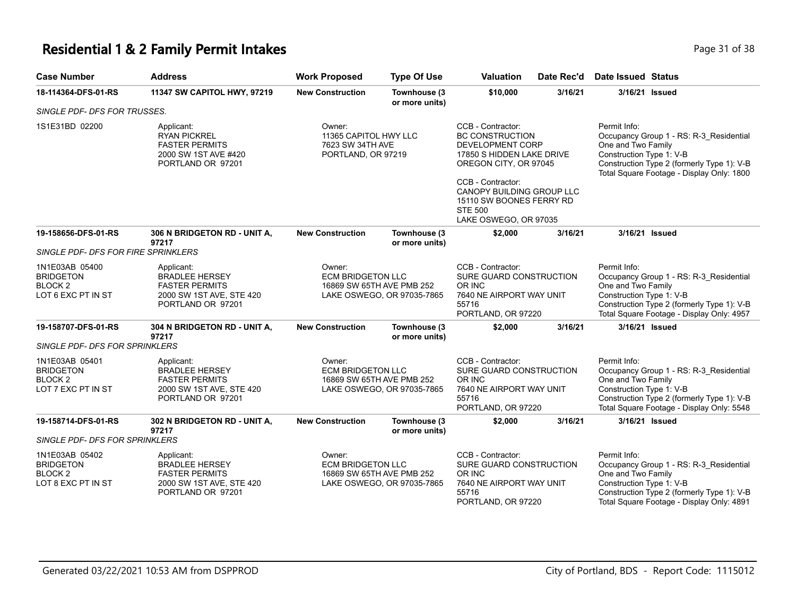### **Residential 1 & 2 Family Permit Intakes Page 11 of 38** Page 31 of 38

| <b>Case Number</b>                                                                                    | <b>Address</b>                                                                                                | <b>Work Proposed</b>                                                                          | <b>Type Of Use</b>                                                                                                                                                                                                                                                                                                       | Valuation                                                                                                         | Date Rec'd | <b>Date Issued Status</b>                                                                                                                                                                            |  |
|-------------------------------------------------------------------------------------------------------|---------------------------------------------------------------------------------------------------------------|-----------------------------------------------------------------------------------------------|--------------------------------------------------------------------------------------------------------------------------------------------------------------------------------------------------------------------------------------------------------------------------------------------------------------------------|-------------------------------------------------------------------------------------------------------------------|------------|------------------------------------------------------------------------------------------------------------------------------------------------------------------------------------------------------|--|
| 18-114364-DFS-01-RS                                                                                   | 11347 SW CAPITOL HWY, 97219                                                                                   | <b>New Construction</b>                                                                       | Townhouse (3<br>or more units)                                                                                                                                                                                                                                                                                           | \$10,000                                                                                                          | 3/16/21    | 3/16/21 Issued                                                                                                                                                                                       |  |
| SINGLE PDF- DFS FOR TRUSSES.                                                                          |                                                                                                               |                                                                                               |                                                                                                                                                                                                                                                                                                                          |                                                                                                                   |            |                                                                                                                                                                                                      |  |
| 1S1E31BD 02200                                                                                        | Applicant:<br><b>RYAN PICKREL</b><br><b>FASTER PERMITS</b><br>2000 SW 1ST AVE #420<br>PORTLAND OR 97201       | Owner:                                                                                        | CCB - Contractor:<br>11365 CAPITOL HWY LLC<br><b>BC CONSTRUCTION</b><br>7623 SW 34TH AVE<br><b>DEVELOPMENT CORP</b><br>PORTLAND, OR 97219<br>17850 S HIDDEN LAKE DRIVE<br>OREGON CITY, OR 97045<br>CCB - Contractor:<br>CANOPY BUILDING GROUP LLC<br>15110 SW BOONES FERRY RD<br><b>STE 500</b><br>LAKE OSWEGO, OR 97035 |                                                                                                                   |            | Permit Info:<br>Occupancy Group 1 - RS: R-3_Residential<br>One and Two Family<br>Construction Type 1: V-B<br>Construction Type 2 (formerly Type 1): V-B<br>Total Square Footage - Display Only: 1800 |  |
| 19-158656-DFS-01-RS                                                                                   | 306 N BRIDGETON RD - UNIT A,<br>97217                                                                         | <b>New Construction</b>                                                                       | Townhouse (3<br>or more units)                                                                                                                                                                                                                                                                                           | \$2,000                                                                                                           | 3/16/21    | 3/16/21 Issued                                                                                                                                                                                       |  |
| SINGLE PDF- DFS FOR FIRE SPRINKLERS                                                                   |                                                                                                               |                                                                                               |                                                                                                                                                                                                                                                                                                                          |                                                                                                                   |            |                                                                                                                                                                                                      |  |
| 1N1E03AB 05400<br><b>BRIDGETON</b><br>BLOCK 2<br>LOT 6 EXC PT IN ST                                   | Applicant:<br><b>BRADLEE HERSEY</b><br><b>FASTER PERMITS</b><br>2000 SW 1ST AVE, STE 420<br>PORTLAND OR 97201 | Owner:<br><b>ECM BRIDGETON LLC</b><br>16869 SW 65TH AVE PMB 252<br>LAKE OSWEGO, OR 97035-7865 |                                                                                                                                                                                                                                                                                                                          | CCB - Contractor:<br>SURE GUARD CONSTRUCTION<br>OR INC<br>7640 NE AIRPORT WAY UNIT<br>55716<br>PORTLAND, OR 97220 |            | Permit Info:<br>Occupancy Group 1 - RS: R-3_Residential<br>One and Two Family<br>Construction Type 1: V-B<br>Construction Type 2 (formerly Type 1): V-B<br>Total Square Footage - Display Only: 4957 |  |
| 19-158707-DFS-01-RS                                                                                   | 304 N BRIDGETON RD - UNIT A,<br>97217                                                                         | <b>New Construction</b>                                                                       | Townhouse (3<br>or more units)                                                                                                                                                                                                                                                                                           | \$2,000                                                                                                           | 3/16/21    | 3/16/21 Issued                                                                                                                                                                                       |  |
| SINGLE PDF- DFS FOR SPRINKLERS<br>1N1E03AB 05401<br><b>BRIDGETON</b><br>BLOCK 2<br>LOT 7 EXC PT IN ST | Applicant:<br><b>BRADLEE HERSEY</b><br><b>FASTER PERMITS</b><br>2000 SW 1ST AVE, STE 420<br>PORTLAND OR 97201 | Owner:<br><b>ECM BRIDGETON LLC</b><br>16869 SW 65TH AVE PMB 252                               | LAKE OSWEGO, OR 97035-7865                                                                                                                                                                                                                                                                                               | CCB - Contractor:<br>SURE GUARD CONSTRUCTION<br>OR INC<br>7640 NE AIRPORT WAY UNIT<br>55716<br>PORTLAND, OR 97220 |            | Permit Info:<br>Occupancy Group 1 - RS: R-3 Residential<br>One and Two Family<br>Construction Type 1: V-B<br>Construction Type 2 (formerly Type 1): V-B<br>Total Square Footage - Display Only: 5548 |  |
| 19-158714-DFS-01-RS                                                                                   | 302 N BRIDGETON RD - UNIT A,<br>97217                                                                         | <b>New Construction</b>                                                                       | Townhouse (3<br>or more units)                                                                                                                                                                                                                                                                                           | \$2,000                                                                                                           | 3/16/21    | 3/16/21 Issued                                                                                                                                                                                       |  |
| SINGLE PDF- DFS FOR SPRINKLERS                                                                        |                                                                                                               |                                                                                               |                                                                                                                                                                                                                                                                                                                          |                                                                                                                   |            |                                                                                                                                                                                                      |  |
| 1N1E03AB 05402<br>BRIDGETON<br>BLOCK 2<br>LOT 8 EXC PT IN ST                                          | Applicant:<br><b>BRADLEE HERSEY</b><br><b>FASTER PERMITS</b><br>2000 SW 1ST AVE, STE 420<br>PORTLAND OR 97201 | Owner:<br><b>ECM BRIDGETON LLC</b><br>16869 SW 65TH AVE PMB 252                               | LAKE OSWEGO, OR 97035-7865                                                                                                                                                                                                                                                                                               | CCB - Contractor:<br>SURE GUARD CONSTRUCTION<br>OR INC<br>7640 NE AIRPORT WAY UNIT<br>55716<br>PORTLAND, OR 97220 |            | Permit Info:<br>Occupancy Group 1 - RS: R-3 Residential<br>One and Two Family<br>Construction Type 1: V-B<br>Construction Type 2 (formerly Type 1): V-B<br>Total Square Footage - Display Only: 4891 |  |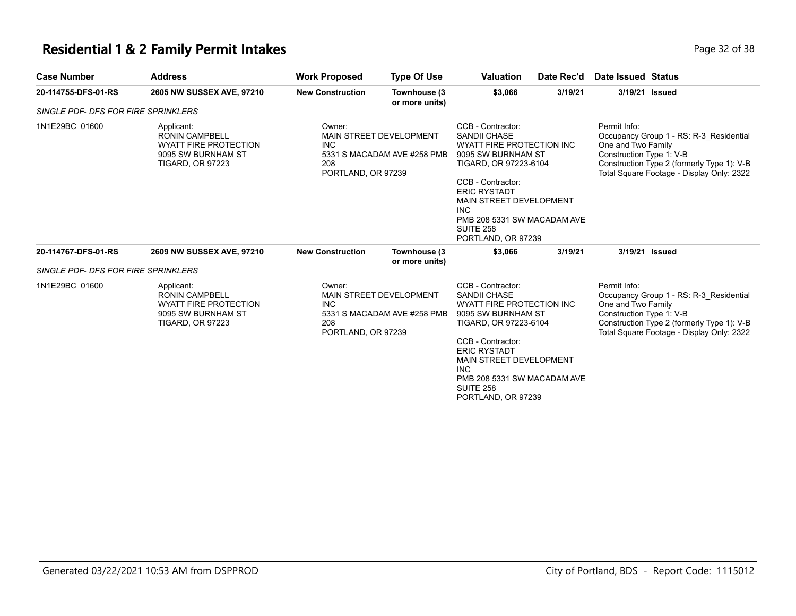### **Residential 1 & 2 Family Permit Intakes Page 12 of 38** Page 32 of 38

| <b>Case Number</b>                  | <b>Address</b>                                                                                                       | <b>Work Proposed</b>                              | <b>Type Of Use</b>                                            | <b>Valuation</b>                                                                                                                                                                                                                                                                   | Date Rec'd | Date Issued Status                                             |                                                                                                                                    |
|-------------------------------------|----------------------------------------------------------------------------------------------------------------------|---------------------------------------------------|---------------------------------------------------------------|------------------------------------------------------------------------------------------------------------------------------------------------------------------------------------------------------------------------------------------------------------------------------------|------------|----------------------------------------------------------------|------------------------------------------------------------------------------------------------------------------------------------|
| 20-114755-DFS-01-RS                 | 2605 NW SUSSEX AVE, 97210                                                                                            | <b>New Construction</b>                           | Townhouse (3<br>or more units)                                | \$3,066                                                                                                                                                                                                                                                                            | 3/19/21    | 3/19/21 Issued                                                 |                                                                                                                                    |
| SINGLE PDF- DFS FOR FIRE SPRINKLERS |                                                                                                                      |                                                   |                                                               |                                                                                                                                                                                                                                                                                    |            |                                                                |                                                                                                                                    |
| 1N1E29BC 01600                      | Applicant:<br><b>RONIN CAMPBELL</b><br><b>WYATT FIRE PROTECTION</b><br>9095 SW BURNHAM ST<br><b>TIGARD, OR 97223</b> | Owner:<br><b>INC</b><br>208<br>PORTLAND, OR 97239 | MAIN STREET DEVELOPMENT<br>5331 S MACADAM AVE #258 PMB        | CCB - Contractor:<br><b>SANDII CHASE</b><br>WYATT FIRE PROTECTION INC<br>9095 SW BURNHAM ST<br>TIGARD, OR 97223-6104<br>CCB - Contractor:<br><b>ERIC RYSTADT</b><br>MAIN STREET DEVELOPMENT<br><b>INC</b><br>PMB 208 5331 SW MACADAM AVE<br><b>SUITE 258</b><br>PORTLAND, OR 97239 |            | Permit Info:<br>One and Two Family<br>Construction Type 1: V-B | Occupancy Group 1 - RS: R-3 Residential<br>Construction Type 2 (formerly Type 1): V-B<br>Total Square Footage - Display Only: 2322 |
| 20-114767-DFS-01-RS                 | 2609 NW SUSSEX AVE, 97210                                                                                            | <b>New Construction</b>                           | Townhouse (3<br>or more units)                                | \$3,066                                                                                                                                                                                                                                                                            | 3/19/21    | 3/19/21 Issued                                                 |                                                                                                                                    |
| SINGLE PDF- DFS FOR FIRE SPRINKLERS |                                                                                                                      |                                                   |                                                               |                                                                                                                                                                                                                                                                                    |            |                                                                |                                                                                                                                    |
| 1N1E29BC 01600                      | Applicant:<br><b>RONIN CAMPBELL</b><br><b>WYATT FIRE PROTECTION</b><br>9095 SW BURNHAM ST<br><b>TIGARD, OR 97223</b> | Owner:<br><b>INC</b><br>208<br>PORTLAND, OR 97239 | <b>MAIN STREET DEVELOPMENT</b><br>5331 S MACADAM AVE #258 PMB | CCB - Contractor:<br><b>SANDII CHASE</b><br>WYATT FIRE PROTECTION INC<br>9095 SW BURNHAM ST<br>TIGARD, OR 97223-6104<br>CCB - Contractor:<br><b>ERIC RYSTADT</b><br>MAIN STREET DEVELOPMENT<br><b>INC</b><br>PMB 208 5331 SW MACADAM AVE<br>SUITE 258<br>PORTLAND, OR 97239        |            | Permit Info:<br>One and Two Family<br>Construction Type 1: V-B | Occupancy Group 1 - RS: R-3 Residential<br>Construction Type 2 (formerly Type 1): V-B<br>Total Square Footage - Display Only: 2322 |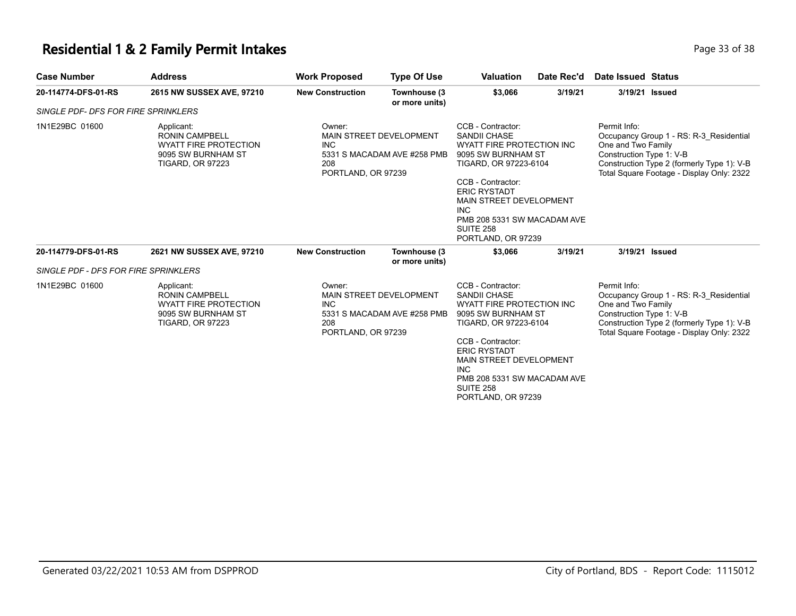### **Residential 1 & 2 Family Permit Intakes Page 13 of 38** Page 33 of 38

| <b>Case Number</b>                         | <b>Address</b>                                                                                                       | <b>Work Proposed</b>                                                                                        | <b>Type Of Use</b>                                            | <b>Valuation</b>                                                                                                                                                                                                                                                                   | Date Rec'd | Date Issued Status                                             |                                                                                                                                    |
|--------------------------------------------|----------------------------------------------------------------------------------------------------------------------|-------------------------------------------------------------------------------------------------------------|---------------------------------------------------------------|------------------------------------------------------------------------------------------------------------------------------------------------------------------------------------------------------------------------------------------------------------------------------------|------------|----------------------------------------------------------------|------------------------------------------------------------------------------------------------------------------------------------|
| 20-114774-DFS-01-RS                        | 2615 NW SUSSEX AVE, 97210                                                                                            | <b>New Construction</b>                                                                                     | Townhouse (3<br>or more units)                                | \$3,066                                                                                                                                                                                                                                                                            | 3/19/21    |                                                                | 3/19/21 Issued                                                                                                                     |
| <b>SINGLE PDF- DFS FOR FIRE SPRINKLERS</b> |                                                                                                                      |                                                                                                             |                                                               |                                                                                                                                                                                                                                                                                    |            |                                                                |                                                                                                                                    |
| 1N1E29BC 01600                             | Applicant:<br><b>RONIN CAMPBELL</b><br><b>WYATT FIRE PROTECTION</b><br>9095 SW BURNHAM ST<br><b>TIGARD, OR 97223</b> | Owner:<br>MAIN STREET DEVELOPMENT<br><b>INC</b><br>5331 S MACADAM AVE #258 PMB<br>208<br>PORTLAND, OR 97239 |                                                               | CCB - Contractor:<br><b>SANDII CHASE</b><br>WYATT FIRE PROTECTION INC<br>9095 SW BURNHAM ST<br>TIGARD, OR 97223-6104<br>CCB - Contractor:<br><b>ERIC RYSTADT</b><br>MAIN STREET DEVELOPMENT<br><b>INC</b><br>PMB 208 5331 SW MACADAM AVE<br><b>SUITE 258</b><br>PORTLAND, OR 97239 |            | Permit Info:<br>One and Two Family<br>Construction Type 1: V-B | Occupancy Group 1 - RS: R-3 Residential<br>Construction Type 2 (formerly Type 1): V-B<br>Total Square Footage - Display Only: 2322 |
| 20-114779-DFS-01-RS                        | 2621 NW SUSSEX AVE, 97210                                                                                            | <b>New Construction</b>                                                                                     | Townhouse (3<br>or more units)                                | \$3,066                                                                                                                                                                                                                                                                            | 3/19/21    |                                                                | 3/19/21 Issued                                                                                                                     |
| SINGLE PDF - DFS FOR FIRE SPRINKLERS       |                                                                                                                      |                                                                                                             |                                                               |                                                                                                                                                                                                                                                                                    |            |                                                                |                                                                                                                                    |
| 1N1E29BC 01600                             | Applicant:<br><b>RONIN CAMPBELL</b><br><b>WYATT FIRE PROTECTION</b><br>9095 SW BURNHAM ST<br><b>TIGARD, OR 97223</b> | Owner:<br><b>INC</b><br>208<br>PORTLAND, OR 97239                                                           | <b>MAIN STREET DEVELOPMENT</b><br>5331 S MACADAM AVE #258 PMB | CCB - Contractor:<br><b>SANDII CHASE</b><br><b>WYATT FIRE PROTECTION INC</b><br>9095 SW BURNHAM ST<br>TIGARD, OR 97223-6104<br>CCB - Contractor:<br><b>ERIC RYSTADT</b><br>MAIN STREET DEVELOPMENT<br><b>INC</b><br>PMB 208 5331 SW MACADAM AVE<br>SUITE 258<br>PORTLAND, OR 97239 |            | Permit Info:<br>One and Two Family<br>Construction Type 1: V-B | Occupancy Group 1 - RS: R-3 Residential<br>Construction Type 2 (formerly Type 1): V-B<br>Total Square Footage - Display Only: 2322 |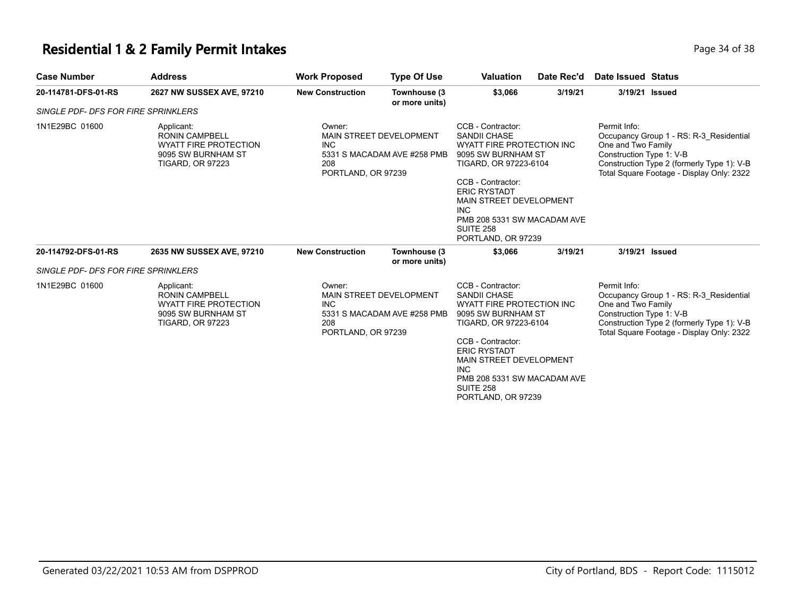### **Residential 1 & 2 Family Permit Intakes Page 14 of 38** Page 34 of 38

| <b>Case Number</b>                  | <b>Address</b>                                                                                                       | <b>Work Proposed</b>                                                                                        | <b>Type Of Use</b>                                            | <b>Valuation</b>                                                                                                                                                                                                                                                            | Date Rec'd | <b>Date Issued Status</b>                                      |                                                                                                                                    |
|-------------------------------------|----------------------------------------------------------------------------------------------------------------------|-------------------------------------------------------------------------------------------------------------|---------------------------------------------------------------|-----------------------------------------------------------------------------------------------------------------------------------------------------------------------------------------------------------------------------------------------------------------------------|------------|----------------------------------------------------------------|------------------------------------------------------------------------------------------------------------------------------------|
| 20-114781-DFS-01-RS                 | 2627 NW SUSSEX AVE, 97210                                                                                            | <b>New Construction</b>                                                                                     | Townhouse (3<br>or more units)                                | \$3,066                                                                                                                                                                                                                                                                     | 3/19/21    | 3/19/21 Issued                                                 |                                                                                                                                    |
| SINGLE PDF- DFS FOR FIRE SPRINKLERS |                                                                                                                      |                                                                                                             |                                                               |                                                                                                                                                                                                                                                                             |            |                                                                |                                                                                                                                    |
| 1N1E29BC 01600                      | Applicant:<br><b>RONIN CAMPBELL</b><br><b>WYATT FIRE PROTECTION</b><br>9095 SW BURNHAM ST<br><b>TIGARD, OR 97223</b> | Owner:<br>MAIN STREET DEVELOPMENT<br><b>INC</b><br>5331 S MACADAM AVE #258 PMB<br>208<br>PORTLAND, OR 97239 |                                                               | CCB - Contractor:<br><b>SANDII CHASE</b><br>WYATT FIRE PROTECTION INC<br>9095 SW BURNHAM ST<br>TIGARD, OR 97223-6104<br>CCB - Contractor:<br><b>ERIC RYSTADT</b><br>MAIN STREET DEVELOPMENT<br><b>INC</b><br>PMB 208 5331 SW MACADAM AVE<br>SUITE 258<br>PORTLAND, OR 97239 |            | Permit Info:<br>One and Two Family<br>Construction Type 1: V-B | Occupancy Group 1 - RS: R-3 Residential<br>Construction Type 2 (formerly Type 1): V-B<br>Total Square Footage - Display Only: 2322 |
| 20-114792-DFS-01-RS                 | 2635 NW SUSSEX AVE, 97210                                                                                            | <b>New Construction</b>                                                                                     | Townhouse (3<br>or more units)                                | \$3,066                                                                                                                                                                                                                                                                     | 3/19/21    | 3/19/21 Issued                                                 |                                                                                                                                    |
| SINGLE PDF- DFS FOR FIRE SPRINKLERS |                                                                                                                      |                                                                                                             |                                                               |                                                                                                                                                                                                                                                                             |            |                                                                |                                                                                                                                    |
| 1N1E29BC 01600                      | Applicant:<br><b>RONIN CAMPBELL</b><br><b>WYATT FIRE PROTECTION</b><br>9095 SW BURNHAM ST<br><b>TIGARD, OR 97223</b> | Owner:<br><b>INC</b><br>208<br>PORTLAND, OR 97239                                                           | <b>MAIN STREET DEVELOPMENT</b><br>5331 S MACADAM AVE #258 PMB | CCB - Contractor:<br><b>SANDII CHASE</b><br>WYATT FIRE PROTECTION INC<br>9095 SW BURNHAM ST<br>TIGARD, OR 97223-6104<br>CCB - Contractor:<br><b>ERIC RYSTADT</b><br>MAIN STREET DEVELOPMENT<br><b>INC</b><br>PMB 208 5331 SW MACADAM AVE<br>SUITE 258<br>PORTLAND, OR 97239 |            | Permit Info:<br>One and Two Family<br>Construction Type 1: V-B | Occupancy Group 1 - RS: R-3 Residential<br>Construction Type 2 (formerly Type 1): V-B<br>Total Square Footage - Display Only: 2322 |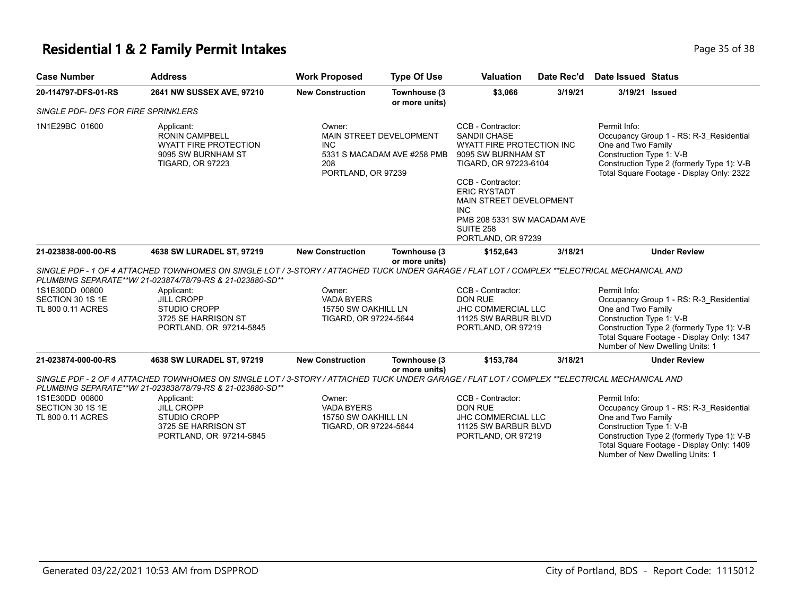# **Residential 1 & 2 Family Permit Intakes Page 15 of 38**

| <b>Case Number</b>                    | <b>Address</b>                                                                                                                                                                                            | <b>Work Proposed</b>                                              | <b>Type Of Use</b>                                     | <b>Valuation</b>                                                                                                                                                                                                                                                                          | Date Rec'd | <b>Date Issued Status</b>                                      |                                                                                                                                                                       |
|---------------------------------------|-----------------------------------------------------------------------------------------------------------------------------------------------------------------------------------------------------------|-------------------------------------------------------------------|--------------------------------------------------------|-------------------------------------------------------------------------------------------------------------------------------------------------------------------------------------------------------------------------------------------------------------------------------------------|------------|----------------------------------------------------------------|-----------------------------------------------------------------------------------------------------------------------------------------------------------------------|
| 20-114797-DFS-01-RS                   | 2641 NW SUSSEX AVE, 97210                                                                                                                                                                                 | <b>New Construction</b>                                           | Townhouse (3<br>or more units)                         | \$3,066                                                                                                                                                                                                                                                                                   | 3/19/21    | 3/19/21 Issued                                                 |                                                                                                                                                                       |
| SINGLE PDF- DFS FOR FIRE SPRINKLERS   |                                                                                                                                                                                                           |                                                                   |                                                        |                                                                                                                                                                                                                                                                                           |            |                                                                |                                                                                                                                                                       |
| 1N1E29BC 01600                        | Applicant:<br><b>RONIN CAMPBELL</b><br><b>WYATT FIRE PROTECTION</b><br>9095 SW BURNHAM ST<br><b>TIGARD, OR 97223</b>                                                                                      | Owner:<br><b>INC</b><br>208<br>PORTLAND, OR 97239                 | MAIN STREET DEVELOPMENT<br>5331 S MACADAM AVE #258 PMB | CCB - Contractor:<br><b>SANDII CHASE</b><br><b>WYATT FIRE PROTECTION INC</b><br>9095 SW BURNHAM ST<br>TIGARD, OR 97223-6104<br>CCB - Contractor:<br><b>ERIC RYSTADT</b><br>MAIN STREET DEVELOPMENT<br><b>INC</b><br>PMB 208 5331 SW MACADAM AVE<br><b>SUITE 258</b><br>PORTLAND, OR 97239 |            | Permit Info:<br>One and Two Family<br>Construction Type 1: V-B | Occupancy Group 1 - RS: R-3 Residential<br>Construction Type 2 (formerly Type 1): V-B<br>Total Square Footage - Display Only: 2322                                    |
| 21-023838-000-00-RS                   | 4638 SW LURADEL ST, 97219                                                                                                                                                                                 | <b>New Construction</b>                                           | Townhouse (3                                           | \$152,643                                                                                                                                                                                                                                                                                 | 3/18/21    |                                                                | <b>Under Review</b>                                                                                                                                                   |
|                                       | SINGLE PDF - 1 OF 4 ATTACHED TOWNHOMES ON SINGLE LOT / 3-STORY / ATTACHED TUCK UNDER GARAGE / FLAT LOT / COMPLEX **ELECTRICAL MECHANICAL AND<br>PLUMBING SEPARATE**W/ 21-023874/78/79-RS & 21-023880-SD** |                                                                   | or more units)                                         |                                                                                                                                                                                                                                                                                           |            |                                                                |                                                                                                                                                                       |
| 1S1E30DD 00800                        | Applicant:                                                                                                                                                                                                | Owner:                                                            |                                                        | CCB - Contractor:                                                                                                                                                                                                                                                                         |            | Permit Info:                                                   |                                                                                                                                                                       |
| SECTION 30 1S 1E<br>TL 800 0.11 ACRES | <b>JILL CROPP</b><br><b>STUDIO CROPP</b><br>3725 SE HARRISON ST<br>PORTLAND, OR 97214-5845                                                                                                                | <b>VADA BYERS</b><br>15750 SW OAKHILL LN<br>TIGARD, OR 97224-5644 |                                                        | <b>DON RUE</b><br><b>JHC COMMERCIAL LLC</b><br>11125 SW BARBUR BLVD<br>PORTLAND, OR 97219                                                                                                                                                                                                 |            | One and Two Family<br>Construction Type 1: V-B                 | Occupancy Group 1 - RS: R-3_Residential<br>Construction Type 2 (formerly Type 1): V-B<br>Total Square Footage - Display Only: 1347<br>Number of New Dwelling Units: 1 |
| 21-023874-000-00-RS                   | 4638 SW LURADEL ST, 97219                                                                                                                                                                                 | <b>New Construction</b>                                           | Townhouse (3<br>or more units)                         | \$153,784                                                                                                                                                                                                                                                                                 | 3/18/21    |                                                                | <b>Under Review</b>                                                                                                                                                   |
|                                       | SINGLE PDF - 2 OF 4 ATTACHED TOWNHOMES ON SINGLE LOT / 3-STORY / ATTACHED TUCK UNDER GARAGE / FLAT LOT / COMPLEX **ELECTRICAL MECHANICAL AND<br>PLUMBING SEPARATE**W/ 21-023838/78/79-RS & 21-023880-SD** |                                                                   |                                                        |                                                                                                                                                                                                                                                                                           |            |                                                                |                                                                                                                                                                       |
| 1S1E30DD 00800                        | Applicant:                                                                                                                                                                                                | Owner:                                                            |                                                        | CCB - Contractor:                                                                                                                                                                                                                                                                         |            | Permit Info:                                                   |                                                                                                                                                                       |
| SECTION 30 1S 1E                      | <b>JILL CROPP</b>                                                                                                                                                                                         | <b>VADA BYERS</b>                                                 |                                                        | <b>DON RUE</b>                                                                                                                                                                                                                                                                            |            |                                                                | Occupancy Group 1 - RS: R-3 Residential                                                                                                                               |
| TL 800 0.11 ACRES                     | <b>STUDIO CROPP</b><br>3725 SE HARRISON ST<br>PORTLAND, OR 97214-5845                                                                                                                                     | 15750 SW OAKHILL LN<br>TIGARD, OR 97224-5644                      |                                                        | JHC COMMERCIAL LLC<br>11125 SW BARBUR BLVD<br>PORTLAND, OR 97219                                                                                                                                                                                                                          |            | One and Two Family<br>Construction Type 1: V-B                 | Construction Type 2 (formerly Type 1): V-B<br>Total Square Footage - Display Only: 1409<br>Number of New Dwelling Units: 1                                            |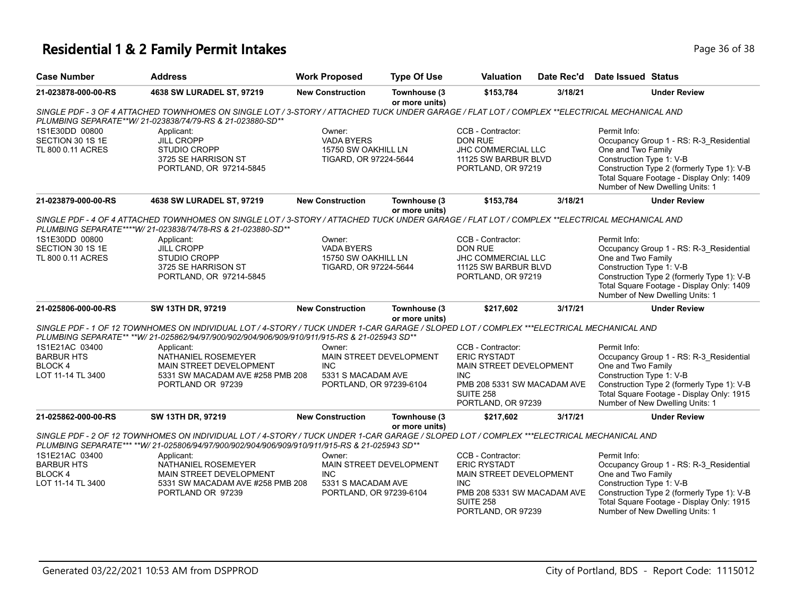## **Residential 1 & 2 Family Permit Intakes Page 16 Of 38 and 2012 12:36 Of 38**

| <b>Case Number</b>                                                                                                                                                                                                                                          | <b>Address</b>                                                                                                                                                                                              | <b>Work Proposed</b>                                                                                                                                                                                                                                                  | <b>Type Of Use</b>             | <b>Valuation</b>                                                                                                                                                                                                                        | Date Rec'd | Date Issued Status                                                                                                                                                                                                                      |  |  |
|-------------------------------------------------------------------------------------------------------------------------------------------------------------------------------------------------------------------------------------------------------------|-------------------------------------------------------------------------------------------------------------------------------------------------------------------------------------------------------------|-----------------------------------------------------------------------------------------------------------------------------------------------------------------------------------------------------------------------------------------------------------------------|--------------------------------|-----------------------------------------------------------------------------------------------------------------------------------------------------------------------------------------------------------------------------------------|------------|-----------------------------------------------------------------------------------------------------------------------------------------------------------------------------------------------------------------------------------------|--|--|
| 21-023878-000-00-RS                                                                                                                                                                                                                                         | 4638 SW LURADEL ST, 97219                                                                                                                                                                                   | <b>New Construction</b>                                                                                                                                                                                                                                               | Townhouse (3<br>or more units) | \$153,784                                                                                                                                                                                                                               | 3/18/21    | <b>Under Review</b>                                                                                                                                                                                                                     |  |  |
| SINGLE PDF - 3 OF 4 ATTACHED TOWNHOMES ON SINGLE LOT / 3-STORY / ATTACHED TUCK UNDER GARAGE / FLAT LOT / COMPLEX **ELECTRICAL MECHANICAL AND<br>PLUMBING SEPARATE**W/ 21-023838/74/79-RS & 21-023880-SD**                                                   |                                                                                                                                                                                                             |                                                                                                                                                                                                                                                                       |                                |                                                                                                                                                                                                                                         |            |                                                                                                                                                                                                                                         |  |  |
| 1S1E30DD 00800<br>SECTION 30 1S 1E<br>TL 800 0.11 ACRES                                                                                                                                                                                                     | Applicant:<br><b>JILL CROPP</b><br>STUDIO CROPP<br>3725 SE HARRISON ST<br>PORTLAND, OR 97214-5845                                                                                                           | Owner:<br><b>VADA BYERS</b><br>15750 SW OAKHILL LN<br>TIGARD, OR 97224-5644                                                                                                                                                                                           |                                | CCB - Contractor:<br><b>DON RUE</b><br>JHC COMMERCIAL LLC<br>11125 SW BARBUR BLVD<br>PORTLAND, OR 97219                                                                                                                                 |            | Permit Info:<br>Occupancy Group 1 - RS: R-3_Residential<br>One and Two Family<br>Construction Type 1: V-B<br>Construction Type 2 (formerly Type 1): V-B<br>Total Square Footage - Display Only: 1409<br>Number of New Dwelling Units: 1 |  |  |
| 21-023879-000-00-RS                                                                                                                                                                                                                                         | 4638 SW LURADEL ST, 97219                                                                                                                                                                                   | <b>New Construction</b>                                                                                                                                                                                                                                               | Townhouse (3<br>or more units) | \$153,784                                                                                                                                                                                                                               | 3/18/21    | <b>Under Review</b>                                                                                                                                                                                                                     |  |  |
|                                                                                                                                                                                                                                                             | SINGLE PDF - 4 OF 4 ATTACHED TOWNHOMES ON SINGLE LOT / 3-STORY / ATTACHED TUCK UNDER GARAGE / FLAT LOT / COMPLEX **ELECTRICAL MECHANICAL AND<br>PLUMBING SEPARATE****W/ 21-023838/74/78-RS & 21-023880-SD** |                                                                                                                                                                                                                                                                       |                                |                                                                                                                                                                                                                                         |            |                                                                                                                                                                                                                                         |  |  |
| 1S1E30DD 00800<br>SECTION 30 1S 1E                                                                                                                                                                                                                          | Applicant:<br><b>JILL CROPP</b>                                                                                                                                                                             | Owner:<br><b>VADA BYERS</b>                                                                                                                                                                                                                                           |                                | CCB - Contractor:<br><b>DON RUE</b>                                                                                                                                                                                                     |            | Permit Info:<br>Occupancy Group 1 - RS: R-3_Residential                                                                                                                                                                                 |  |  |
| TL 800 0.11 ACRES                                                                                                                                                                                                                                           | STUDIO CROPP<br>3725 SE HARRISON ST<br>PORTLAND, OR 97214-5845                                                                                                                                              | 15750 SW OAKHILL LN<br>TIGARD, OR 97224-5644                                                                                                                                                                                                                          |                                | JHC COMMERCIAL LLC<br>11125 SW BARBUR BLVD<br>PORTLAND, OR 97219                                                                                                                                                                        |            | One and Two Family<br>Construction Type 1: V-B<br>Construction Type 2 (formerly Type 1): V-B<br>Total Square Footage - Display Only: 1409<br>Number of New Dwelling Units: 1                                                            |  |  |
| 21-025806-000-00-RS                                                                                                                                                                                                                                         | SW 13TH DR, 97219                                                                                                                                                                                           | <b>New Construction</b>                                                                                                                                                                                                                                               | Townhouse (3                   | \$217.602                                                                                                                                                                                                                               | 3/17/21    | <b>Under Review</b>                                                                                                                                                                                                                     |  |  |
|                                                                                                                                                                                                                                                             | SINGLE PDF - 1 OF 12 TOWNHOMES ON INDIVIDUAL LOT / 4-STORY / TUCK UNDER 1-CAR GARAGE / SLOPED LOT / COMPLEX ***ELECTRICAL MECHANICAL AND                                                                    |                                                                                                                                                                                                                                                                       | or more units)                 |                                                                                                                                                                                                                                         |            |                                                                                                                                                                                                                                         |  |  |
|                                                                                                                                                                                                                                                             | PLUMBING SEPARATE** ** W/ 21-025862/94/97/900/902/904/906/909/910/911/915-RS & 21-025943 SD**                                                                                                               |                                                                                                                                                                                                                                                                       |                                |                                                                                                                                                                                                                                         |            |                                                                                                                                                                                                                                         |  |  |
| 1S1E21AC 03400<br><b>BARBUR HTS</b><br><b>BLOCK4</b><br>LOT 11-14 TL 3400                                                                                                                                                                                   | Applicant:<br>NATHANIEL ROSEMEYER<br>MAIN STREET DEVELOPMENT<br>5331 SW MACADAM AVE #258 PMB 208<br>PORTLAND OR 97239                                                                                       | CCB - Contractor:<br>Owner:<br><b>MAIN STREET DEVELOPMENT</b><br><b>ERIC RYSTADT</b><br><b>INC</b><br>MAIN STREET DEVELOPMENT<br>5331 S MACADAM AVE<br><b>INC</b><br>PMB 208 5331 SW MACADAM AVE<br>PORTLAND, OR 97239-6104<br><b>SUITE 258</b><br>PORTLAND, OR 97239 |                                | Permit Info:<br>Occupancy Group 1 - RS: R-3_Residential<br>One and Two Family<br>Construction Type 1: V-B<br>Construction Type 2 (formerly Type 1): V-B<br>Total Square Footage - Display Only: 1915<br>Number of New Dwelling Units: 1 |            |                                                                                                                                                                                                                                         |  |  |
| 21-025862-000-00-RS                                                                                                                                                                                                                                         | SW 13TH DR, 97219                                                                                                                                                                                           | <b>New Construction</b>                                                                                                                                                                                                                                               | Townhouse (3                   | \$217,602                                                                                                                                                                                                                               | 3/17/21    | <b>Under Review</b>                                                                                                                                                                                                                     |  |  |
| or more units)<br>SINGLE PDF - 2 OF 12 TOWNHOMES ON INDIVIDUAL LOT / 4-STORY / TUCK UNDER 1-CAR GARAGE / SLOPED LOT / COMPLEX ***ELECTRICAL MECHANICAL AND<br>PLUMBING SEPARATE*** **W/ 21-025806/94/97/900/902/904/906/909/910/911/915-RS & 21-025943 SD** |                                                                                                                                                                                                             |                                                                                                                                                                                                                                                                       |                                |                                                                                                                                                                                                                                         |            |                                                                                                                                                                                                                                         |  |  |
| 1S1E21AC 03400<br><b>BARBUR HTS</b><br><b>BLOCK4</b><br>LOT 11-14 TL 3400                                                                                                                                                                                   | Applicant:<br>NATHANIEL ROSEMEYER<br>MAIN STREET DEVELOPMENT<br>5331 SW MACADAM AVE #258 PMB 208<br>PORTLAND OR 97239                                                                                       | Owner:<br>MAIN STREET DEVELOPMENT<br><b>INC</b><br>5331 S MACADAM AVE<br>PORTLAND, OR 97239-6104                                                                                                                                                                      |                                | CCB - Contractor:<br><b>ERIC RYSTADT</b><br>MAIN STREET DEVELOPMENT<br><b>INC</b><br>PMB 208 5331 SW MACADAM AVE<br><b>SUITE 258</b><br>PORTLAND, OR 97239                                                                              |            | Permit Info:<br>Occupancy Group 1 - RS: R-3_Residential<br>One and Two Family<br>Construction Type 1: V-B<br>Construction Type 2 (formerly Type 1): V-B<br>Total Square Footage - Display Only: 1915<br>Number of New Dwelling Units: 1 |  |  |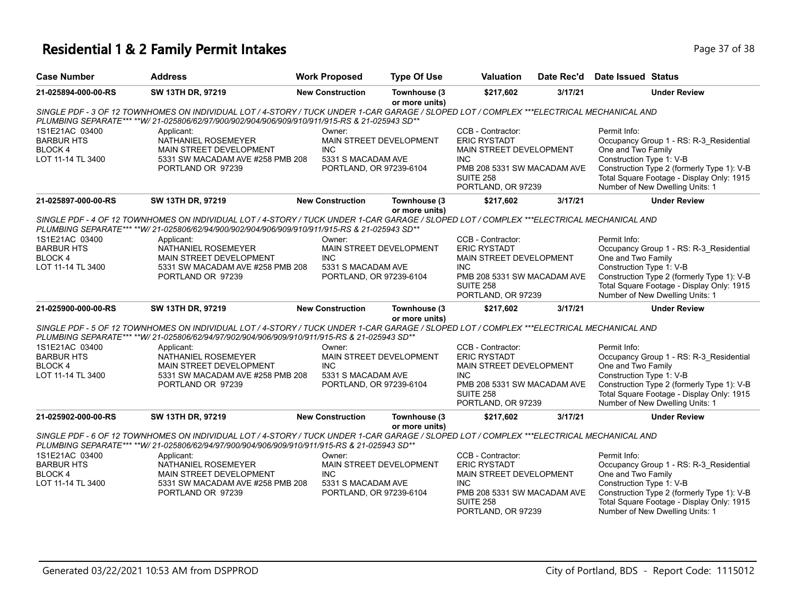# **Residential 1 & 2 Family Permit Intakes Page 17 of 38**

| <b>Case Number</b>                                                                                                                                                                                                                                         | <b>Address</b>                                                                                                                                                                                                                            | <b>Work Proposed</b>                                                                                    | <b>Type Of Use</b>             | Valuation                                                                                                                                                   | Date Rec'd | Date Issued Status                                                                                                                                                                                                                      |  |  |
|------------------------------------------------------------------------------------------------------------------------------------------------------------------------------------------------------------------------------------------------------------|-------------------------------------------------------------------------------------------------------------------------------------------------------------------------------------------------------------------------------------------|---------------------------------------------------------------------------------------------------------|--------------------------------|-------------------------------------------------------------------------------------------------------------------------------------------------------------|------------|-----------------------------------------------------------------------------------------------------------------------------------------------------------------------------------------------------------------------------------------|--|--|
| 21-025894-000-00-RS                                                                                                                                                                                                                                        | SW 13TH DR, 97219                                                                                                                                                                                                                         | <b>New Construction</b>                                                                                 | Townhouse (3<br>or more units) | \$217,602                                                                                                                                                   | 3/17/21    | <b>Under Review</b>                                                                                                                                                                                                                     |  |  |
| SINGLE PDF - 3 OF 12 TOWNHOMES ON INDIVIDUAL LOT / 4-STORY / TUCK UNDER 1-CAR GARAGE / SLOPED LOT / COMPLEX ***ELECTRICAL MECHANICAL AND<br>PLUMBING SEPARATE*** **W/ 21-025806/62/97/900/902/904/906/909/910/911/915-RS & 21-025943 SD**                  |                                                                                                                                                                                                                                           |                                                                                                         |                                |                                                                                                                                                             |            |                                                                                                                                                                                                                                         |  |  |
| 1S1E21AC 03400<br><b>BARBUR HTS</b><br>BLOCK 4<br>LOT 11-14 TL 3400                                                                                                                                                                                        | Applicant:<br>NATHANIEL ROSEMEYER<br>MAIN STREET DEVELOPMENT<br>5331 SW MACADAM AVE #258 PMB 208<br>PORTLAND OR 97239                                                                                                                     | Owner:<br>MAIN STREET DEVELOPMENT<br><b>INC</b><br>5331 S MACADAM AVE<br>PORTLAND, OR 97239-6104        |                                | CCB - Contractor:<br><b>ERIC RYSTADT</b><br>MAIN STREET DEVELOPMENT<br><b>INC</b><br>PMB 208 5331 SW MACADAM AVE<br><b>SUITE 258</b><br>PORTLAND, OR 97239  |            | Permit Info:<br>Occupancy Group 1 - RS: R-3_Residential<br>One and Two Family<br>Construction Type 1: V-B<br>Construction Type 2 (formerly Type 1): V-B<br>Total Square Footage - Display Only: 1915<br>Number of New Dwelling Units: 1 |  |  |
| 21-025897-000-00-RS                                                                                                                                                                                                                                        | SW 13TH DR, 97219                                                                                                                                                                                                                         | <b>New Construction</b>                                                                                 | Townhouse (3<br>or more units) | \$217,602                                                                                                                                                   | 3/17/21    | <b>Under Review</b>                                                                                                                                                                                                                     |  |  |
|                                                                                                                                                                                                                                                            | SINGLE PDF - 4 OF 12 TOWNHOMES ON INDIVIDUAL LOT / 4-STORY / TUCK UNDER 1-CAR GARAGE / SLOPED LOT / COMPLEX ***ELECTRICAL MECHANICAL AND<br>PLUMBING SEPARATE*** **W/ 21-025806/62/94/900/902/904/906/909/910/911/915-RS & 21-025943 SD** |                                                                                                         |                                |                                                                                                                                                             |            |                                                                                                                                                                                                                                         |  |  |
| 1S1E21AC 03400<br><b>BARBUR HTS</b><br>BLOCK 4<br>LOT 11-14 TL 3400                                                                                                                                                                                        | Applicant:<br>NATHANIEL ROSEMEYER<br>MAIN STREET DEVELOPMENT<br>5331 SW MACADAM AVE #258 PMB 208<br>PORTLAND OR 97239                                                                                                                     | Owner:<br><b>MAIN STREET DEVELOPMENT</b><br><b>INC</b><br>5331 S MACADAM AVE<br>PORTLAND, OR 97239-6104 |                                | CCB - Contractor:<br><b>ERIC RYSTADT</b><br>MAIN STREET DEVELOPMENT<br><b>INC</b><br>PMB 208 5331 SW MACADAM AVE<br>SUITE 258<br>PORTLAND, OR 97239         |            | Permit Info:<br>Occupancy Group 1 - RS: R-3_Residential<br>One and Two Family<br>Construction Type 1: V-B<br>Construction Type 2 (formerly Type 1): V-B<br>Total Square Footage - Display Only: 1915<br>Number of New Dwelling Units: 1 |  |  |
| 21-025900-000-00-RS                                                                                                                                                                                                                                        | SW 13TH DR, 97219                                                                                                                                                                                                                         | <b>New Construction</b>                                                                                 | Townhouse (3<br>or more units) | \$217,602                                                                                                                                                   | 3/17/21    | <b>Under Review</b>                                                                                                                                                                                                                     |  |  |
|                                                                                                                                                                                                                                                            | SINGLE PDF - 5 OF 12 TOWNHOMES ON INDIVIDUAL LOT / 4-STORY / TUCK UNDER 1-CAR GARAGE / SLOPED LOT / COMPLEX ***ELECTRICAL MECHANICAL AND<br>PLUMBING SEPARATE*** ** W/ 21-025806/62/94/97/902/904/906/909/910/911/915-RS & 21-025943 SD** |                                                                                                         |                                |                                                                                                                                                             |            |                                                                                                                                                                                                                                         |  |  |
| 1S1E21AC 03400<br><b>BARBUR HTS</b><br><b>BLOCK4</b><br>LOT 11-14 TL 3400                                                                                                                                                                                  | Applicant:<br>NATHANIEL ROSEMEYER<br>MAIN STREET DEVELOPMENT<br>5331 SW MACADAM AVE #258 PMB 208<br>PORTLAND OR 97239                                                                                                                     | Owner:<br><b>MAIN STREET DEVELOPMENT</b><br><b>INC</b><br>5331 S MACADAM AVE<br>PORTLAND, OR 97239-6104 |                                | CCB - Contractor:<br><b>ERIC RYSTADT</b><br><b>MAIN STREET DEVELOPMENT</b><br><b>INC</b><br>PMB 208 5331 SW MACADAM AVE<br>SUITE 258<br>PORTLAND, OR 97239  |            | Permit Info:<br>Occupancy Group 1 - RS: R-3 Residential<br>One and Two Family<br>Construction Type 1: V-B<br>Construction Type 2 (formerly Type 1): V-B<br>Total Square Footage - Display Only: 1915<br>Number of New Dwelling Units: 1 |  |  |
| 21-025902-000-00-RS                                                                                                                                                                                                                                        | SW 13TH DR, 97219                                                                                                                                                                                                                         | <b>New Construction</b>                                                                                 | Townhouse (3                   | \$217,602                                                                                                                                                   | 3/17/21    | <b>Under Review</b>                                                                                                                                                                                                                     |  |  |
| or more units)<br>SINGLE PDF - 6 OF 12 TOWNHOMES ON INDIVIDUAL LOT / 4-STORY / TUCK UNDER 1-CAR GARAGE / SLOPED LOT / COMPLEX ***ELECTRICAL MECHANICAL AND<br>PLUMBING SEPARATE*** **W/ 21-025806/62/94/97/900/904/906/909/910/911/915-RS & 21-025943 SD** |                                                                                                                                                                                                                                           |                                                                                                         |                                |                                                                                                                                                             |            |                                                                                                                                                                                                                                         |  |  |
| 1S1E21AC 03400<br><b>BARBUR HTS</b><br>BLOCK 4<br>LOT 11-14 TL 3400                                                                                                                                                                                        | Applicant:<br>NATHANIEL ROSEMEYER<br>MAIN STREET DEVELOPMENT<br>5331 SW MACADAM AVE #258 PMB 208<br>PORTLAND OR 97239                                                                                                                     | Owner:<br><b>MAIN STREET DEVELOPMENT</b><br><b>INC</b><br>5331 S MACADAM AVE<br>PORTLAND, OR 97239-6104 |                                | CCB - Contractor:<br><b>ERIC RYSTADT</b><br><b>MAIN STREET DEVELOPMENT</b><br>INC.<br>PMB 208 5331 SW MACADAM AVE<br><b>SUITE 258</b><br>PORTLAND, OR 97239 |            | Permit Info:<br>Occupancy Group 1 - RS: R-3 Residential<br>One and Two Family<br>Construction Type 1: V-B<br>Construction Type 2 (formerly Type 1): V-B<br>Total Square Footage - Display Only: 1915<br>Number of New Dwelling Units: 1 |  |  |